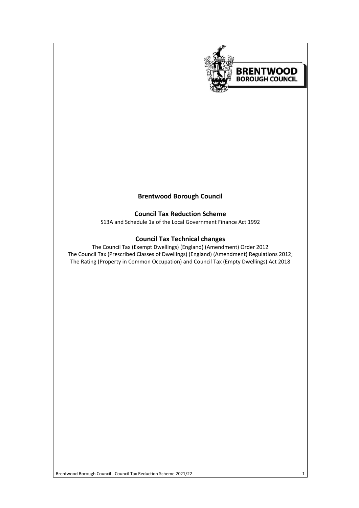

# **Brentwood Borough Council**

# **Council Tax Reduction Scheme**

S13A and Schedule 1a of the Local Government Finance Act 1992

# **Council Tax Technical changes**

 The Council Tax (Exempt Dwellings) (England) (Amendment) Order 2012 The Council Tax (Prescribed Classes of Dwellings) (England) (Amendment) Regulations 2012; The Rating (Property in Common Occupation) and Council Tax (Empty Dwellings) Act 2018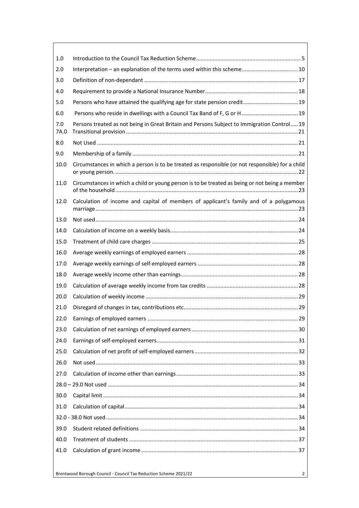| 1.0         |                                                                                                  |
|-------------|--------------------------------------------------------------------------------------------------|
| 2.0         |                                                                                                  |
| 3.0         |                                                                                                  |
| 4.0         |                                                                                                  |
| 5.0         | Persons who have attained the qualifying age for state pension credit 19                         |
| 6.0         | Persons who reside in dwellings with a Council Tax Band of F, G or H 19                          |
| 7.0<br>7A.0 | Persons treated as not being in Great Britain and Persons Subject to Immigration Control 19      |
| 8.0         |                                                                                                  |
| 9.0         |                                                                                                  |
| 10.0        | Circumstances in which a person is to be treated as responsible (or not responsible) for a child |
| 11.0        | Circumstances in which a child or young person is to be treated as being or not being a member   |
| 12.0        | Calculation of income and capital of members of applicant's family and of a polygamous           |
| 13.0        |                                                                                                  |
| 14.0        |                                                                                                  |
| 15.0        |                                                                                                  |
| 16.0        |                                                                                                  |
| 17.0        |                                                                                                  |
| 18.0        |                                                                                                  |
| 19.0        |                                                                                                  |
| 20.0        |                                                                                                  |
| 21.0        |                                                                                                  |
|             | 29                                                                                               |
| 23.0        |                                                                                                  |
| 24.0        |                                                                                                  |
| 25.0        |                                                                                                  |
| 26.0        |                                                                                                  |
| 27.0        |                                                                                                  |
|             |                                                                                                  |
| 30.0        |                                                                                                  |
| 31.0        |                                                                                                  |
|             |                                                                                                  |
| 39.0        |                                                                                                  |
| 40.0        |                                                                                                  |
| 41.0        |                                                                                                  |
|             |                                                                                                  |
|             | Brentwood Borough Council - Council Tax Reduction Scheme 2021/22<br>2                            |

Ξ

 $\Gamma$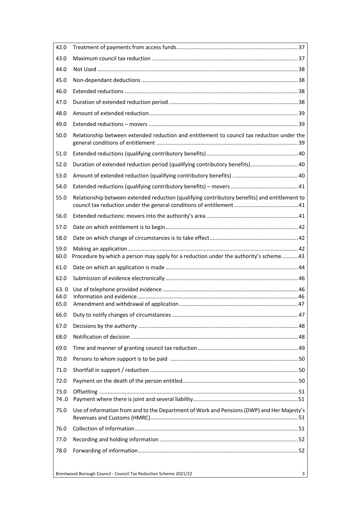| 42.0                                                                  |                                                                                               |  |  |
|-----------------------------------------------------------------------|-----------------------------------------------------------------------------------------------|--|--|
| 43.0                                                                  |                                                                                               |  |  |
| 44.0                                                                  |                                                                                               |  |  |
| 45.0                                                                  |                                                                                               |  |  |
| 46.0                                                                  |                                                                                               |  |  |
| 47.0                                                                  |                                                                                               |  |  |
| 48.0                                                                  |                                                                                               |  |  |
| 49.0                                                                  |                                                                                               |  |  |
| 50.0                                                                  | Relationship between extended reduction and entitlement to council tax reduction under the    |  |  |
| 51.0                                                                  |                                                                                               |  |  |
| 52.0                                                                  | Duration of extended reduction period (qualifying contributory benefits) 40                   |  |  |
| 53.0                                                                  |                                                                                               |  |  |
| 54.0                                                                  |                                                                                               |  |  |
| 55.0                                                                  | Relationship between extended reduction (qualifying contributory benefits) and entitlement to |  |  |
| 56.0                                                                  |                                                                                               |  |  |
| 57.0                                                                  |                                                                                               |  |  |
| 58.0                                                                  |                                                                                               |  |  |
| 59.0<br>60.0                                                          | Procedure by which a person may apply for a reduction under the authority's scheme43          |  |  |
| 61.0                                                                  |                                                                                               |  |  |
| 62.0                                                                  |                                                                                               |  |  |
| 63.0                                                                  |                                                                                               |  |  |
| 64.0<br>65.0                                                          |                                                                                               |  |  |
|                                                                       |                                                                                               |  |  |
| 67.0                                                                  |                                                                                               |  |  |
| 68.0                                                                  |                                                                                               |  |  |
| 69.0                                                                  |                                                                                               |  |  |
| 70.0                                                                  |                                                                                               |  |  |
| 71.0                                                                  |                                                                                               |  |  |
| 72.0                                                                  |                                                                                               |  |  |
| 73.0<br>74.0                                                          |                                                                                               |  |  |
| 75.0                                                                  | Use of information from and to the Department of Work and Pensions (DWP) and Her Majesty's    |  |  |
| 76.0                                                                  |                                                                                               |  |  |
| 77.0                                                                  |                                                                                               |  |  |
| 78.0                                                                  |                                                                                               |  |  |
|                                                                       |                                                                                               |  |  |
| Brentwood Borough Council - Council Tax Reduction Scheme 2021/22<br>3 |                                                                                               |  |  |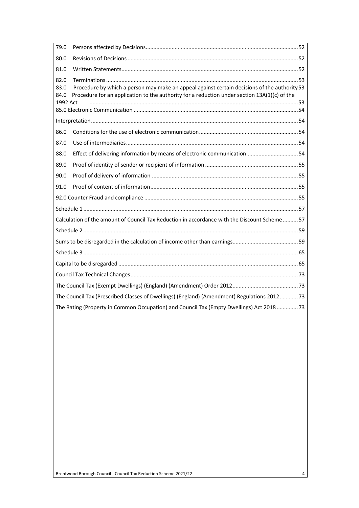| 79.0                                                                                         |                                                                                                                                                                                              |  |  |
|----------------------------------------------------------------------------------------------|----------------------------------------------------------------------------------------------------------------------------------------------------------------------------------------------|--|--|
| 80.0                                                                                         |                                                                                                                                                                                              |  |  |
| 81.0                                                                                         |                                                                                                                                                                                              |  |  |
| 82.0<br>83.0<br>84.0<br>1992 Act                                                             | Procedure by which a person may make an appeal against certain decisions of the authority 53<br>Procedure for an application to the authority for a reduction under section 13A(1)(c) of the |  |  |
|                                                                                              |                                                                                                                                                                                              |  |  |
| 86.0                                                                                         |                                                                                                                                                                                              |  |  |
| 87.0                                                                                         |                                                                                                                                                                                              |  |  |
| 88.0                                                                                         | Effect of delivering information by means of electronic communication 54                                                                                                                     |  |  |
| 89.0                                                                                         |                                                                                                                                                                                              |  |  |
| 90.0                                                                                         |                                                                                                                                                                                              |  |  |
| 91.0                                                                                         |                                                                                                                                                                                              |  |  |
|                                                                                              |                                                                                                                                                                                              |  |  |
|                                                                                              |                                                                                                                                                                                              |  |  |
| Calculation of the amount of Council Tax Reduction in accordance with the Discount Scheme 57 |                                                                                                                                                                                              |  |  |
|                                                                                              |                                                                                                                                                                                              |  |  |
|                                                                                              |                                                                                                                                                                                              |  |  |
|                                                                                              |                                                                                                                                                                                              |  |  |
|                                                                                              |                                                                                                                                                                                              |  |  |
|                                                                                              |                                                                                                                                                                                              |  |  |
|                                                                                              |                                                                                                                                                                                              |  |  |
|                                                                                              | The Council Tax (Prescribed Classes of Dwellings) (England) (Amendment) Regulations 2012 73                                                                                                  |  |  |
|                                                                                              | The Rating (Property in Common Occupation) and Council Tax (Empty Dwellings) Act 2018  73                                                                                                    |  |  |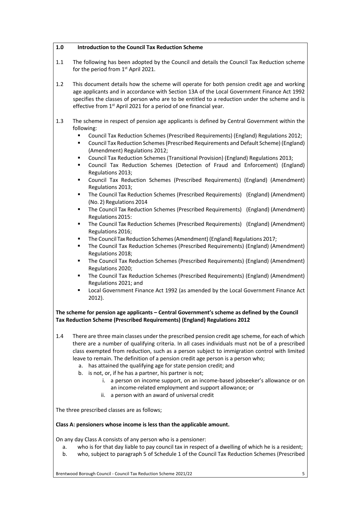#### **1.0 Introduction to the Council Tax Reduction Scheme**

 1.1 The following has been adopted by the Council and details the Council Tax Reduction scheme for the period from  $1<sup>st</sup>$  April 2021.

 1.2 This document details how the scheme will operate for both pension credit age and working age applicants and in accordance with Section 13A of the Local Government Finance Act 1992 specifies the classes of person who are to be entitled to a reduction under the scheme and is effective from  $1<sup>st</sup>$  April 2021 for a period of one financial year.

- 1.3 The scheme in respect of pension age applicants is defined by Central Government within the following:
	- Council Tax Reduction Schemes (Prescribed Requirements) (England) Regulations 2012;
	- • Council Tax Reduction Schemes (Prescribed Requirements and Default Scheme) (England) (Amendment) Regulations 2012;
	- Council Tax Reduction Schemes (Transitional Provision) (England) Regulations 2013;
	- • Council Tax Reduction Schemes (Detection of Fraud and Enforcement) (England) Regulations 2013;
	- • Council Tax Reduction Schemes (Prescribed Requirements) (England) (Amendment) Regulations 2013;
	- • The Council Tax Reduction Schemes (Prescribed Requirements) (England) (Amendment) (No. 2) Regulations 2014
	- • The Council Tax Reduction Schemes (Prescribed Requirements) (England) (Amendment) Regulations 2015:
	- • The Council Tax Reduction Schemes (Prescribed Requirements) (England) (Amendment) Regulations 2016;
	- **The Council Tax Reduction Schemes (Amendment) (England) Regulations 2017;**
	- • The Council Tax Reduction Schemes (Prescribed Requirements) (England) (Amendment) Regulations 2018;
	- • The Council Tax Reduction Schemes (Prescribed Requirements) (England) (Amendment) Regulations 2020;
	- • The Council Tax Reduction Schemes (Prescribed Requirements) (England) (Amendment) Regulations 2021; and
	- • Local Government Finance Act 1992 (as amended by the Local Government Finance Act 2012).

### **The scheme for pension age applicants – Central Government's scheme as defined by the Council Tax Reduction Scheme (Prescribed Requirements) (England) Regulations 2012**

- 1.4 There are three main classes under the prescribed pension credit age scheme, for each of which there are a number of qualifying criteria. In all cases individuals must not be of a prescribed class exempted from reduction, such as a person subject to immigration control with limited leave to remain. The definition of a pension credit age person is a person who;
	- a. has attained the qualifying age for state pension credit; and
	- b. is not, or, if he has a partner, his partner is not;
		- i. a person on income support, on an income-based jobseeker's allowance or on an income-related employment and support allowance; or
		- ii. a person with an award of universal credit

The three prescribed classes are as follows;

#### **Class A: pensioners whose income is less than the applicable amount.**

On any day Class A consists of any person who is a pensioner:

- a. who is for that day liable to pay council tax in respect of a dwelling of which he is a resident;
- b. who, subject to paragraph 5 of Schedule 1 of the Council Tax Reduction Schemes (Prescribed

Brentwood Borough Council - Council Tax Reduction Scheme 2021/22 5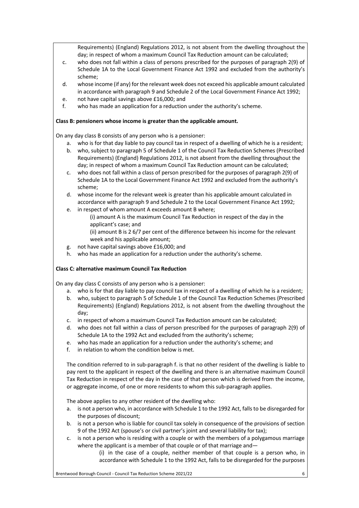Requirements) (England) Regulations 2012, is not absent from the dwelling throughout the day; in respect of whom a maximum Council Tax Reduction amount can be calculated;

- c. who does not fall within a class of persons prescribed for the purposes of paragraph 2(9) of Schedule 1A to the Local Government Finance Act 1992 and excluded from the authority's scheme;
- d. whose income (if any) for the relevant week does not exceed his applicable amount calculated in accordance with paragraph 9 and Schedule 2 of the Local Government Finance Act 1992;
- e. not have capital savings above £16,000; and
- f. who has made an application for a reduction under the authority's scheme.

#### **Class B: pensioners whose income is greater than the applicable amount.**

On any day class B consists of any person who is a pensioner:

- a. who is for that day liable to pay council tax in respect of a dwelling of which he is a resident;
- b. who, subject to paragraph 5 of Schedule 1 of the Council Tax Reduction Schemes (Prescribed Requirements) (England) Regulations 2012, is not absent from the dwelling throughout the day; in respect of whom a maximum Council Tax Reduction amount can be calculated;
- c. who does not fall within a class of person prescribed for the purposes of paragraph 2(9) of Schedule 1A to the Local Government Finance Act 1992 and excluded from the authority's scheme;
- d. whose income for the relevant week is greater than his applicable amount calculated in accordance with paragraph 9 and Schedule 2 to the Local Government Finance Act 1992;
- e. in respect of whom amount A exceeds amount B where;
	- (i) amount A is the maximum Council Tax Reduction in respect of the day in the applicant's case; and
		- (ii) amount B is 2 6/7 per cent of the difference between his income for the relevant week and his applicable amount;
- g. not have capital savings above £16,000; and
- h. who has made an application for a reduction under the authority's scheme.

# **Class C: alternative maximum Council Tax Reduction**

On any day class C consists of any person who is a pensioner:

- a. who is for that day liable to pay council tax in respect of a dwelling of which he is a resident;
- b. who, subject to paragraph 5 of Schedule 1 of the Council Tax Reduction Schemes (Prescribed Requirements) (England) Regulations 2012, is not absent from the dwelling throughout the day;
- c. in respect of whom a maximum Council Tax Reduction amount can be calculated;
- d. who does not fall within a class of person prescribed for the purposes of paragraph 2(9) of Schedule 1A to the 1992 Act and excluded from the authority's scheme;
- e. who has made an application for a reduction under the authority's scheme; and
- f. in relation to whom the condition below is met.

 The condition referred to in sub-paragraph f. is that no other resident of the dwelling is liable to pay rent to the applicant in respect of the dwelling and there is an alternative maximum Council Tax Reduction in respect of the day in the case of that person which is derived from the income, or aggregate income, of one or more residents to whom this sub-paragraph applies.

The above applies to any other resident of the dwelling who:

- a. is not a person who, in accordance with Schedule 1 to the 1992 Act, falls to be disregarded for the purposes of discount;
- b. is not a person who is liable for council tax solely in consequence of the provisions of section 9 of the 1992 Act (spouse's or civil partner's joint and several liability for tax);
- c. is not a person who is residing with a couple or with the members of a polygamous marriage where the applicant is a member of that couple or of that marriage and—
	- (i) in the case of a couple, neither member of that couple is a person who, in accordance with Schedule 1 to the 1992 Act, falls to be disregarded for the purposes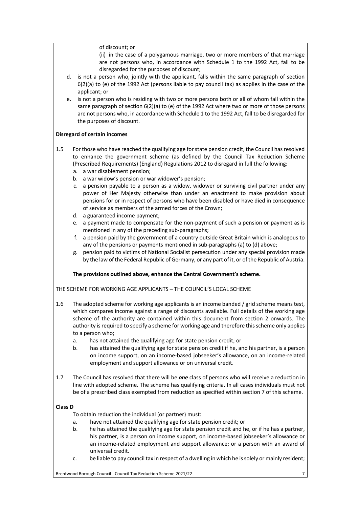#### of discount; or

- (ii) in the case of a polygamous marriage, two or more members of that marriage are not persons who, in accordance with Schedule 1 to the 1992 Act, fall to be disregarded for the purposes of discount;
- d. is not a person who, jointly with the applicant, falls within the same paragraph of section 6(2)(a) to (e) of the 1992 Act (persons liable to pay council tax) as applies in the case of the applicant; or
- e. is not a person who is residing with two or more persons both or all of whom fall within the are not persons who, in accordance with Schedule 1 to the 1992 Act, fall to be disregarded for the purposes of discount. same paragraph of section 6(2)(a) to (e) of the 1992 Act where two or more of those persons

#### **Disregard of certain incomes**

- 1.5 For those who have reached the qualifying age for state pension credit, the Council has resolved to enhance the government scheme (as defined by the Council Tax Reduction Scheme (Prescribed Requirements) (England) Regulations 2012 to disregard in full the following:
	- a. a war disablement pension;
	- b. a war widow's pension or war widower's pension;
	- c. a pension payable to a person as a widow, widower or surviving civil partner under any power of Her Majesty otherwise than under an enactment to make provision about pensions for or in respect of persons who have been disabled or have died in consequence of service as members of the armed forces of the Crown;
	- d. a guaranteed income payment;
	- e. a payment made to compensate for the non-payment of such a pension or payment as is mentioned in any of the preceding sub-paragraphs;
	- f. a pension paid by the government of a country outside Great Britain which is analogous to any of the pensions or payments mentioned in sub-paragraphs (a) to (d) above;
	- g. pension paid to victims of National Socialist persecution under any special provision made by the law of the Federal Republic of Germany, or any part of it, or of the Republic of Austria.

#### **The provisions outlined above, enhance the Central Government's scheme.**

#### THE SCHEME FOR WORKING AGE APPLICANTS – THE COUNCIL'S LOCAL SCHEME

- 1.6 The adopted scheme for working age applicants is an income banded / grid scheme means test, which compares income against a range of discounts available. Full details of the working age scheme of the authority are contained within this document from section 2 onwards. The authority is required to specify a scheme for working age and therefore this scheme only applies to a person who;
	- a. has not attained the qualifying age for state pension credit; or
	- b. has attained the qualifying age for state pension credit if he, and his partner, is a person on income support, on an income-based jobseeker's allowance, on an income-related employment and support allowance or on universal credit.
- 1.7 The Council has resolved that there will be *one* class of persons who will receive a reduction in line with adopted scheme. The scheme has qualifying criteria. In all cases individuals must not be of a prescribed class exempted from reduction as specified within section 7 of this scheme.

#### **Class D**

To obtain reduction the individual (or partner) must:

- a. have not attained the qualifying age for state pension credit; or
- b. he has attained the qualifying age for state pension credit and he, or if he has a partner, his partner, is a person on income support, on income-based jobseeker's allowance or an income-related employment and support allowance; or a person with an award of universal credit.
- c. be liable to pay council tax in respect of a dwelling in which he is solely or mainly resident;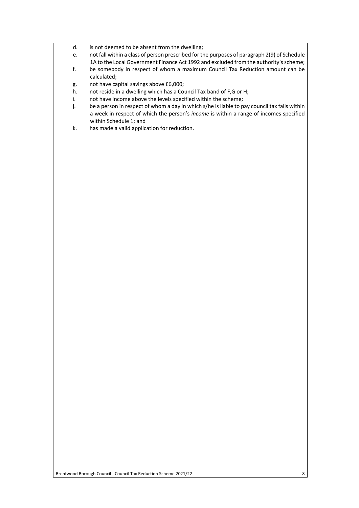- d. is not deemed to be absent from the dwelling;
- e. not fall within a class of person prescribed for the purposes of paragraph 2(9) of Schedule 1A to the Local Government Finance Act 1992 and excluded from the authority's scheme;
- f. be somebody in respect of whom a maximum Council Tax Reduction amount can be calculated;
- g. not have capital savings above £6,000;
- h. not reside in a dwelling which has a Council Tax band of F,G or H;
- i. not have income above the levels specified within the scheme;
- j. be a person in respect of whom a day in which s/he is liable to pay council tax falls within a week in respect of which the person's *income* is within a range of incomes specified within Schedule 1; and
- k. has made a valid application for reduction.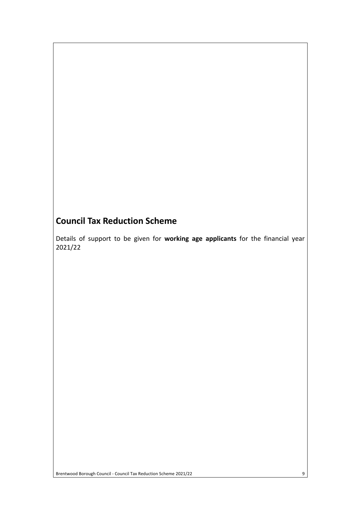# **Council Tax Reduction Scheme**

 Details of support to be given for **working age applicants** for the financial year 2021/22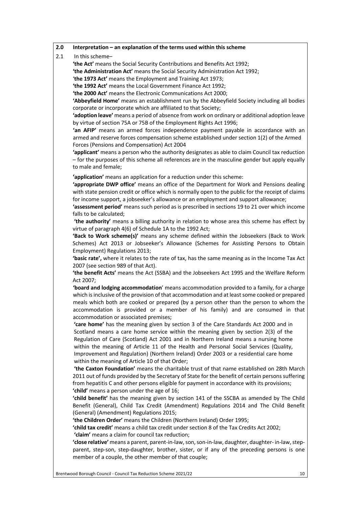| 2.0 | Interpretation $-$ an explanation of the terms used within this scheme |  |  |  |
|-----|------------------------------------------------------------------------|--|--|--|
|-----|------------------------------------------------------------------------|--|--|--|

| 2.1 |  | In this scheme- |
|-----|--|-----------------|
|-----|--|-----------------|

 **'the Act'** means the Social Security Contributions and Benefits Act 1992; **'the Administration Act'** means the Social Security Administration Act 1992;  '**the 1973 Act'** means the Employment and Training Act 1973;  **'the 1992 Act'** means the Local Government Finance Act 1992;  **'the 2000 Act'** means the Electronic Communications Act 2000; **'Abbeyfield Home'** means an establishment run by the Abbeyfield Society including all bodies corporate or incorporate which are affiliated to that Society; **'adoption leave'** means a period of absence from work on ordinary or additional adoption leave by virtue of section 75A or 75B of the Employment Rights Act 1996; **'an AFIP'** means an armed forces independence payment payable in accordance with an armed and reserve forces compensation scheme established under section 1(2) of the Armed Forces (Pensions and Compensation) Act 2004 **'applicant'** means a person who the authority designates as able to claim Council tax reduction – for the purposes of this scheme all references are in the masculine gender but apply equally to male and female; **'application'** means an application for a reduction under this scheme:  **'appropriate DWP office'** means an office of the Department for Work and Pensions dealing with state pension credit or office which is normally open to the public for the receipt of claims for income support, a jobseeker's allowance or an employment and support allowance; **'assessment period'** means such period as is prescribed in sections 19 to 21 over which income falls to be calculated; **'the authority'** means a billing authority in relation to whose area this scheme has effect by virtue of paragraph 4(6) of Schedule 1A to the 1992 Act;  **'Back to Work scheme(s)'** means any scheme defined within the Jobseekers (Back to Work Schemes) Act 2013 or Jobseeker's Allowance (Schemes for Assisting Persons to Obtain Employment) Regulations 2013; **'basic rate',** where it relates to the rate of tax, has the same meaning as in the Income Tax Act 2007 (see section 989 of that Act).  **'the benefit Acts'** means the Act (SSBA) and the Jobseekers Act 1995 and the Welfare Reform  **'board and lodging accommodation**' means accommodation provided to a family, for a charge which is inclusive of the provision of that accommodation and at least some cooked or prepared meals which both are cooked or prepared (by a person other than the person to whom the accommodation is provided or a member of his family) and are consumed in that **'care home'** has the meaning given by section 3 of the Care Standards Act 2000 and in Scotland means a care home service within the meaning given by section 2(3) of the Regulation of Care (Scotland) Act 2001 and in Northern Ireland means a nursing home within the meaning of Article 11 of the Health and Personal Social Services (Quality, Improvement and Regulation) (Northern Ireland) Order 2003 or a residential care home within the meaning of Article 10 of that Order;  **'the Caxton Foundation'** means the charitable trust of that name established on 28th March 2011 out of funds provided by the Secretary of State for the benefit of certain persons suffering from hepatitis C and other persons eligible for payment in accordance with its provisions; **'child'** means a person under the age of 16; **'child benefit'** has the meaning given by section 141 of the SSCBA as amended by The Child Benefit (General), Child Tax Credit (Amendment) Regulations 2014 and The Child Benefit  **'the Children Order'** means the Children (Northern Ireland) Order 1995;  **'child tax credit'** means a child tax credit under section 8 of the Tax Credits Act 2002; **'close relative'** means a parent, parent-in-law, son, son-in-law, daughter, daughter- in-law, step- parent, step-son, step-daughter, brother, sister, or if any of the preceding persons is one Act 2007; accommodation or associated premises; (General) (Amendment) Regulations 2015; **'claim'** means a claim for council tax reduction;

member of a couple, the other member of that couple;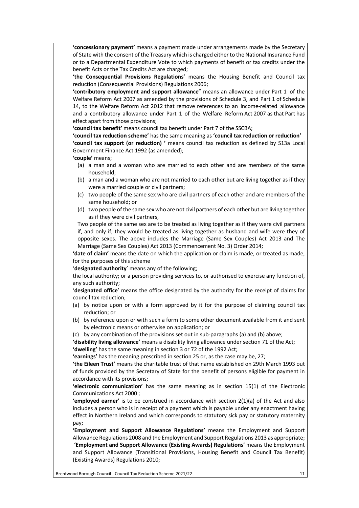**'concessionary payment'** means a payment made under arrangements made by the Secretary of State with the consent of the Treasury which is charged either to the National Insurance Fund or to a Departmental Expenditure Vote to which payments of benefit or tax credits under the benefit Acts or the Tax Credits Act are charged;

 **'the Consequential Provisions Regulations'** means the Housing Benefit and Council tax reduction (Consequential Provisions) Regulations 2006;

 **'contributory employment and support allowance**" means an allowance under Part 1 of the Welfare Reform Act 2007 as amended by the provisions of Schedule 3, and Part 1 of Schedule 14, to the Welfare Reform Act 2012 that remove references to an income-related allowance and a contributory allowance under Part 1 of the Welfare Reform Act 2007 as that Part has effect apart from those provisions;

**'council tax benefit'** means council tax benefit under Part 7 of the SSCBA;

 **'council tax reduction scheme'** has the same meaning as **'council tax reduction or reduction' 'council tax support (or reduction) '** means council tax reduction as defined by S13a Local Government Finance Act 1992 (as amended);

**'couple'** means;

- (a) a man and a woman who are married to each other and are members of the same household;
- (b) a man and a woman who are not married to each other but are living together as if they were a married couple or civil partners;
- same household; or (c) two people of the same sex who are civil partners of each other and are members of the
- (d) two people of the same sex who are not civil partners of each other but are living together as if they were civil partners,

 Two people of the same sex are to be treated as living together as if they were civil partners if, and only if, they would be treated as living together as husband and wife were they of opposite sexes. The above includes the Marriage (Same Sex Couples) Act 2013 and The Marriage (Same Sex Couples) Act 2013 (Commencement No. 3) Order 2014;

 **'date of claim'** means the date on which the application or claim is made, or treated as made, for the purposes of this scheme

'**designated authority**' means any of the following;

 the local authority; or a person providing services to, or authorised to exercise any function of, any such authority;

 '**designated office**' means the office designated by the authority for the receipt of claims for council tax reduction;

- (a) by notice upon or with a form approved by it for the purpose of claiming council tax reduction; or
- (b) by reference upon or with such a form to some other document available from it and sent by electronic means or otherwise on application; or

(c) by any combination of the provisions set out in sub-paragraphs (a) and (b) above;

 **'disability living allowance'** means a disability living allowance under section 71 of the Act; **'dwelling'** has the same meaning in section 3 or 72 of the 1992 Act;

**'earnings'** has the meaning prescribed in section 25 or, as the case may be, 27;

 **'the Eileen Trust'** means the charitable trust of that name established on 29th March 1993 out of funds provided by the Secretary of State for the benefit of persons eligible for payment in accordance with its provisions;

 **'electronic communication'** has the same meaning as in section 15(1) of the Electronic Communications Act 2000 ;

 **'employed earner'** is to be construed in accordance with section 2(1)(a) of the Act and also includes a person who is in receipt of a payment which is payable under any enactment having effect in Northern Ireland and which corresponds to statutory sick pay or statutory maternity pay;

 **'Employment and Support Allowance Regulations'** means the Employment and Support Allowance Regulations 2008 and the Employment and Support Regulations 2013 as appropriate;  **'Employment and Support Allowance (Existing Awards) Regulations'** means the Employment and Support Allowance (Transitional Provisions, Housing Benefit and Council Tax Benefit) (Existing Awards) Regulations 2010;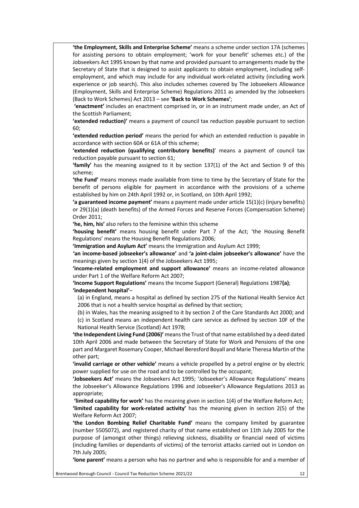**'the Employment, Skills and Enterprise Scheme'** means a scheme under section 17A (schemes for assisting persons to obtain employment; 'work for your benefit' schemes etc.) of the Jobseekers Act 1995 known by that name and provided pursuant to arrangements made by the Secretary of State that is designed to assist applicants to obtain employment, including self- employment, and which may include for any individual work-related activity (including work experience or job search). This also includes schemes covered by The Jobseekers Allowance (Employment, Skills and Enterprise Scheme) Regulations 2011 as amended by the Jobseekers (Back to Work Schemes) Act 2013 – see **'Back to Work Schemes'**;

 **'enactment'** includes an enactment comprised in, or in an instrument made under, an Act of the Scottish Parliament;

 **'extended reduction)'** means a payment of council tax reduction payable pursuant to section 60;

 **'extended reduction period'** means the period for which an extended reduction is payable in accordance with section 60A or 61A of this scheme;

 **'extended reduction (qualifying contributory benefits)**' means a payment of council tax reduction payable pursuant to section 61;

 **'family'** has the meaning assigned to it by section 137(1) of the Act and Section 9 of this scheme;

 **'the Fund'** means moneys made available from time to time by the Secretary of State for the benefit of persons eligible for payment in accordance with the provisions of a scheme established by him on 24th April 1992 or, in Scotland, on 10th April 1992;

 **'a guaranteed income payment'** means a payment made under article 15(1)(c) (injury benefits) or 29(1)(a) (death benefits) of the Armed Forces and Reserve Forces (Compensation Scheme) Order 2011;

**'he, him, his'** also refers to the feminine within this scheme

 **'housing benefit'** means housing benefit under Part 7 of the Act; 'the Housing Benefit Regulations' means the Housing Benefit Regulations 2006;

 **'Immigration and Asylum Act'** means the Immigration and Asylum Act 1999;

 **'an income-based jobseeker's allowance'** and **'a joint-claim jobseeker's allowance'** have the meanings given by section 1(4) of the Jobseekers Act 1995;

 **'income-related employment and support allowance'** means an income-related allowance under Part 1 of the Welfare Reform Act 2007;

 **'Income Support Regulations'** means the Income Support (General) Regulations 1987**(a)**; 'independent hospital'-**'independent hospital'**– (a) in England, means a hospital as defined by section 275 of the National Health Service Act

2006 that is not a health service hospital as defined by that section;

(b) in Wales, has the meaning assigned to it by section 2 of the Care Standards Act 2000; and

 (c) in Scotland means an independent health care service as defined by section 10F of the National Health Service (Scotland) Act 1978;

 **'the Independent Living Fund (2006)'** means the Trust of that name established by a deed dated 10th April 2006 and made between the Secretary of State for Work and Pensions of the one part and Margaret Rosemary Cooper, Michael Beresford Boyall and Marie Theresa Martin of the other part;

 **'invalid carriage or other vehicle'** means a vehicle propelled by a petrol engine or by electric power supplied for use on the road and to be controlled by the occupant;

 **'Jobseekers Act'** means the Jobseekers Act 1995; 'Jobseeker's Allowance Regulations' means the Jobseeker's Allowance Regulations 1996 and Jobseeker's Allowance Regulations 2013 as appropriate;

 **'limited capability for work'** has the meaning given in section 1(4) of the Welfare Reform Act;  **'limited capability for work-related activity'** has the meaning given in section 2(5) of the Welfare Reform Act 2007;

 **'the London Bombing Relief Charitable Fund'** means the company limited by guarantee (number 5505072), and registered charity of that name established on 11th July 2005 for the purpose of (amongst other things) relieving sickness, disability or financial need of victims (including families or dependants of victims) of the terrorist attacks carried out in London on 7th July 2005;

**'lone parent'** means a person who has no partner and who is responsible for and a member of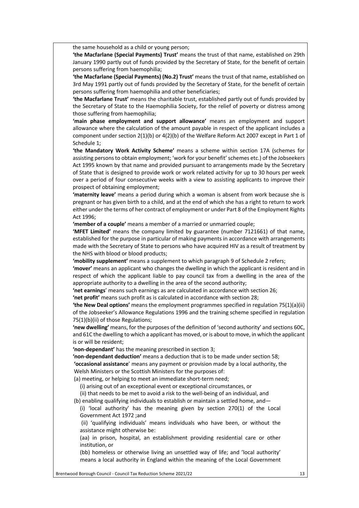the same household as a child or young person;

 **'the Macfarlane (Special Payments) Trust'** means the trust of that name, established on 29th January 1990 partly out of funds provided by the Secretary of State, for the benefit of certain persons suffering from haemophilia;

 **'the Macfarlane (Special Payments) (No.2) Trust'** means the trust of that name, established on 3rd May 1991 partly out of funds provided by the Secretary of State, for the benefit of certain persons suffering from haemophilia and other beneficiaries;

 **'the Macfarlane Trust'** means the charitable trust, established partly out of funds provided by the Secretary of State to the Haemophilia Society, for the relief of poverty or distress among those suffering from haemophilia;

 **'main phase employment and support allowance'** means an employment and support allowance where the calculation of the amount payable in respect of the applicant includes a component under section 2(1)(b) or 4(2)(b) of the Welfare Reform Act 2007 except in Part 1 of Schedule 1;

 **'the Mandatory Work Activity Scheme'** means a scheme within section 17A (schemes for assisting persons to obtain employment; 'work for your benefit' schemes etc.) of the Jobseekers Act 1995 known by that name and provided pursuant to arrangements made by the Secretary of State that is designed to provide work or work related activity for up to 30 hours per week over a period of four consecutive weeks with a view to assisting applicants to improve their prospect of obtaining employment;

 **'maternity leave'** means a period during which a woman is absent from work because she is pregnant or has given birth to a child, and at the end of which she has a right to return to work either under the terms of her contract of employment or under Part 8 of the Employment Rights Act 1996;

**'member of a couple'** means a member of a married or unmarried couple;

 **'MFET Limited'** means the company limited by guarantee (number 7121661) of that name, established for the purpose in particular of making payments in accordance with arrangements made with the Secretary of State to persons who have acquired HIV as a result of treatment by the NHS with blood or blood products;

**'mobility supplement'** means a supplement to which paragraph 9 of Schedule 2 refers;

 **'mover'** means an applicant who changes the dwelling in which the applicant is resident and in respect of which the applicant liable to pay council tax from a dwelling in the area of the appropriate authority to a dwelling in the area of the second authority;

**'net earnings**' means such earnings as are calculated in accordance with section 26;

**'net profit'** means such profit as is calculated in accordance with section 28;

 **'the New Deal options'** means the employment programmes specified in regulation 75(1)(a)(ii) of the Jobseeker's Allowance Regulations 1996 and the training scheme specified in regulation 75(1)(b)(ii) of those Regulations;

 **'new dwelling'** means, for the purposes of the definition of 'second authority' and sections 60C, and 61C the dwelling to which a applicant has moved, or is about to move, in which the applicant is or will be resident;

**'non-dependant'** has the meaning prescribed in section 3;

 **'non-dependant deduction'** means a deduction that is to be made under section 58; **'occasional assistance**' means any payment or provision made by a local authority, the Welsh Ministers or the Scottish Ministers for the purposes of:

(a) meeting, or helping to meet an immediate short-term need;

(i) arising out of an exceptional event or exceptional circumstances, or

 (ii) that needs to be met to avoid a risk to the well-being of an individual, and (b) enabling qualifying individuals to establish or maintain a settled home, and—

 (i) 'local authority' has the meaning given by section 270(1) of the Local Government Act 1972 ;and

 (ii) 'qualifying individuals' means individuals who have been, or without the assistance might otherwise be:

 (aa) in prison, hospital, an establishment providing residential care or other institution, or

 (bb) homeless or otherwise living an unsettled way of life; and 'local authority' means a local authority in England within the meaning of the Local Government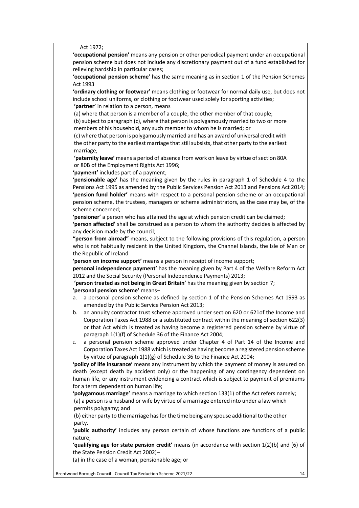#### Act 1972;

 **'occupational pension'** means any pension or other periodical payment under an occupational pension scheme but does not include any discretionary payment out of a fund established for relieving hardship in particular cases;

 **'occupational pension scheme'** has the same meaning as in section 1 of the Pension Schemes Act 1993

 **'ordinary clothing or footwear'** means clothing or footwear for normal daily use, but does not include school uniforms, or clothing or footwear used solely for sporting activities; **'partner'** in relation to a person, means

(a) where that person is a member of a couple, the other member of that couple;

 (b) subject to paragraph (c), where that person is polygamously married to two or more members of his household, any such member to whom he is married; or

 (c) where that person is polygamously married and has an award of universal credit with the other party to the earliest marriage that still subsists, that other party to the earliest  marriage;

 **'paternity leave'** means a period of absence from work on leave by virtue of section 80A or 80B of the Employment Rights Act 1996;

**'payment'** includes part of a payment;

 **'pensionable age'** has the meaning given by the rules in paragraph 1 of Schedule 4 to the Pensions Act 1995 as amended by the Public Services Pension Act 2013 and Pensions Act 2014;  **'pension fund holder'** means with respect to a personal pension scheme or an occupational pension scheme, the trustees, managers or scheme administrators, as the case may be, of the scheme concerned;

**'pensioner'** a person who has attained the age at which pension credit can be claimed;

 **'person affected'** shall be construed as a person to whom the authority decides is affected by any decision made by the council;

 **"person from abroad"** means, subject to the following provisions of this regulation, a person who is not habitually resident in the United Kingdom, the Channel Islands, the Isle of Man or the Republic of Ireland

 **'person on income support'** means a person in receipt of income support;

 **personal independence payment'** has the meaning given by Part 4 of the Welfare Reform Act 2012 and the Social Security (Personal Independence Payments) 2013;

 **'person treated as not being in Great Britain'** has the meaning given by section 7; **'personal pension scheme'** means–

- a. a personal pension scheme as defined by section 1 of the Pension Schemes Act 1993 as amended by the Public Service Pension Act 2013;
- b. an annuity contractor trust scheme approved under section 620 or 621of the Income and Corporation Taxes Act 1988 or a substituted contract within the meaning of section 622(3) or that Act which is treated as having become a registered pension scheme by virtue of paragraph 1(1)(f) of Schedule 36 of the Finance Act 2004;
- c. a personal pension scheme approved under Chapter 4 of Part 14 of the Income and Corporation Taxes Act 1988 which is treated as having become a registered pension scheme by virtue of paragraph 1(1)(g) of Schedule 36 to the Finance Act 2004;

 **'policy of life insurance'** means any instrument by which the payment of money is assured on death (except death by accident only) or the happening of any contingency dependent on human life, or any instrument evidencing a contract which is subject to payment of premiums for a term dependent on human life;

 **'polygamous marriage'** means a marriage to which section 133(1) of the Act refers namely; (a) a person is a husband or wife by virtue of a marriage entered into under a law which permits polygamy; and

 (b) either party to the marriage has for the time being any spouse additional to the other party.

 **'public authority'** includes any person certain of whose functions are functions of a public nature;

 **'qualifying age for state pension credit'** means (in accordance with section 1(2)(b) and (6) of the State Pension Credit Act 2002)–

(a) in the case of a woman, pensionable age; or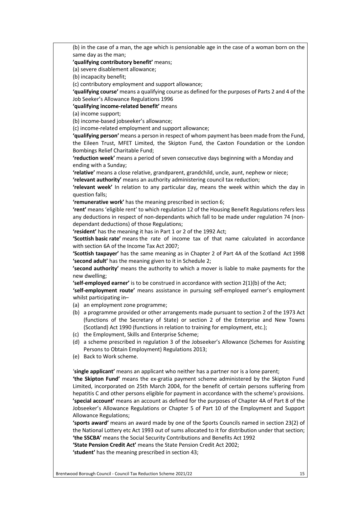(b) in the case of a man, the age which is pensionable age in the case of a woman born on the same day as the man;

**'qualifying contributory benefit'** means;

(a) severe disablement allowance;

(b) incapacity benefit;

(c) contributory employment and support allowance;

 **'qualifying course'** means a qualifying course as defined for the purposes of Parts 2 and 4 of the Job Seeker's Allowance Regulations 1996

**'qualifying income-related benefit'** means

(a) income support;

(b) income-based jobseeker's allowance;

(c) income-related employment and support allowance;

 **'qualifying person'** means a person in respect of whom payment has been made from the Fund, the Eileen Trust, MFET Limited, the Skipton Fund, the Caxton Foundation or the London Bombings Relief Charitable Fund;

 **'reduction week'** means a period of seven consecutive days beginning with a Monday and ending with a Sunday;

 **'relative'** means a close relative, grandparent, grandchild, uncle, aunt, nephew or niece; **'relevant authority'** means an authority administering council tax reduction;

 **'relevant week'** In relation to any particular day, means the week within which the day in question falls;

**'remunerative work'** has the meaning prescribed in section 6;

 **'rent'** means 'eligible rent' to which regulation 12 of the Housing Benefit Regulations refers less any deductions in respect of non-dependants which fall to be made under regulation 74 (non-dependant deductions) of those Regulations;

**'resident'** has the meaning it has in Part 1 or 2 of the 1992 Act;

 **'Scottish basic rate'** means the rate of income tax of that name calculated in accordance with section 6A of the Income Tax Act 2007;

 **'Scottish taxpayer'** has the same meaning as in Chapter 2 of Part 4A of the Scotland Act 1998 **'second adult'** has the meaning given to it in Schedule 2;

 **'second authority'** means the authority to which a mover is liable to make payments for the new dwelling;

**'self-employed earner'** is to be construed in accordance with section 2(1)(b) of the Act;

 **'self-employment route'** means assistance in pursuing self-employed earner's employment whilst participating in–

- (a) an employment zone programme;
- (b) a programme provided or other arrangements made pursuant to section 2 of the 1973 Act (functions of the Secretary of State) or section 2 of the Enterprise and New Towns (Scotland) Act 1990 (functions in relation to training for employment, etc.);
- (c) the Employment, Skills and Enterprise Scheme;
- (d) a scheme prescribed in regulation 3 of the Jobseeker's Allowance (Schemes for Assisting Persons to Obtain Employment) Regulations 2013;
- (e) Back to Work scheme.

'**single applicant'** means an applicant who neither has a partner nor is a lone parent;

 **'the Skipton Fund'** means the ex-gratia payment scheme administered by the Skipton Fund Limited, incorporated on 25th March 2004, for the benefit of certain persons suffering from hepatitis C and other persons eligible for payment in accordance with the scheme's provisions. **'special account'** means an account as defined for the purposes of Chapter 4A of Part 8 of the Jobseeker's Allowance Regulations or Chapter 5 of Part 10 of the Employment and Support Allowance Regulations;

 **'sports award'** means an award made by one of the Sports Councils named in section 23(2) of the National Lottery etc Act 1993 out of sums allocated to it for distribution under that section; **'the SSCBA'** means the Social Security Contributions and Benefits Act 1992

 **'State Pension Credit Act'** means the State Pension Credit Act 2002;

**'student'** has the meaning prescribed in section 43;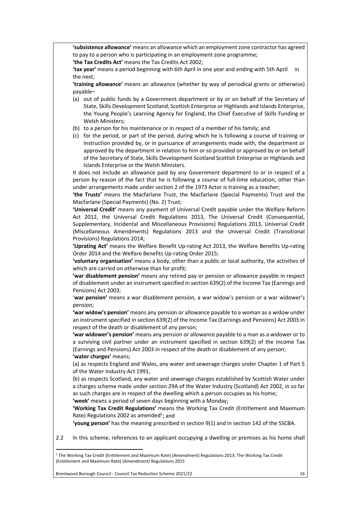**'subsistence allowance'** means an allowance which an employment zone contractor has agreed to pay to a person who is participating in an employment zone programme;

 **'the Tax Credits Act'** means the Tax Credits Act 2002;

 **'tax year'** means a period beginning with 6th April in one year and ending with 5th April in the next;

 **'training allowance'** means an allowance (whether by way of periodical grants or otherwise) payable–

- (a) out of public funds by a Government department or by or on behalf of the Secretary of State, Skills Development Scotland, Scottish Enterprise or Highlands and Islands Enterprise, the Young People's Learning Agency for England, the Chief Executive of Skills Funding or Welsh Ministers;
- (b) to a person for his maintenance or in respect of a member of his family; and
- (c) for the period, or part of the period, during which he is following a course of training or instruction provided by, or in pursuance of arrangements made with, the department or approved by the department in relation to him or so provided or approved by or on behalf of the Secretary of State, Skills Development Scotland Scottish Enterprise or Highlands and Islands Enterprise or the Welsh Ministers.

 It does not include an allowance paid by any Government department to or in respect of a person by reason of the fact that he is following a course of full-time education, other than under arrangements made under section 2 of the 1973 Actor is training as a teacher;

 **'the Trusts'** means the Macfarlane Trust, the Macfarlane (Special Payments) Trust and the Macfarlane (Special Payments) (No. 2) Trust;

 **'Universal Credit'** means any payment of Universal Credit payable under the Welfare Reform Act 2012, the Universal Credit Regulations 2013, The Universal Credit (Consequential, Supplementary, Incidental and Miscellaneous Provisions) Regulations 2013, Universal Credit (Miscellaneous Amendments) Regulations 2013 and the Universal Credit (Transitional Provisions) Regulations 2014;

 **'Uprating Act'** means the Welfare Benefit Up-rating Act 2013, the Welfare Benefits Up-rating Order 2014 and the Welfare Benefits Up-rating Order 2015;

 **'voluntary organisation'** means a body, other than a public or local authority, the activities of which are carried on otherwise than for profit;

 **'war disablement pension'** means any retired pay or pension or allowance payable in respect of disablement under an instrument specified in section 639(2) of the Income Tax (Earnings and Pensions) Act 2003;

 '**war pension'** means a war disablement pension, a war widow's pension or a war widower's pension;

 **'war widow's pension'** means any pension or allowance payable to a woman as a widow under an instrument specified in section 639(2) of the Income Tax (Earnings and Pensions) Act 2003 in respect of the death or disablement of any person;

 **'war widower's pension'** means any pension or allowance payable to a man as a widower or to a surviving civil partner under an instrument specified in section 639(2) of the Income Tax (Earnings and Pensions) Act 2003 in respect of the death or disablement of any person; **'water charges'** means;

 (a) as respects England and Wales, any water and sewerage charges under Chapter 1 of Part 5 of the Water Industry Act 1991,

 (b) as respects Scotland, any water and sewerage charges established by Scottish Water under a charges scheme made under section 29A of the Water Industry (Scotland) Act 2002, in so far as such charges are in respect of the dwelling which a person occupies as his home; **'week'** means a period of seven days beginning with a Monday;

 **'Working Tax Credit Regulations'** means the Working Tax Credit (Entitlement and Maximum Rate) Regulations 2002 as amended<sup>1</sup>; and

**'young person'** has the meaning prescribed in section 9(1) and in section 142 of the SSCBA.

2.2 In this scheme, references to an applicant occupying a dwelling or premises as his home shall

Brentwood Borough Council - Council Tax Reduction Scheme 2021/22 16 16

 <sup>1</sup> The Working Tax Credit (Entitlement and Maximum Rate) (Amendment) Regulations 2013; The Working Tax Credit (Entitlement and Maximum Rate) (Amendment) Regulations 2015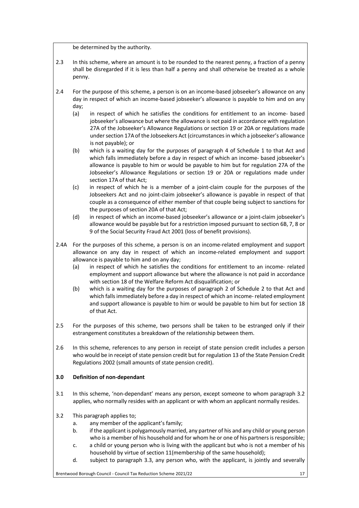be determined by the authority.

- 2.3 In this scheme, where an amount is to be rounded to the nearest penny, a fraction of a penny shall be disregarded if it is less than half a penny and shall otherwise be treated as a whole penny.
- 2.4 For the purpose of this scheme, a person is on an income-based jobseeker's allowance on any day in respect of which an income-based jobseeker's allowance is payable to him and on any day;
	- (a) in respect of which he satisfies the conditions for entitlement to an income- based jobseeker's allowance but where the allowance is not paid in accordance with regulation 27A of the Jobseeker's Allowance Regulations or section 19 or 20A or regulations made under section 17A of the Jobseekers Act (circumstances in which a jobseeker's allowance is not payable); or
	- (b) which is a waiting day for the purposes of paragraph 4 of Schedule 1 to that Act and which falls immediately before a day in respect of which an income- based jobseeker's allowance is payable to him or would be payable to him but for regulation 27A of the Jobseeker's Allowance Regulations or section 19 or 20A or regulations made under section 17A of that Act;
	- (c) in respect of which he is a member of a joint-claim couple for the purposes of the Jobseekers Act and no joint-claim jobseeker's allowance is payable in respect of that couple as a consequence of either member of that couple being subject to sanctions for the purposes of section 20A of that Act;
	- (d) in respect of which an income-based jobseeker's allowance or a joint-claim jobseeker's allowance would be payable but for a restriction imposed pursuant to section 6B, 7, 8 or 9 of the Social Security Fraud Act 2001 (loss of benefit provisions).
- 2.4A For the purposes of this scheme, a person is on an income-related employment and support allowance on any day in respect of which an income-related employment and support allowance is payable to him and on any day;
	- (a) in respect of which he satisfies the conditions for entitlement to an income- related employment and support allowance but where the allowance is not paid in accordance with section 18 of the Welfare Reform Act disqualification; or
	- (b) which is a waiting day for the purposes of paragraph 2 of Schedule 2 to that Act and which falls immediately before a day in respect of which an income- related employment and support allowance is payable to him or would be payable to him but for section 18 of that Act.
- 2.5 For the purposes of this scheme, two persons shall be taken to be estranged only if their estrangement constitutes a breakdown of the relationship between them.
- 2.6 In this scheme, references to any person in receipt of state pension credit includes a person who would be in receipt of state pension credit but for regulation 13 of the State Pension Credit Regulations 2002 (small amounts of state pension credit).

#### **3.0 Definition of non-dependant**

- 3.1 In this scheme, 'non-dependant' means any person, except someone to whom paragraph 3.2 applies, who normally resides with an applicant or with whom an applicant normally resides.
- 3.2 This paragraph applies to;
	- a. any member of the applicant's family;
	- b. if the applicant is polygamously married, any partner of his and any child or young person who is a member of his household and for whom he or one of his partners is responsible;
	- c. a child or young person who is living with the applicant but who is not a member of his household by virtue of section 11(membership of the same household);
	- d. subject to paragraph 3.3, any person who, with the applicant, is jointly and severally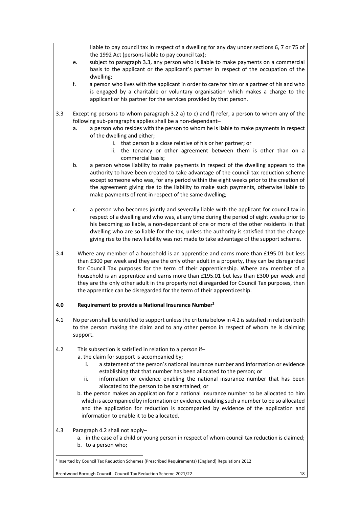liable to pay council tax in respect of a dwelling for any day under sections 6, 7 or 75 of the 1992 Act (persons liable to pay council tax);

- e. subject to paragraph 3.3, any person who is liable to make payments on a commercial basis to the applicant or the applicant's partner in respect of the occupation of the dwelling;
- f. a person who lives with the applicant in order to care for him or a partner of his and who is engaged by a charitable or voluntary organisation which makes a charge to the applicant or his partner for the services provided by that person.
- 3.3 Excepting persons to whom paragraph 3.2 a) to c) and f) refer, a person to whom any of the following sub-paragraphs applies shall be a non-dependant–
	- a. a person who resides with the person to whom he is liable to make payments in respect of the dwelling and either;
		- i. that person is a close relative of his or her partner; or
		- ii. the tenancy or other agreement between them is other than on a commercial basis;
	- b. a person whose liability to make payments in respect of the dwelling appears to the authority to have been created to take advantage of the council tax reduction scheme except someone who was, for any period within the eight weeks prior to the creation of the agreement giving rise to the liability to make such payments, otherwise liable to make payments of rent in respect of the same dwelling;
	- c. a person who becomes jointly and severally liable with the applicant for council tax in respect of a dwelling and who was, at any time during the period of eight weeks prior to his becoming so liable, a non-dependant of one or more of the other residents in that dwelling who are so liable for the tax, unless the authority is satisfied that the change giving rise to the new liability was not made to take advantage of the support scheme.
- 3.4 Where any member of a household is an apprentice and earns more than £195.01 but less than £300 per week and they are the only other adult in a property, they can be disregarded for Council Tax purposes for the term of their apprenticeship. Where any member of a household is an apprentice and earns more than £195.01 but less than £300 per week and they are the only other adult in the property not disregarded for Council Tax purposes, then the apprentice can be disregarded for the term of their apprenticeship.

# **4.0 Requirement to provide a National Insurance Number2**

- 4.1 No person shall be entitled to support unless the criteria below in 4.2 is satisfied in relation both to the person making the claim and to any other person in respect of whom he is claiming support.
- 4.2 This subsection is satisfied in relation to a person if–
	- a. the claim for support is accompanied by;
		- i. a statement of the person's national insurance number and information or evidence establishing that that number has been allocated to the person; or
		- ii. information or evidence enabling the national insurance number that has been allocated to the person to be ascertained; or
	- b. the person makes an application for a national insurance number to be allocated to him which is accompanied by information or evidence enabling such a number to be so allocated and the application for reduction is accompanied by evidence of the application and information to enable it to be allocated.
- 4.3 Paragraph 4.2 shall not apply–
	- a. in the case of a child or young person in respect of whom council tax reduction is claimed; b. to a person who;

Brentwood Borough Council - Council Tax Reduction Scheme 2021/22 18 18

 <sup>2</sup> Inserted by Council Tax Reduction Schemes (Prescribed Requirements) (England) Regulations 2012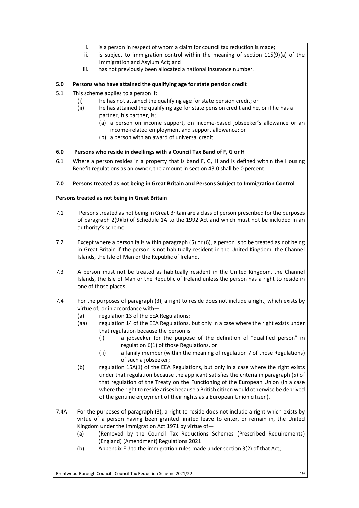- i. is a person in respect of whom a claim for council tax reduction is made;
- ii. is subject to immigration control within the meaning of section 115(9)(a) of the Immigration and Asylum Act; and
- iii. has not previously been allocated a national insurance number.

#### **5.0 Persons who have attained the qualifying age for state pension credit**

- 5.1 This scheme applies to a person if:
	- (i) he has not attained the qualifying age for state pension credit; or
	- (ii) he has attained the qualifying age for state pension credit and he, or if he has a partner, his partner, is;
		- (a) a person on income support, on income-based jobseeker's allowance or an income-related employment and support allowance; or
		- (b) a person with an award of universal credit.

#### **6.0 Persons who reside in dwellings with a Council Tax Band of F, G or H**

 6.1 Where a person resides in a property that is band F, G, H and is defined within the Housing Benefit regulations as an owner, the amount in section 43.0 shall be 0 percent.

### **7.0 Persons treated as not being in Great Britain and Persons Subject to Immigration Control**

### **Persons treated as not being in Great Britain**

- $7.1$  of paragraph 2(9)(b) of Schedule 1A to the 1992 Act and which must not be included in an authority's scheme. Persons treated as not being in Great Britain are a class of person prescribed for the purposes
- 7.2 Except where a person falls within paragraph (5) or (6), a person is to be treated as not being in Great Britain if the person is not habitually resident in the United Kingdom, the Channel Islands, the Isle of Man or the Republic of Ireland.
- 7.3 A person must not be treated as habitually resident in the United Kingdom, the Channel Islands, the Isle of Man or the Republic of Ireland unless the person has a right to reside in one of those places.
- 7**.**4 For the purposes of paragraph (3), a right to reside does not include a right, which exists by virtue of, or in accordance with—
	- (a) regulation 13 of the EEA Regulations;
	- $(aa)$  that regulation because the person is regulation 14 of the EEA Regulations, but only in a case where the right exists under
		- (i) a jobseeker for the purpose of the definition of "qualified person" in regulation 6(1) of those Regulations, or
		- (ii) a family member (within the meaning of regulation 7 of those Regulations) of such a jobseeker;
	- (b) regulation 15A(1) of the EEA Regulations, but only in a case where the right exists under that regulation because the applicant satisfies the criteria in paragraph (5) of that regulation of the Treaty on the Functioning of the European Union (in a case where the right to reside arises because a British citizen would otherwise be deprived of the genuine enjoyment of their rights as a European Union citizen).
- $7.4A$  virtue of a person having been granted limited leave to enter, or remain in, the United Kingdom under the Immigration Act 1971 by virtue of— For the purposes of paragraph (3), a right to reside does not include a right which exists by
	- (a) (Removed by the Council Tax Reductions Schemes (Prescribed Requirements) (England) (Amendment) Regulations 2021
	- (b) Appendix EU to the immigration rules made under section 3(2) of that Act;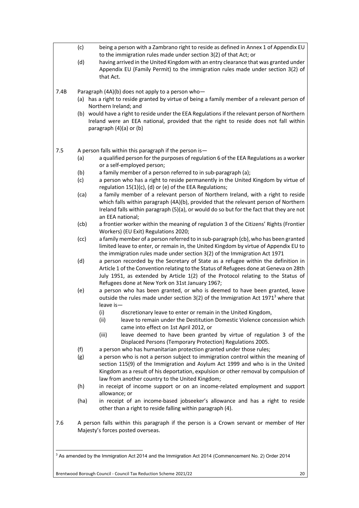| (d)<br>having arrived in the United Kingdom with an entry clearance that was granted under<br>Appendix EU (Family Permit) to the immigration rules made under section 3(2) of<br>that Act.<br>7.4B<br>Paragraph (4A)(b) does not apply to a person who-<br>(a) has a right to reside granted by virtue of being a family member of a relevant person of<br>Northern Ireland; and<br>(b) would have a right to reside under the EEA Regulations if the relevant person of Northern<br>Ireland were an EEA national, provided that the right to reside does not fall within<br>paragraph (4)(a) or (b)<br>7.5<br>A person falls within this paragraph if the person is-<br>a qualified person for the purposes of regulation 6 of the EEA Regulations as a worker<br>(a)<br>or a self-employed person;<br>(b)<br>a family member of a person referred to in sub-paragraph (a);<br>(c)<br>a person who has a right to reside permanently in the United Kingdom by virtue of<br>regulation 15(1)(c), (d) or (e) of the EEA Regulations;<br>(ca)<br>a family member of a relevant person of Northern Ireland, with a right to reside<br>which falls within paragraph (4A)(b), provided that the relevant person of Northern<br>Ireland falls within paragraph (5)(a), or would do so but for the fact that they are not<br>an EEA national;<br>a frontier worker within the meaning of regulation 3 of the Citizens' Rights (Frontier<br>(cb)<br>Workers) (EU Exit) Regulations 2020;<br>a family member of a person referred to in sub-paragraph (cb), who has been granted<br>(cc)<br>limited leave to enter, or remain in, the United Kingdom by virtue of Appendix EU to<br>the immigration rules made under section 3(2) of the Immigration Act 1971<br>(d)<br>a person recorded by the Secretary of State as a refugee within the definition in<br>Article 1 of the Convention relating to the Status of Refugees done at Geneva on 28th<br>July 1951, as extended by Article 1(2) of the Protocol relating to the Status of<br>Refugees done at New York on 31st January 1967;<br>(e)<br>a person who has been granted, or who is deemed to have been granted, leave<br>outside the rules made under section 3(2) of the Immigration Act 1971 <sup>3</sup> where that<br>leave is-<br>(i)<br>discretionary leave to enter or remain in the United Kingdom,<br>(ii)<br>leave to remain under the Destitution Domestic Violence concession which<br>came into effect on 1st April 2012, or<br>leave deemed to have been granted by virtue of regulation 3 of the<br>(iii)<br>Displaced Persons (Temporary Protection) Regulations 2005.<br>(f)<br>a person who has humanitarian protection granted under those rules;<br>(g)<br>a person who is not a person subject to immigration control within the meaning of<br>section 115(9) of the Immigration and Asylum Act 1999 and who is in the United<br>Kingdom as a result of his deportation, expulsion or other removal by compulsion of<br>law from another country to the United Kingdom;<br>(h)<br>in receipt of income support or on an income-related employment and support<br>allowance; or<br>in receipt of an income-based jobseeker's allowance and has a right to reside<br>(ha)<br>other than a right to reside falling within paragraph (4).<br>7.6<br>A person falls within this paragraph if the person is a Crown servant or member of Her<br>Majesty's forces posted overseas. | being a person with a Zambrano right to reside as defined in Annex 1 of Appendix EU |
|---------------------------------------------------------------------------------------------------------------------------------------------------------------------------------------------------------------------------------------------------------------------------------------------------------------------------------------------------------------------------------------------------------------------------------------------------------------------------------------------------------------------------------------------------------------------------------------------------------------------------------------------------------------------------------------------------------------------------------------------------------------------------------------------------------------------------------------------------------------------------------------------------------------------------------------------------------------------------------------------------------------------------------------------------------------------------------------------------------------------------------------------------------------------------------------------------------------------------------------------------------------------------------------------------------------------------------------------------------------------------------------------------------------------------------------------------------------------------------------------------------------------------------------------------------------------------------------------------------------------------------------------------------------------------------------------------------------------------------------------------------------------------------------------------------------------------------------------------------------------------------------------------------------------------------------------------------------------------------------------------------------------------------------------------------------------------------------------------------------------------------------------------------------------------------------------------------------------------------------------------------------------------------------------------------------------------------------------------------------------------------------------------------------------------------------------------------------------------------------------------------------------------------------------------------------------------------------------------------------------------------------------------------------------------------------------------------------------------------------------------------------------------------------------------------------------------------------------------------------------------------------------------------------------------------------------------------------------------------------------------------------------------------------------------------------------------------------------------------------------------------------------------------------------------------------------------------------------------------------------------------------------------------------------------------------------------------------------------------------------------------------------------------------------------------------------------|-------------------------------------------------------------------------------------|
|                                                                                                                                                                                                                                                                                                                                                                                                                                                                                                                                                                                                                                                                                                                                                                                                                                                                                                                                                                                                                                                                                                                                                                                                                                                                                                                                                                                                                                                                                                                                                                                                                                                                                                                                                                                                                                                                                                                                                                                                                                                                                                                                                                                                                                                                                                                                                                                                                                                                                                                                                                                                                                                                                                                                                                                                                                                                                                                                                                                                                                                                                                                                                                                                                                                                                                                                                                                                                                                   |                                                                                     |
|                                                                                                                                                                                                                                                                                                                                                                                                                                                                                                                                                                                                                                                                                                                                                                                                                                                                                                                                                                                                                                                                                                                                                                                                                                                                                                                                                                                                                                                                                                                                                                                                                                                                                                                                                                                                                                                                                                                                                                                                                                                                                                                                                                                                                                                                                                                                                                                                                                                                                                                                                                                                                                                                                                                                                                                                                                                                                                                                                                                                                                                                                                                                                                                                                                                                                                                                                                                                                                                   |                                                                                     |
|                                                                                                                                                                                                                                                                                                                                                                                                                                                                                                                                                                                                                                                                                                                                                                                                                                                                                                                                                                                                                                                                                                                                                                                                                                                                                                                                                                                                                                                                                                                                                                                                                                                                                                                                                                                                                                                                                                                                                                                                                                                                                                                                                                                                                                                                                                                                                                                                                                                                                                                                                                                                                                                                                                                                                                                                                                                                                                                                                                                                                                                                                                                                                                                                                                                                                                                                                                                                                                                   |                                                                                     |
|                                                                                                                                                                                                                                                                                                                                                                                                                                                                                                                                                                                                                                                                                                                                                                                                                                                                                                                                                                                                                                                                                                                                                                                                                                                                                                                                                                                                                                                                                                                                                                                                                                                                                                                                                                                                                                                                                                                                                                                                                                                                                                                                                                                                                                                                                                                                                                                                                                                                                                                                                                                                                                                                                                                                                                                                                                                                                                                                                                                                                                                                                                                                                                                                                                                                                                                                                                                                                                                   |                                                                                     |
|                                                                                                                                                                                                                                                                                                                                                                                                                                                                                                                                                                                                                                                                                                                                                                                                                                                                                                                                                                                                                                                                                                                                                                                                                                                                                                                                                                                                                                                                                                                                                                                                                                                                                                                                                                                                                                                                                                                                                                                                                                                                                                                                                                                                                                                                                                                                                                                                                                                                                                                                                                                                                                                                                                                                                                                                                                                                                                                                                                                                                                                                                                                                                                                                                                                                                                                                                                                                                                                   |                                                                                     |
|                                                                                                                                                                                                                                                                                                                                                                                                                                                                                                                                                                                                                                                                                                                                                                                                                                                                                                                                                                                                                                                                                                                                                                                                                                                                                                                                                                                                                                                                                                                                                                                                                                                                                                                                                                                                                                                                                                                                                                                                                                                                                                                                                                                                                                                                                                                                                                                                                                                                                                                                                                                                                                                                                                                                                                                                                                                                                                                                                                                                                                                                                                                                                                                                                                                                                                                                                                                                                                                   |                                                                                     |
|                                                                                                                                                                                                                                                                                                                                                                                                                                                                                                                                                                                                                                                                                                                                                                                                                                                                                                                                                                                                                                                                                                                                                                                                                                                                                                                                                                                                                                                                                                                                                                                                                                                                                                                                                                                                                                                                                                                                                                                                                                                                                                                                                                                                                                                                                                                                                                                                                                                                                                                                                                                                                                                                                                                                                                                                                                                                                                                                                                                                                                                                                                                                                                                                                                                                                                                                                                                                                                                   |                                                                                     |
|                                                                                                                                                                                                                                                                                                                                                                                                                                                                                                                                                                                                                                                                                                                                                                                                                                                                                                                                                                                                                                                                                                                                                                                                                                                                                                                                                                                                                                                                                                                                                                                                                                                                                                                                                                                                                                                                                                                                                                                                                                                                                                                                                                                                                                                                                                                                                                                                                                                                                                                                                                                                                                                                                                                                                                                                                                                                                                                                                                                                                                                                                                                                                                                                                                                                                                                                                                                                                                                   |                                                                                     |
|                                                                                                                                                                                                                                                                                                                                                                                                                                                                                                                                                                                                                                                                                                                                                                                                                                                                                                                                                                                                                                                                                                                                                                                                                                                                                                                                                                                                                                                                                                                                                                                                                                                                                                                                                                                                                                                                                                                                                                                                                                                                                                                                                                                                                                                                                                                                                                                                                                                                                                                                                                                                                                                                                                                                                                                                                                                                                                                                                                                                                                                                                                                                                                                                                                                                                                                                                                                                                                                   |                                                                                     |
|                                                                                                                                                                                                                                                                                                                                                                                                                                                                                                                                                                                                                                                                                                                                                                                                                                                                                                                                                                                                                                                                                                                                                                                                                                                                                                                                                                                                                                                                                                                                                                                                                                                                                                                                                                                                                                                                                                                                                                                                                                                                                                                                                                                                                                                                                                                                                                                                                                                                                                                                                                                                                                                                                                                                                                                                                                                                                                                                                                                                                                                                                                                                                                                                                                                                                                                                                                                                                                                   |                                                                                     |
|                                                                                                                                                                                                                                                                                                                                                                                                                                                                                                                                                                                                                                                                                                                                                                                                                                                                                                                                                                                                                                                                                                                                                                                                                                                                                                                                                                                                                                                                                                                                                                                                                                                                                                                                                                                                                                                                                                                                                                                                                                                                                                                                                                                                                                                                                                                                                                                                                                                                                                                                                                                                                                                                                                                                                                                                                                                                                                                                                                                                                                                                                                                                                                                                                                                                                                                                                                                                                                                   |                                                                                     |
|                                                                                                                                                                                                                                                                                                                                                                                                                                                                                                                                                                                                                                                                                                                                                                                                                                                                                                                                                                                                                                                                                                                                                                                                                                                                                                                                                                                                                                                                                                                                                                                                                                                                                                                                                                                                                                                                                                                                                                                                                                                                                                                                                                                                                                                                                                                                                                                                                                                                                                                                                                                                                                                                                                                                                                                                                                                                                                                                                                                                                                                                                                                                                                                                                                                                                                                                                                                                                                                   |                                                                                     |
|                                                                                                                                                                                                                                                                                                                                                                                                                                                                                                                                                                                                                                                                                                                                                                                                                                                                                                                                                                                                                                                                                                                                                                                                                                                                                                                                                                                                                                                                                                                                                                                                                                                                                                                                                                                                                                                                                                                                                                                                                                                                                                                                                                                                                                                                                                                                                                                                                                                                                                                                                                                                                                                                                                                                                                                                                                                                                                                                                                                                                                                                                                                                                                                                                                                                                                                                                                                                                                                   |                                                                                     |
|                                                                                                                                                                                                                                                                                                                                                                                                                                                                                                                                                                                                                                                                                                                                                                                                                                                                                                                                                                                                                                                                                                                                                                                                                                                                                                                                                                                                                                                                                                                                                                                                                                                                                                                                                                                                                                                                                                                                                                                                                                                                                                                                                                                                                                                                                                                                                                                                                                                                                                                                                                                                                                                                                                                                                                                                                                                                                                                                                                                                                                                                                                                                                                                                                                                                                                                                                                                                                                                   |                                                                                     |
|                                                                                                                                                                                                                                                                                                                                                                                                                                                                                                                                                                                                                                                                                                                                                                                                                                                                                                                                                                                                                                                                                                                                                                                                                                                                                                                                                                                                                                                                                                                                                                                                                                                                                                                                                                                                                                                                                                                                                                                                                                                                                                                                                                                                                                                                                                                                                                                                                                                                                                                                                                                                                                                                                                                                                                                                                                                                                                                                                                                                                                                                                                                                                                                                                                                                                                                                                                                                                                                   |                                                                                     |
|                                                                                                                                                                                                                                                                                                                                                                                                                                                                                                                                                                                                                                                                                                                                                                                                                                                                                                                                                                                                                                                                                                                                                                                                                                                                                                                                                                                                                                                                                                                                                                                                                                                                                                                                                                                                                                                                                                                                                                                                                                                                                                                                                                                                                                                                                                                                                                                                                                                                                                                                                                                                                                                                                                                                                                                                                                                                                                                                                                                                                                                                                                                                                                                                                                                                                                                                                                                                                                                   |                                                                                     |
|                                                                                                                                                                                                                                                                                                                                                                                                                                                                                                                                                                                                                                                                                                                                                                                                                                                                                                                                                                                                                                                                                                                                                                                                                                                                                                                                                                                                                                                                                                                                                                                                                                                                                                                                                                                                                                                                                                                                                                                                                                                                                                                                                                                                                                                                                                                                                                                                                                                                                                                                                                                                                                                                                                                                                                                                                                                                                                                                                                                                                                                                                                                                                                                                                                                                                                                                                                                                                                                   |                                                                                     |

<sup>&</sup>lt;sup>3</sup> As amended by the Immigration Act 2014 and the Immigration Act 2014 (Commencement No. 2) Order 2014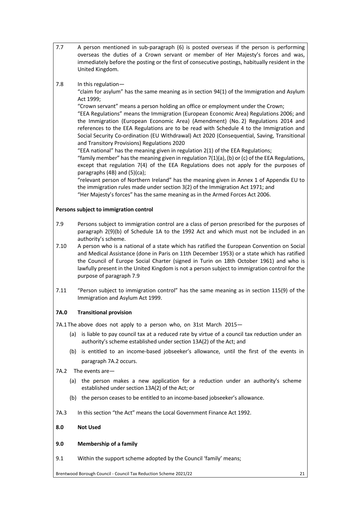- 7.7 A person mentioned in sub-paragraph (6) is posted overseas if the person is performing overseas the duties of a Crown servant or member of Her Majesty's forces and was, immediately before the posting or the first of consecutive postings, habitually resident in the United Kingdom.
- In this regulation-

 7.8 In this regulation— "claim for asylum" has the same meaning as in section 94(1) of the Immigration and Asylum Act 1999;

"Crown servant" means a person holding an office or employment under the Crown;

 "EEA Regulations" means the Immigration (European Economic Area) Regulations 2006; and references to the EEA Regulations are to be read with Schedule 4 to the Immigration and Social Security Co-ordination (EU Withdrawal) Act 2020 (Consequential, Saving, Transitional and Transitory Provisions) Regulations 2020 the Immigration (European Economic Area) (Amendment) (No. 2) Regulations 2014 and

"EEA national" has the meaning given in regulation 2(1) of the EEA Regulations;

"family member" has the meaning given in regulation  $7(1)(a)$ , (b) or (c) of the EEA Regulations, except that regulation 7(4) of the EEA Regulations does not apply for the purposes of paragraphs (4B) and (5)(ca);

 "relevant person of Northern Ireland" has the meaning given in Annex 1 of Appendix EU to the immigration rules made under section 3(2) of the Immigration Act 1971; and

"Her Majesty's forces" has the same meaning as in the Armed Forces Act 2006.

### **Persons subject to immigration control**

- 7.9 Persons subject to immigration control are a class of person prescribed for the purposes of paragraph 2(9)(b) of Schedule 1A to the 1992 Act and which must not be included in an authority's scheme.
- 7.10 A person who is a national of a state which has ratified the European Convention on Social and Medical Assistance (done in Paris on 11th December 1953) or a state which has ratified the Council of Europe Social Charter (signed in Turin on 18th October 1961) and who is lawfully present in the United Kingdom is not a person subject to immigration control for the purpose of paragraph 7.9
- $7.11$  Immigration and Asylum Act 1999. "Person subject to immigration control" has the same meaning as in section  $115(9)$  of the

# **7A.0 Transitional provision**

7A.1 The above does not apply to a person who, on 31st March 2015—

- (a) is liable to pay council tax at a reduced rate by virtue of a council tax reduction under an authority's scheme established under section 13A(2) of the Act; and
- (b) is entitled to an income-based jobseeker's allowance, until the first of the events in paragraph 7A.2 occurs.
- 7A.2 The events are—
	- (a) the person makes a new application for a reduction under an authority's scheme established under section 13A(2) of the Act; or
	- (b) the person ceases to be entitled to an income-based jobseeker's allowance.
- $7A.3$ In this section "the Act" means the Local Government Finance Act 1992.

## **8.0 Not Used**

#### **9.0 Membership of a family**

9.1 Within the support scheme adopted by the Council 'family' means;

Brentwood Borough Council - Council Tax Reduction Scheme 2021/22 21 21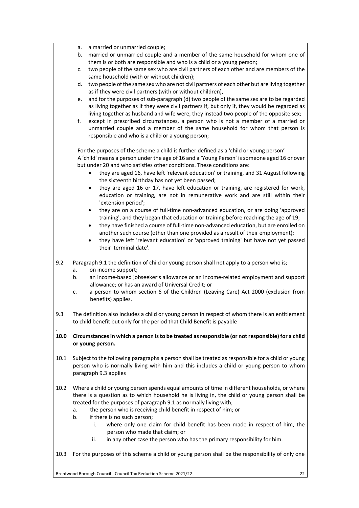|      | а.       | a married or unmarried couple;                                                                                                                                                                                                                                                                                                                                                                                                                                                      |
|------|----------|-------------------------------------------------------------------------------------------------------------------------------------------------------------------------------------------------------------------------------------------------------------------------------------------------------------------------------------------------------------------------------------------------------------------------------------------------------------------------------------|
|      | b.       | married or unmarried couple and a member of the same household for whom one of<br>them is or both are responsible and who is a child or a young person;                                                                                                                                                                                                                                                                                                                             |
|      | c.       | two people of the same sex who are civil partners of each other and are members of the<br>same household (with or without children);                                                                                                                                                                                                                                                                                                                                                |
|      | d.       | two people of the same sex who are not civil partners of each other but are living together<br>as if they were civil partners (with or without children),                                                                                                                                                                                                                                                                                                                           |
|      | e.       | and for the purposes of sub-paragraph (d) two people of the same sex are to be regarded<br>as living together as if they were civil partners if, but only if, they would be regarded as<br>living together as husband and wife were, they instead two people of the opposite sex;                                                                                                                                                                                                   |
|      | f.       | except in prescribed circumstances, a person who is not a member of a married or<br>unmarried couple and a member of the same household for whom that person is<br>responsible and who is a child or a young person;                                                                                                                                                                                                                                                                |
|      |          | For the purposes of the scheme a child is further defined as a 'child or young person'<br>A 'child' means a person under the age of 16 and a 'Young Person' is someone aged 16 or over<br>but under 20 and who satisfies other conditions. These conditions are:<br>they are aged 16, have left 'relevant education' or training, and 31 August following<br>the sixteenth birthday has not yet been passed;                                                                        |
|      |          | they are aged 16 or 17, have left education or training, are registered for work,<br>$\bullet$<br>education or training, are not in remunerative work and are still within their<br>'extension period';                                                                                                                                                                                                                                                                             |
|      |          | they are on a course of full-time non-advanced education, or are doing 'approved<br>$\bullet$<br>training', and they began that education or training before reaching the age of 19;<br>they have finished a course of full-time non-advanced education, but are enrolled on<br>٠<br>another such course (other than one provided as a result of their employment);<br>they have left 'relevant education' or 'approved training' but have not yet passed<br>their 'terminal date'. |
| 9.2  |          | Paragraph 9.1 the definition of child or young person shall not apply to a person who is;                                                                                                                                                                                                                                                                                                                                                                                           |
|      | a.<br>b. | on income support;<br>an income-based jobseeker's allowance or an income-related employment and support                                                                                                                                                                                                                                                                                                                                                                             |
|      | c.       | allowance; or has an award of Universal Credit; or<br>a person to whom section 6 of the Children (Leaving Care) Act 2000 (exclusion from<br>benefits) applies.                                                                                                                                                                                                                                                                                                                      |
| 9.3  |          | The definition also includes a child or young person in respect of whom there is an entitlement<br>to child benefit but only for the period that Child Benefit is payable                                                                                                                                                                                                                                                                                                           |
| 10.0 |          | Circumstances in which a person is to be treated as responsible (or not responsible) for a child<br>or young person.                                                                                                                                                                                                                                                                                                                                                                |
| 10.1 |          | Subject to the following paragraphs a person shall be treated as responsible for a child or young<br>person who is normally living with him and this includes a child or young person to whom<br>paragraph 9.3 applies                                                                                                                                                                                                                                                              |
| 10.2 | a.<br>b. | Where a child or young person spends equal amounts of time in different households, or where<br>there is a question as to which household he is living in, the child or young person shall be<br>treated for the purposes of paragraph 9.1 as normally living with;<br>the person who is receiving child benefit in respect of him; or<br>if there is no such person;                                                                                                               |
|      |          | where only one claim for child benefit has been made in respect of him, the<br>i.<br>person who made that claim; or<br>in any other case the person who has the primary responsibility for him.<br>ii.                                                                                                                                                                                                                                                                              |
| 10.3 |          | For the purposes of this scheme a child or young person shall be the responsibility of only one                                                                                                                                                                                                                                                                                                                                                                                     |

Brentwood Borough Council - Council Tax Reduction Scheme 2021/22 22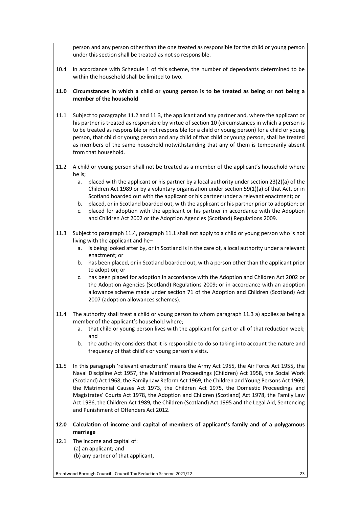under this section shall be treated as not so responsible. person and any person other than the one treated as responsible for the child or young person

 10.4 In accordance with Schedule 1 of this scheme, the number of dependants determined to be within the household shall be limited to two.

#### **11.0 Circumstances in which a child or young person is to be treated as being or not being a member of the household**

- 11.1 Subject to paragraphs 11.2 and 11.3, the applicant and any partner and, where the applicant or his partner is treated as responsible by virtue of section 10 (circumstances in which a person is to be treated as responsible or not responsible for a child or young person) for a child or young person, that child or young person and any child of that child or young person, shall be treated as members of the same household notwithstanding that any of them is temporarily absent from that household.
- 11.2 A child or young person shall not be treated as a member of the applicant's household where he is;
	- Children Act 1989 or by a voluntary organisation under section 59(1)(a) of that Act, or in Scotland boarded out with the applicant or his partner under a relevant enactment; or a. placed with the applicant or his partner by a local authority under section 23(2)(a) of the
	- b. placed, or in Scotland boarded out, with the applicant or his partner prior to adoption; or
	- c. placed for adoption with the applicant or his partner in accordance with the Adoption and Children Act 2002 or the Adoption Agencies (Scotland) Regulations 2009.
- 11.3 Subject to paragraph 11.4, paragraph 11.1 shall not apply to a child or young person who is not living with the applicant and he–
	- a. is being looked after by, or in Scotland is in the care of, a local authority under a relevant enactment; or
	- b. has been placed, or in Scotland boarded out, with a person other than the applicant prior to adoption; or
	- c. has been placed for adoption in accordance with the Adoption and Children Act 2002 or the Adoption Agencies (Scotland) Regulations 2009; or in accordance with an adoption allowance scheme made under section 71 of the Adoption and Children (Scotland) Act 2007 (adoption allowances schemes).
- 11.4 The authority shall treat a child or young person to whom paragraph 11.3 a) applies as being a member of the applicant's household where;
	- a. that child or young person lives with the applicant for part or all of that reduction week; and
	- b. the authority considers that it is responsible to do so taking into account the nature and frequency of that child's or young person's visits.
- 11.5 In this paragraph 'relevant enactment' means the Army Act 1955, the Air Force Act 1955**,** the Naval Discipline Act 1957, the Matrimonial Proceedings (Children) Act 1958, the Social Work (Scotland) Act 1968, the Family Law Reform Act 1969, the Children and Young Persons Act 1969, the Matrimonial Causes Act 1973, the Children Act 1975, the Domestic Proceedings and Magistrates' Courts Act 1978, the Adoption and Children (Scotland) Act 1978, the Family Law Act 1986, the Children Act 1989**,** the Children (Scotland) Act 1995 and the Legal Aid, Sentencing and Punishment of Offenders Act 2012.
- **12.0 Calculation of income and capital of members of applicant's family and of a polygamous marriage**
- 12.1 The income and capital of: (b) any partner of that applicant, (a) an applicant; and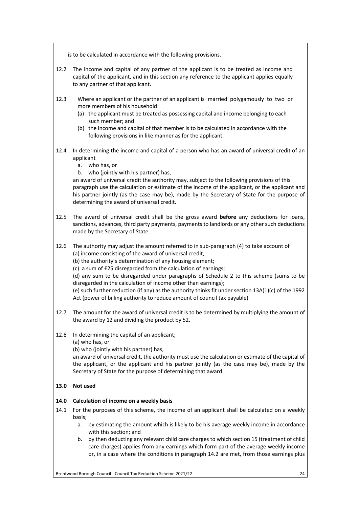is to be calculated in accordance with the following provisions.

- 12.2 The income and capital of any partner of the applicant is to be treated as income and capital of the applicant, and in this section any reference to the applicant applies equally to any partner of that applicant.
- 12.3 Where an applicant or the partner of an applicant is married polygamously to two or more members of his household:
	- (a) the applicant must be treated as possessing capital and income belonging to each such member; and
	- (b) the income and capital of that member is to be calculated in accordance with the following provisions in like manner as for the applicant.
- 12.4 In determining the income and capital of a person who has an award of universal credit of an applicant
	- a. who has, or
	- b. who (jointly with his partner) has,

 an award of universal credit the authority may, subject to the following provisions of this paragraph use the calculation or estimate of the income of the applicant, or the applicant and his partner jointly (as the case may be), made by the Secretary of State for the purpose of determining the award of universal credit.

- 12.5 The award of universal credit shall be the gross award **before** any deductions for loans, sanctions, advances, third party payments, payments to landlords or any other such deductions made by the Secretary of State.
- 12.6 The authority may adjust the amount referred to in sub-paragraph (4) to take account of (a) income consisting of the award of universal credit;
	- (b) the authority's determination of any housing element;
	- (c) a sum of £25 disregarded from the calculation of earnings;

 (d) any sum to be disregarded under paragraphs of Schedule 2 to this scheme (sums to be disregarded in the calculation of income other than earnings);

 (e) such further reduction (if any) as the authority thinks fit under section 13A(1)(c) of the 1992 Act (power of billing authority to reduce amount of council tax payable)

- 12.7 The amount for the award of universal credit is to be determined by multiplying the amount of the award by 12 and dividing the product by 52.
- 12.8 In determining the capital of an applicant;
	- (a) who has, or

(b) who (jointly with his partner) has,

 an award of universal credit, the authority must use the calculation or estimate of the capital of the applicant, or the applicant and his partner jointly (as the case may be), made by the Secretary of State for the purpose of determining that award

#### **13.0 Not used**

#### **14.0 Calculation of income on a weekly basis**

- 14.1 For the purposes of this scheme, the income of an applicant shall be calculated on a weekly basis;
	- a. by estimating the amount which is likely to be his average weekly income in accordance with this section; and
	- b. by then deducting any relevant child care charges to which section 15 (treatment of child care charges) applies from any earnings which form part of the average weekly income or, in a case where the conditions in paragraph 14.2 are met, from those earnings plus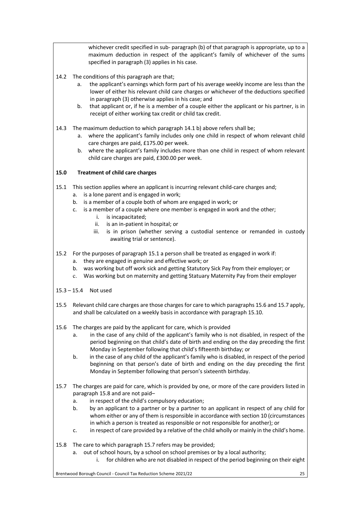whichever credit specified in sub- paragraph (b) of that paragraph is appropriate, up to a maximum deduction in respect of the applicant's family of whichever of the sums specified in paragraph (3) applies in his case.

- 14.2 The conditions of this paragraph are that;
	- a. the applicant's earnings which form part of his average weekly income are less than the lower of either his relevant child care charges or whichever of the deductions specified in paragraph (3) otherwise applies in his case; and
	- b. that applicant or, if he is a member of a couple either the applicant or his partner, is in receipt of either working tax credit or child tax credit.
- 14.3 The maximum deduction to which paragraph 14.1 b) above refers shall be;
	- a. where the applicant's family includes only one child in respect of whom relevant child care charges are paid, £175.00 per week.
	- child care charges are paid, £300.00 per week. b. where the applicant's family includes more than one child in respect of whom relevant

#### **15.0 Treatment of child care charges**

- 15.1 This section applies where an applicant is incurring relevant child-care charges and;
	- a. is a lone parent and is engaged in work;
	- b. is a member of a couple both of whom are engaged in work; or
	- c. is a member of a couple where one member is engaged in work and the other;
		- i. is incapacitated;
		- ii. is an in-patient in hospital; or
		- iii. is in prison (whether serving a custodial sentence or remanded in custody awaiting trial or sentence).
- 15.2 For the purposes of paragraph 15.1 a person shall be treated as engaged in work if:
	- a. they are engaged in genuine and effective work; or
	- b. was working but off work sick and getting Statutory Sick Pay from their employer; or
	- c. Was working but on maternity and getting Statuary Maternity Pay from their employer
- 15.3 15.4 Not used
- 15.5 Relevant child care charges are those charges for care to which paragraphs 15.6 and 15.7 apply, and shall be calculated on a weekly basis in accordance with paragraph 15.10.
- 15.6 The charges are paid by the applicant for care, which is provided
	- a. in the case of any child of the applicant's family who is not disabled, in respect of the period beginning on that child's date of birth and ending on the day preceding the first Monday in September following that child's fifteenth birthday; or
	- b. in the case of any child of the applicant's family who is disabled, in respect of the period beginning on that person's date of birth and ending on the day preceding the first Monday in September following that person's sixteenth birthday.
- 15.7 The charges are paid for care, which is provided by one, or more of the care providers listed in paragraph 15.8 and are not paid–
	- a. in respect of the child's compulsory education;
	- b. by an applicant to a partner or by a partner to an applicant in respect of any child for whom either or any of them is responsible in accordance with section 10 (circumstances in which a person is treated as responsible or not responsible for another); or
	- c. in respect of care provided by a relative of the child wholly or mainly in the child's home.
- 15.8 The care to which paragraph 15.7 refers may be provided;
	- a. out of school hours, by a school on school premises or by a local authority;
		- i. for children who are not disabled in respect of the period beginning on their eight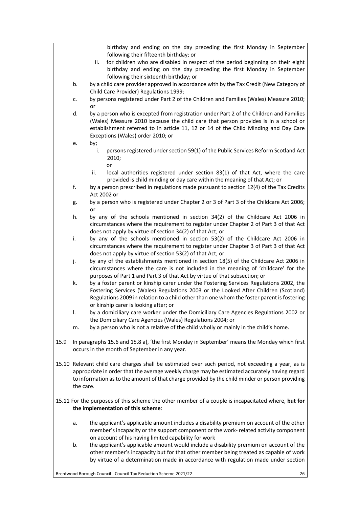birthday and ending on the day preceding the first Monday in September following their fifteenth birthday; or ii. for children who are disabled in respect of the period beginning on their eight birthday and ending on the day preceding the first Monday in September following their sixteenth birthday; or b. by a child care provider approved in accordance with by the Tax Credit (New Category of Child Care Provider) Regulations 1999; c. by persons registered under Part 2 of the Children and Families (Wales) Measure 2010; d. by a person who is excepted from registration under Part 2 of the Children and Families (Wales) Measure 2010 because the child care that person provides is in a school or establishment referred to in article 11, 12 or 14 of the Child Minding and Day Care Exceptions (Wales) order 2010; or i. persons registered under section 59(1) of the Public Services Reform Scotland Act ii. local authorities registered under section 83(1) of that Act, where the care provided is child minding or day care within the meaning of that Act; or f. by a person prescribed in regulations made pursuant to section 12(4) of the Tax Credits Act 2002 or g. by a person who is registered under Chapter 2 or 3 of Part 3 of the Childcare Act 2006; h. by any of the schools mentioned in section 34(2) of the Childcare Act 2006 in circumstances where the requirement to register under Chapter 2 of Part 3 of that Act does not apply by virtue of section 34(2) of that Act; or i. by any of the schools mentioned in section 53(2) of the Childcare Act 2006 in circumstances where the requirement to register under Chapter 3 of Part 3 of that Act does not apply by virtue of section 53(2) of that Act; or j. by any of the establishments mentioned in section 18(5) of the Childcare Act 2006 in circumstances where the care is not included in the meaning of 'childcare' for the purposes of Part 1 and Part 3 of that Act by virtue of that subsection; or k. by a foster parent or kinship carer under the Fostering Services Regulations 2002, the Fostering Services (Wales) Regulations 2003 or the Looked After Children (Scotland) Regulations 2009 in relation to a child other than one whom the foster parent is fostering or kinship carer is looking after; or l. by a domiciliary care worker under the Domiciliary Care Agencies Regulations 2002 or the Domiciliary Care Agencies (Wales) Regulations 2004; or m. by a person who is not a relative of the child wholly or mainly in the child's home. 15.9 In paragraphs 15.6 and 15.8 a), 'the first Monday in September' means the Monday which first occurs in the month of September in any year. 15.10 Relevant child care charges shall be estimated over such period, not exceeding a year, as is appropriate in order that the average weekly charge may be estimated accurately having regard to information as to the amount of that charge provided by the child minder or person providing 15.11 For the purposes of this scheme the other member of a couple is incapacitated where, **but for the implementation of this scheme**: a. the applicant's applicable amount includes a disability premium on account of the other member's incapacity or the support component or the work- related activity component on account of his having limited capability for work b. the applicant's applicable amount would include a disability premium on account of the other member's incapacity but for that other member being treated as capable of work or e. by; 2010; or or the care.

by virtue of a determination made in accordance with regulation made under section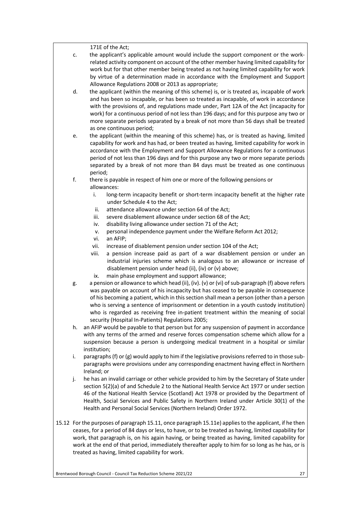171E of the Act;

| c. | the applicant's applicable amount would include the support component or the work-<br>related activity component on account of the other member having limited capability for<br>work but for that other member being treated as not having limited capability for work<br>by virtue of a determination made in accordance with the Employment and Support<br>Allowance Regulations 2008 or 2013 as appropriate;                                                                               |
|----|------------------------------------------------------------------------------------------------------------------------------------------------------------------------------------------------------------------------------------------------------------------------------------------------------------------------------------------------------------------------------------------------------------------------------------------------------------------------------------------------|
| d. | the applicant (within the meaning of this scheme) is, or is treated as, incapable of work<br>and has been so incapable, or has been so treated as incapable, of work in accordance<br>with the provisions of, and regulations made under, Part 12A of the Act (incapacity for<br>work) for a continuous period of not less than 196 days; and for this purpose any two or<br>more separate periods separated by a break of not more than 56 days shall be treated<br>as one continuous period; |
| е. | the applicant (within the meaning of this scheme) has, or is treated as having, limited<br>capability for work and has had, or been treated as having, limited capability for work in<br>accordance with the Employment and Support Allowance Regulations for a continuous<br>period of not less than 196 days and for this purpose any two or more separate periods<br>separated by a break of not more than 84 days must be treated as one continuous<br>period;                             |
| f. | there is payable in respect of him one or more of the following pensions or<br>allowances:<br>i.<br>long-term incapacity benefit or short-term incapacity benefit at the higher rate<br>under Schedule 4 to the Act;                                                                                                                                                                                                                                                                           |
|    | ii.<br>attendance allowance under section 64 of the Act;                                                                                                                                                                                                                                                                                                                                                                                                                                       |
|    | iii.<br>severe disablement allowance under section 68 of the Act;                                                                                                                                                                                                                                                                                                                                                                                                                              |
|    | disability living allowance under section 71 of the Act;<br>iv.                                                                                                                                                                                                                                                                                                                                                                                                                                |
|    | personal independence payment under the Welfare Reform Act 2012;<br>v.                                                                                                                                                                                                                                                                                                                                                                                                                         |
|    | vi.<br>an AFIP;                                                                                                                                                                                                                                                                                                                                                                                                                                                                                |
|    | vii.<br>increase of disablement pension under section 104 of the Act;                                                                                                                                                                                                                                                                                                                                                                                                                          |
|    | viii.<br>a pension increase paid as part of a war disablement pension or under an<br>industrial injuries scheme which is analogous to an allowance or increase of<br>disablement pension under head (ii), (iv) or (v) above;                                                                                                                                                                                                                                                                   |
| g. | main phase employment and support allowance;<br>ix.<br>a pension or allowance to which head (ii), (iv). (v) or (vi) of sub-paragraph (f) above refers                                                                                                                                                                                                                                                                                                                                          |
|    | was payable on account of his incapacity but has ceased to be payable in consequence<br>of his becoming a patient, which in this section shall mean a person (other than a person<br>who is serving a sentence of imprisonment or detention in a youth custody institution)<br>who is regarded as receiving free in-patient treatment within the meaning of social<br>security (Hospital In-Patients) Regulations 2005:                                                                        |
| h. | an AFIP would be payable to that person but for any suspension of payment in accordance<br>with any terms of the armed and reserve forces compensation scheme which allow for a<br>suspension because a person is undergoing medical treatment in a hospital or similar<br>institution;                                                                                                                                                                                                        |
| i. | paragraphs (f) or (g) would apply to him if the legislative provisions referred to in those sub-<br>paragraphs were provisions under any corresponding enactment having effect in Northern<br>Ireland; or                                                                                                                                                                                                                                                                                      |
| j. | he has an invalid carriage or other vehicle provided to him by the Secretary of State under<br>section 5(2)(a) of and Schedule 2 to the National Health Service Act 1977 or under section<br>46 of the National Health Service (Scotland) Act 1978 or provided by the Department of<br>Health, Social Services and Public Safety in Northern Ireland under Article 30(1) of the<br>Health and Personal Social Services (Northern Ireland) Order 1972.                                          |
|    | 15.12 For the purposes of paragraph 15.11, once paragraph 15.11e) applies to the applicant, if he then<br>ceases, for a period of 84 days or less, to have, or to be treated as having, limited capability for<br>work, that paragraph is, on his again having, or being treated as having, limited capability for<br>work at the end of that period, immediately thereafter apply to him for so long as he has, or is<br>treated as having, limited capability for work.                      |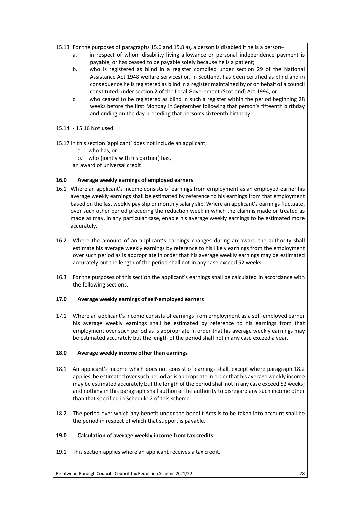15.13 For the purposes of paragraphs 15.6 and 15.8 a), a person is disabled if he is a person–

- a. in respect of whom disability living allowance or personal independence payment is payable, or has ceased to be payable solely because he is a patient;
- b. who is registered as blind in a register compiled under section 29 of the National Assistance Act 1948 welfare services) or, in Scotland, has been certified as blind and in consequence he is registered as blind in a register maintained by or on behalf of a council constituted under section 2 of the Local Government (Scotland) Act 1994; or
- c. who ceased to be registered as blind in such a register within the period beginning 28 weeks before the first Monday in September following that person's fifteenth birthday and ending on the day preceding that person's sixteenth birthday.

# 15.14 - 15.16 Not used

15.17 In this section 'applicant' does not include an applicant;

- a. who has, or
- b. who (jointly with his partner) has,
- an award of universal credit

# **16.0 Average weekly earnings of employed earners**

- 16.1 Where an applicant's income consists of earnings from employment as an employed earner his average weekly earnings shall be estimated by reference to his earnings from that employment based on the last weekly pay slip or monthly salary slip. Where an applicant's earnings fluctuate, over such other period preceding the reduction week in which the claim is made or treated as made as may, in any particular case, enable his average weekly earnings to be estimated more accurately.
- 16.2 Where the amount of an applicant's earnings changes during an award the authority shall estimate his average weekly earnings by reference to his likely earnings from the employment over such period as is appropriate in order that his average weekly earnings may be estimated accurately but the length of the period shall not in any case exceed 52 weeks.
- 16.3 For the purposes of this section the applicant's earnings shall be calculated in accordance with the following sections.

# **17.0 Average weekly earnings of self-employed earners**

 17.1 Where an applicant's income consists of earnings from employment as a self-employed earner his average weekly earnings shall be estimated by reference to his earnings from that employment over such period as is appropriate in order that his average weekly earnings may be estimated accurately but the length of the period shall not in any case exceed a year.

# **18.0 Average weekly income other than earnings**

- 18.1 An applicant's income which does not consist of earnings shall, except where paragraph 18.2 applies, be estimated over such period as is appropriate in order that his average weekly income may be estimated accurately but the length of the period shall not in any case exceed 52 weeks; and nothing in this paragraph shall authorise the authority to disregard any such income other than that specified in Schedule 2 of this scheme
- 18.2 The period over which any benefit under the benefit Acts is to be taken into account shall be the period in respect of which that support is payable.

# **19.0 Calculation of average weekly income from tax credits**

19.1 This section applies where an applicant receives a tax credit.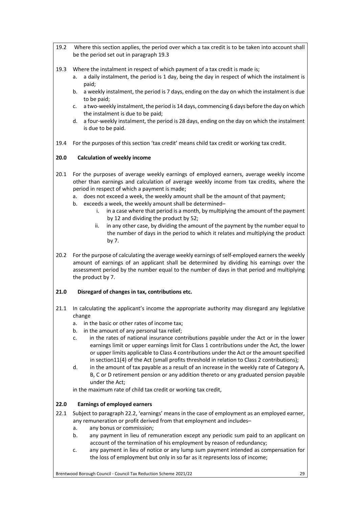- $19.2$  be the period set out in paragraph 19.3 Where this section applies, the period over which a tax credit is to be taken into account shall
- 19.3 Where the instalment in respect of which payment of a tax credit is made is;
	- a. a daily instalment, the period is 1 day, being the day in respect of which the instalment is paid;
	- b. a weekly instalment, the period is 7 days, ending on the day on which the instalment is due to be paid;
	- c. a two-weekly instalment, the period is 14 days, commencing 6 days before the day on which the instalment is due to be paid;
	- d. a four-weekly instalment, the period is 28 days, ending on the day on which the instalment is due to be paid.
- 19.4 For the purposes of this section 'tax credit' means child tax credit or working tax credit.

# **20.0 Calculation of weekly income**

- 20.1 For the purposes of average weekly earnings of employed earners, average weekly income other than earnings and calculation of average weekly income from tax credits, where the period in respect of which a payment is made;
	- a. does not exceed a week, the weekly amount shall be the amount of that payment;
	- b. exceeds a week, the weekly amount shall be determined–
		- i. in a case where that period is a month, by multiplying the amount of the payment by 12 and dividing the product by 52;
		- ii. in any other case, by dividing the amount of the payment by the number equal to the number of days in the period to which it relates and multiplying the product by 7.
- 20.2 For the purpose of calculating the average weekly earnings of self-employed earners the weekly amount of earnings of an applicant shall be determined by dividing his earnings over the assessment period by the number equal to the number of days in that period and multiplying the product by 7.

# **21.0 Disregard of changes in tax, contributions etc.**

- 21.1 In calculating the applicant's income the appropriate authority may disregard any legislative change
	- a. in the basic or other rates of income tax;
	- b. in the amount of any personal tax relief;
	- c. in the rates of national insurance contributions payable under the Act or in the lower earnings limit or upper earnings limit for Class 1 contributions under the Act, the lower or upper limits applicable to Class 4 contributions under the Act or the amount specified in section11(4) of the Act (small profits threshold in relation to Class 2 contributions);
	- d. in the amount of tax payable as a result of an increase in the weekly rate of Category A, B, C or D retirement pension or any addition thereto or any graduated pension payable under the Act;

in the maximum rate of child tax credit or working tax credit,

#### **22.0 Earnings of employed earners**

- 22.1 Subject to paragraph 22.2, 'earnings' means in the case of employment as an employed earner, any remuneration or profit derived from that employment and includes–
	- a. any bonus or commission;
	- b. any payment in lieu of remuneration except any periodic sum paid to an applicant on account of the termination of his employment by reason of redundancy;
	- c. any payment in lieu of notice or any lump sum payment intended as compensation for the loss of employment but only in so far as it represents loss of income;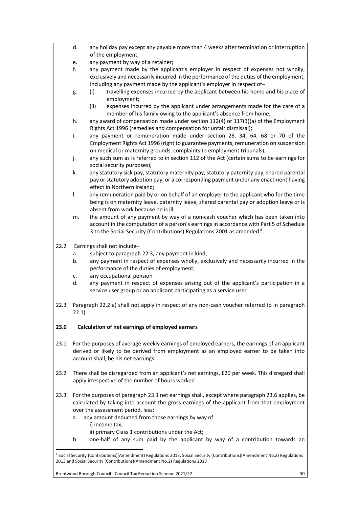- d. any holiday pay except any payable more than 4 weeks after termination or interruption of the employment; e. any payment by way of a retainer; f. any payment made by the applicant's employer in respect of expenses not wholly, exclusively and necessarily incurred in the performance of the duties of the employment, g. (i) travelling expenses incurred by the applicant between his home and his place of h. any award of compensation made under section 112(4) or 117(3)(a) of the Employment Rights Act 1996 (remedies and compensation for unfair dismissal); i. any payment or remuneration made under section 28, 34, 64, 68 or 70 of the Employment Rights Act 1996 (right to guarantee payments, remuneration on suspension j. any such sum as is referred to in section 112 of the Act (certain sums to be earnings for social security purposes); k. any statutory sick pay, statutory maternity pay, statutory paternity pay, shared parental pay or statutory adoption pay, or a corresponding payment under any enactment having effect in Northern Ireland; l. any remuneration paid by or on behalf of an employer to the applicant who for the time being is on maternity leave, paternity leave, shared parental pay or adoption leave or is absent from work because he is ill; m. the amount of any payment by way of a non-cash voucher which has been taken into account in the computation of a person's earnings in accordance with Part 5 of Schedule 3 to the Social Security (Contributions) Regulations 2001 as amended<sup>4</sup>.  $22.2$  a. subject to paragraph 22.3, any payment in kind; b. any payment in respect of expenses wholly, exclusively and necessarily incurred in the performance of the duties of employment; d. any payment in respect of expenses arising out of the applicant's participation in a service user group or an applicant participating as a service user 22.3 Paragraph 22.2 a) shall not apply in respect of any non-cash voucher referred to in paragraph  **23.0 Calculation of net earnings of employed earners**  including any payment made by the applicant's employer in respect of– employment; (ii) expenses incurred by the applicant under arrangements made for the care of a member of his family owing to the applicant's absence from home; on medical or maternity grounds, complaints to employment tribunals); Earnings shall not includec. any occupational pension 22.1)
- 23.1 For the purposes of average weekly earnings of employed earners, the earnings of an applicant derived or likely to be derived from employment as an employed earner to be taken into account shall, be his net earnings.
- 23.2 There shall be disregarded from an applicant's net earnings, £20 per week. This disregard shall apply irrespective of the number of hours worked.
- 23.3 For the purposes of paragraph 23.1 net earnings shall, except where paragraph 23.6 applies, be calculated by taking into account the gross earnings of the applicant from that employment over the assessment period, less;
	- a. any amount deducted from those earnings by way of i) income tax;
		- ii) primary Class 1 contributions under the Act;
	- b. one-half of any sum paid by the applicant by way of a contribution towards an

Brentwood Borough Council - Council Tax Reduction Scheme 2021/22 30 30

 <sup>4</sup> Social Security (Contributions)(Amendment) Regulations 2013, Social Security (Contributions)(Amendment No.2) Regulations 2013 and Social Security (Contributions)(Amendment No.2) Regulations 2013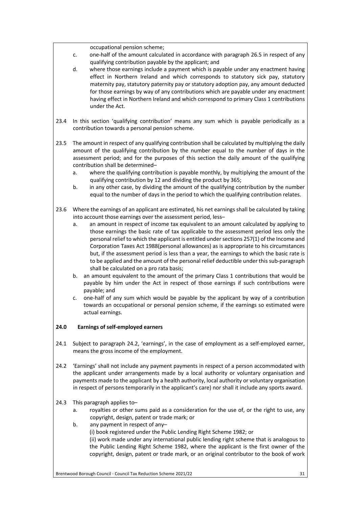occupational pension scheme;

- c. one-half of the amount calculated in accordance with paragraph 26.5 in respect of any qualifying contribution payable by the applicant; and
- d. where those earnings include a payment which is payable under any enactment having effect in Northern Ireland and which corresponds to statutory sick pay, statutory maternity pay, statutory paternity pay or statutory adoption pay, any amount deducted for those earnings by way of any contributions which are payable under any enactment under the Act. having effect in Northern Ireland and which correspond to primary Class 1 contributions
- 23.4 In this section 'qualifying contribution' means any sum which is payable periodically as a contribution towards a personal pension scheme.
- 23.5 The amount in respect of any qualifying contribution shall be calculated by multiplying the daily amount of the qualifying contribution by the number equal to the number of days in the assessment period; and for the purposes of this section the daily amount of the qualifying contribution shall be determined–
	- a. where the qualifying contribution is payable monthly, by multiplying the amount of the qualifying contribution by 12 and dividing the product by 365;
	- b. in any other case, by dividing the amount of the qualifying contribution by the number equal to the number of days in the period to which the qualifying contribution relates.
- 23.6 Where the earnings of an applicant are estimated, his net earnings shall be calculated by taking into account those earnings over the assessment period, less–
	- a. an amount in respect of income tax equivalent to an amount calculated by applying to those earnings the basic rate of tax applicable to the assessment period less only the personal relief to which the applicant is entitled under sections 257(1) of the Income and Corporation Taxes Act 1988(personal allowances) as is appropriate to his circumstances but, if the assessment period is less than a year, the earnings to which the basic rate is to be applied and the amount of the personal relief deductible under this sub-paragraph shall be calculated on a pro rata basis;
	- b. an amount equivalent to the amount of the primary Class 1 contributions that would be payable by him under the Act in respect of those earnings if such contributions were payable; and
	- c. one-half of any sum which would be payable by the applicant by way of a contribution towards an occupational or personal pension scheme, if the earnings so estimated were actual earnings.

# **24.0 Earnings of self-employed earners**

- 24.1 Subject to paragraph 24.2, 'earnings', in the case of employment as a self-employed earner, means the gross income of the employment.
- 24.2 'Earnings' shall not include any payment payments in respect of a person accommodated with the applicant under arrangements made by a local authority or voluntary organisation and payments made to the applicant by a health authority, local authority or voluntary organisation in respect of persons temporarily in the applicant's care) nor shall it include any sports award.
- 24.3 This paragraph applies to–
	- a. royalties or other sums paid as a consideration for the use of, or the right to use, any copyright, design, patent or trade mark; or
	- b. any payment in respect of any–

(i) book registered under the Public Lending Right Scheme 1982; or

 (ii) work made under any international public lending right scheme that is analogous to the Public Lending Right Scheme 1982, where the applicant is the first owner of the copyright, design, patent or trade mark, or an original contributor to the book of work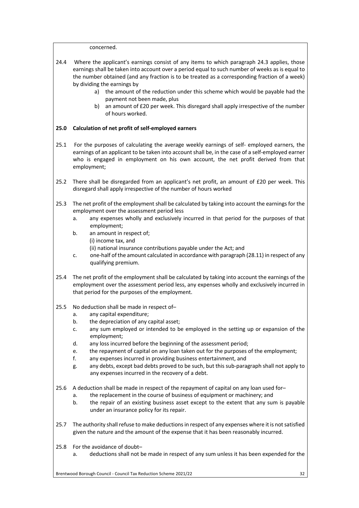concerned.

- 24.4 earnings shall be taken into account over a period equal to such number of weeks as is equal to the number obtained (and any fraction is to be treated as a corresponding fraction of a week) by dividing the earnings by 24.4 Where the applicant's earnings consist of any items to which paragraph 24.3 applies, those
	- a) the amount of the reduction under this scheme which would be payable had the payment not been made, plus
	- b) an amount of £20 per week. This disregard shall apply irrespective of the number of hours worked.

#### **25.0 Calculation of net profit of self-employed earners**

- 25.1 For the purposes of calculating the average weekly earnings of self- employed earners, the earnings of an applicant to be taken into account shall be, in the case of a self-employed earner who is engaged in employment on his own account, the net profit derived from that employment;
- 25.2 There shall be disregarded from an applicant's net profit, an amount of £20 per week. This disregard shall apply irrespective of the number of hours worked
- 25.3 The net profit of the employment shall be calculated by taking into account the earnings for the employment over the assessment period less
	- a. any expenses wholly and exclusively incurred in that period for the purposes of that employment;
	- b. an amount in respect of;
		- (i) income tax, and
		- (ii) national insurance contributions payable under the Act; and
	- c. one-half of the amount calculated in accordance with paragraph (28.11) in respect of any qualifying premium.
- 25.4 The net profit of the employment shall be calculated by taking into account the earnings of the employment over the assessment period less, any expenses wholly and exclusively incurred in that period for the purposes of the employment.
- 25.5 No deduction shall be made in respect of–
	- a. any capital expenditure;
	- b. the depreciation of any capital asset;
	- c. any sum employed or intended to be employed in the setting up or expansion of the employment;
	- d. any loss incurred before the beginning of the assessment period;
	- e. the repayment of capital on any loan taken out for the purposes of the employment;
	- f. any expenses incurred in providing business entertainment, and
	- g. any debts, except bad debts proved to be such, but this sub-paragraph shall not apply to any expenses incurred in the recovery of a debt.
- 25.6 A deduction shall be made in respect of the repayment of capital on any loan used for–
	- a. the replacement in the course of business of equipment or machinery; and
	- b. the repair of an existing business asset except to the extent that any sum is payable under an insurance policy for its repair.
- 25.7 The authority shall refuse to make deductions in respect of any expenses where it is not satisfied given the nature and the amount of the expense that it has been reasonably incurred.
- 25.8 For the avoidance of doubt–
	- a. deductions shall not be made in respect of any sum unless it has been expended for the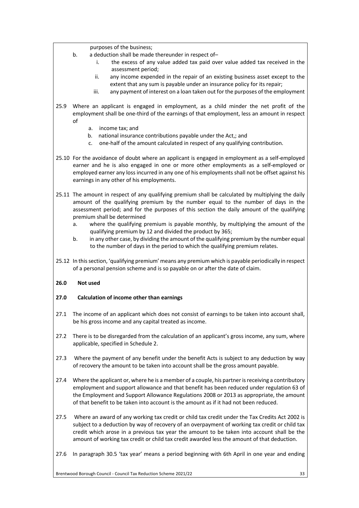purposes of the business;

- b. a deduction shall be made thereunder in respect of-
	- i. the excess of any value added tax paid over value added tax received in the assessment period;
	- ii. any income expended in the repair of an existing business asset except to the extent that any sum is payable under an insurance policy for its repair;
	- iii. any payment of interest on a loan taken out for the purposes of the employment
- 25.9 Where an applicant is engaged in employment, as a child minder the net profit of the employment shall be one-third of the earnings of that employment, less an amount in respect of
	- a. income tax; and
	- b. national insurance contributions payable under the Act,; and
	- c. one-half of the amount calculated in respect of any qualifying contribution.
- 25.10 For the avoidance of doubt where an applicant is engaged in employment as a self-employed earner and he is also engaged in one or more other employments as a self-employed or employed earner any loss incurred in any one of his employments shall not be offset against his earnings in any other of his employments.
- 25.11 The amount in respect of any qualifying premium shall be calculated by multiplying the daily amount of the qualifying premium by the number equal to the number of days in the assessment period; and for the purposes of this section the daily amount of the qualifying premium shall be determined
	- a. where the qualifying premium is payable monthly, by multiplying the amount of the qualifying premium by 12 and divided the product by 365;
	- b. in any other case, by dividing the amount of the qualifying premium by the number equal to the number of days in the period to which the qualifying premium relates.
- 25.12 In this section, 'qualifying premium' means any premium which is payable periodically in respect of a personal pension scheme and is so payable on or after the date of claim.

# **26.0 Not used**

#### **27.0 Calculation of income other than earnings**

- 27.1 The income of an applicant which does not consist of earnings to be taken into account shall, be his gross income and any capital treated as income.
- 27.2 There is to be disregarded from the calculation of an applicant's gross income, any sum, where applicable, specified in Schedule 2.
- 27.3 Where the payment of any benefit under the benefit Acts is subject to any deduction by way of recovery the amount to be taken into account shall be the gross amount payable.
- 27.4 Where the applicant or, where he is a member of a couple, his partner is receiving a contributory employment and support allowance and that benefit has been reduced under regulation 63 of the Employment and Support Allowance Regulations 2008 or 2013 as appropriate, the amount of that benefit to be taken into account is the amount as if it had not been reduced.
- $27.5$  subject to a deduction by way of recovery of an overpayment of working tax credit or child tax credit which arose in a previous tax year the amount to be taken into account shall be the amount of working tax credit or child tax credit awarded less the amount of that deduction. 27.5 Where an award of any working tax credit or child tax credit under the Tax Credits Act 2002 is
- 27.6 In paragraph 30.5 'tax year' means a period beginning with 6th April in one year and ending

Brentwood Borough Council - Council Tax Reduction Scheme 2021/22 33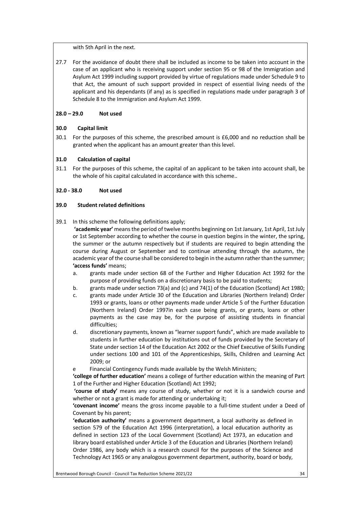with 5th April in the next.

 27.7 For the avoidance of doubt there shall be included as income to be taken into account in the case of an applicant who is receiving support under section 95 or 98 of the Immigration and that Act, the amount of such support provided in respect of essential living needs of the applicant and his dependants (if any) as is specified in regulations made under paragraph 3 of Schedule 8 to the Immigration and Asylum Act 1999. Asylum Act 1999 including support provided by virtue of regulations made under Schedule 9 to

# **28.0 – 29.0 Not used**

### **30.0 Capital limit**

 30.1 For the purposes of this scheme, the prescribed amount is £6,000 and no reduction shall be granted when the applicant has an amount greater than this level.

### **31.0 Calculation of capital**

 31.1 For the purposes of this scheme, the capital of an applicant to be taken into account shall, be the whole of his capital calculated in accordance with this scheme..

# **32.0 - 38.0 Not used**

### **39.0 Student related definitions**

### 39.1 In this scheme the following definitions apply;

 **'academic year'** means the period of twelve months beginning on 1st January, 1st April, 1st July or 1st September according to whether the course in question begins in the winter, the spring, the summer or the autumn respectively but if students are required to begin attending the course during August or September and to continue attending through the autumn, the academic year of the course shall be considered to begin in the autumn rather than the summer; **'access funds'** means;

- a. grants made under section 68 of the Further and Higher Education Act 1992 for the purpose of providing funds on a discretionary basis to be paid to students;
- b. grants made under section 73(a) and (c) and 74(1) of the Education (Scotland) Act 1980;
- c. grants made under Article 30 of the Education and Libraries (Northern Ireland) Order 1993 or grants, loans or other payments made under Article 5 of the Further Education (Northern Ireland) Order 1997in each case being grants, or grants, loans or other payments as the case may be, for the purpose of assisting students in financial difficulties;
- students in further education by institutions out of funds provided by the Secretary of State under section 14 of the Education Act 2002 or the Chief Executive of Skills Funding under sections 100 and 101 of the Apprenticeships, Skills, Children and Learning Act d. discretionary payments, known as "learner support funds", which are made available to 2009; or

e Financial Contingency Funds made available by the Welsh Ministers;

 **'college of further education'** means a college of further education within the meaning of Part 1 of the Further and Higher Education (Scotland) Act 1992;

 **'course of study'** means any course of study, whether or not it is a sandwich course and whether or not a grant is made for attending or undertaking it;

 **'covenant income'** means the gross income payable to a full-time student under a Deed of Covenant by his parent;

 **'education authority'** means a government department, a local authority as defined in section 579 of the Education Act 1996 (interpretation), a local education authority as defined in section 123 of the Local Government (Scotland) Act 1973, an education and library board established under Article 3 of the Education and Libraries (Northern Ireland) Order 1986, any body which is a research council for the purposes of the Science and Technology Act 1965 or any analogous government department, authority, board or body,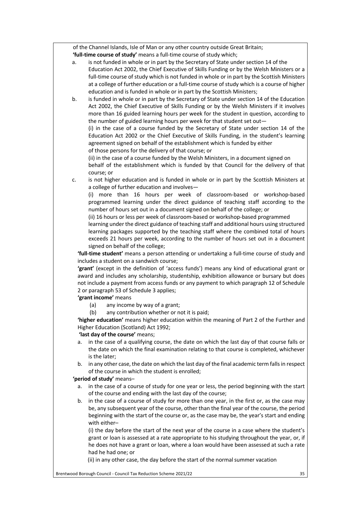of the Channel Islands, Isle of Man or any other country outside Great Britain;  **'full-time course of study'** means a full-time course of study which;

- Education Act 2002, the Chief Executive of Skills Funding or by the Welsh Ministers or a full-time course of study which is not funded in whole or in part by the Scottish Ministers at a college of further education or a full-time course of study which is a course of higher education and is funded in whole or in part by the Scottish Ministers; a. is not funded in whole or in part by the Secretary of State under section 14 of the
- b. is funded in whole or in part by the Secretary of State under section 14 of the Education Act 2002, the Chief Executive of Skills Funding or by the Welsh Ministers if it involves more than 16 guided learning hours per week for the student in question, according to the number of guided learning hours per week for that student set out—

 (i) in the case of a course funded by the Secretary of State under section 14 of the Education Act 2002 or the Chief Executive of Skills Funding, in the student's learning agreement signed on behalf of the establishment which is funded by either

of those persons for the delivery of that course; or

 (ii) in the case of a course funded by the Welsh Ministers, in a document signed on behalf of the establishment which is funded by that Council for the delivery of that course; or

 c. is not higher education and is funded in whole or in part by the Scottish Ministers at a college of further education and involves—

 (i) more than 16 hours per week of classroom-based or workshop-based programmed learning under the direct guidance of teaching staff according to the number of hours set out in a document signed on behalf of the college; or

 (ii) 16 hours or less per week of classroom-based or workshop-based programmed learning under the direct guidance of teaching staff and additional hours using structured learning packages supported by the teaching staff where the combined total of hours exceeds 21 hours per week, according to the number of hours set out in a document signed on behalf of the college;

 **'full-time student'** means a person attending or undertaking a full-time course of study and includes a student on a sandwich course;

 **'grant'** (except in the definition of 'access funds') means any kind of educational grant or award and includes any scholarship, studentship, exhibition allowance or bursary but does not include a payment from access funds or any payment to which paragraph 12 of Schedule 2 or paragraph 53 of Schedule 3 applies;

**'grant income'** means

- (a) any income by way of a grant;
- (b) any contribution whether or not it is paid;

 **'higher education'** means higher education within the meaning of Part 2 of the Further and Higher Education (Scotland) Act 1992;

# **'last day of the course'** means;

- a. in the case of a qualifying course, the date on which the last day of that course falls or the date on which the final examination relating to that course is completed, whichever is the later;
- b. in any other case, the date on which the last day of the final academic term falls in respect of the course in which the student is enrolled;

# **'period of study'** means–

- a. in the case of a course of study for one year or less, the period beginning with the start of the course and ending with the last day of the course;
- b. in the case of a course of study for more than one year, in the first or, as the case may be, any subsequent year of the course, other than the final year of the course, the period beginning with the start of the course or, as the case may be, the year's start and ending with either–

 (i) the day before the start of the next year of the course in a case where the student's grant or loan is assessed at a rate appropriate to his studying throughout the year, or, if he does not have a grant or loan, where a loan would have been assessed at such a rate had he had one; or

(ii) in any other case, the day before the start of the normal summer vacation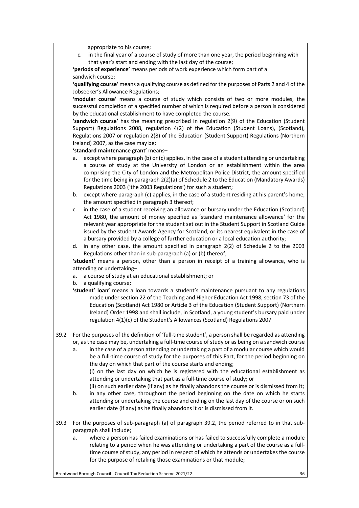appropriate to his course;

 that year's start and ending with the last day of the course; c. in the final year of a course of study of more than one year, the period beginning with

 **'periods of experience'** means periods of work experience which form part of a sandwich course;

 **'qualifying course'** means a qualifying course as defined for the purposes of Parts 2 and 4 of the Jobseeker's Allowance Regulations;

 **'modular course'** means a course of study which consists of two or more modules, the successful completion of a specified number of which is required before a person is considered by the educational establishment to have completed the course.

 **'sandwich course'** has the meaning prescribed in regulation 2(9) of the Education (Student Support) Regulations 2008, regulation 4(2) of the Education (Student Loans), (Scotland), Regulations 2007 or regulation 2(8) of the Education (Student Support) Regulations (Northern Ireland) 2007, as the case may be;

**'standard maintenance grant'** means–

- a. except where paragraph (b) or (c) applies, in the case of a student attending or undertaking a course of study at the University of London or an establishment within the area comprising the City of London and the Metropolitan Police District, the amount specified for the time being in paragraph 2(2)(a) of Schedule 2 to the Education (Mandatory Awards) Regulations 2003 ('the 2003 Regulations') for such a student;
- b. except where paragraph (c) applies, in the case of a student residing at his parent's home, the amount specified in paragraph 3 thereof;
- c. in the case of a student receiving an allowance or bursary under the Education (Scotland) Act 1980**,** the amount of money specified as 'standard maintenance allowance' for the relevant year appropriate for the student set out in the Student Support in Scotland Guide issued by the student Awards Agency for Scotland, or its nearest equivalent in the case of a bursary provided by a college of further education or a local education authority;
- d. in any other case, the amount specified in paragraph 2(2) of Schedule 2 to the 2003 Regulations other than in sub-paragraph (a) or (b) thereof;

 **'student'** means a person, other than a person in receipt of a training allowance, who is attending or undertaking–

- a. a course of study at an educational establishment; or
- b. a qualifying course;
- **'student' loan'** means a loan towards a student's maintenance pursuant to any regulations made under section 22 of the Teaching and Higher Education Act 1998, section 73 of the Education (Scotland) Act 1980 or Article 3 of the Education (Student Support) (Northern Ireland) Order 1998 and shall include, in Scotland, a young student's bursary paid under regulation 4(1)(c) of the Student's Allowances (Scotland) Regulations 2007
- 39.2 For the purposes of the definition of 'full-time student', a person shall be regarded as attending or, as the case may be, undertaking a full-time course of study or as being on a sandwich course
	- be a full-time course of study for the purposes of this Part, for the period beginning on the day on which that part of the course starts and ending; a. in the case of a person attending or undertaking a part of a modular course which would

 (i) on the last day on which he is registered with the educational establishment as attending or undertaking that part as a full-time course of study; or

- (ii) on such earlier date (if any) as he finally abandons the course or is dismissed from it; attending or undertaking the course and ending on the last day of the course or on such earlier date (if any) as he finally abandons it or is dismissed from it. b. in any other case, throughout the period beginning on the date on which he starts
- 39.3 For the purposes of sub-paragraph (a) of paragraph 39.2, the period referred to in that subparagraph shall include;
	- a. where a person has failed examinations or has failed to successfully complete a module relating to a period when he was attending or undertaking a part of the course as a full- time course of study, any period in respect of which he attends or undertakes the course for the purpose of retaking those examinations or that module;

Brentwood Borough Council - Council Tax Reduction Scheme 2021/22 36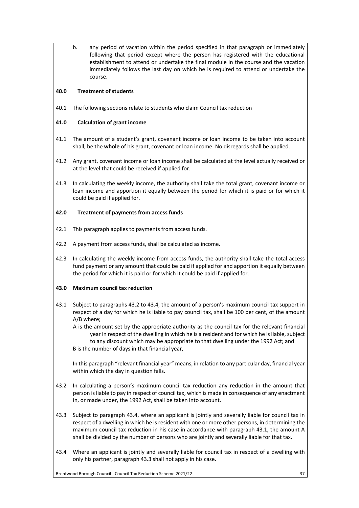following that period except where the person has registered with the educational establishment to attend or undertake the final module in the course and the vacation immediately follows the last day on which he is required to attend or undertake the b. any period of vacation within the period specified in that paragraph or immediately course.

# **40.0 Treatment of students**

40.1 The following sections relate to students who claim Council tax reduction

## **41.0 Calculation of grant income**

- 41.1 The amount of a student's grant, covenant income or loan income to be taken into account shall, be the **whole** of his grant, covenant or loan income. No disregards shall be applied.
- 41.2 Any grant, covenant income or loan income shall be calculated at the level actually received or at the level that could be received if applied for.
- 41.3 In calculating the weekly income, the authority shall take the total grant, covenant income or loan income and apportion it equally between the period for which it is paid or for which it could be paid if applied for.

# **42.0 Treatment of payments from access funds**

- 42.1 This paragraph applies to payments from access funds.
- 42.2 A payment from access funds, shall be calculated as income.
- 42.3 In calculating the weekly income from access funds, the authority shall take the total access fund payment or any amount that could be paid if applied for and apportion it equally between the period for which it is paid or for which it could be paid if applied for.

#### **43.0 Maximum council tax reduction**

 43.1 Subject to paragraphs 43.2 to 43.4, the amount of a person's maximum council tax support in respect of a day for which he is liable to pay council tax, shall be 100 per cent, of the amount A/B where;

 A is the amount set by the appropriate authority as the council tax for the relevant financial year in respect of the dwelling in which he is a resident and for which he is liable, subject to any discount which may be appropriate to that dwelling under the 1992 Act; and B is the number of days in that financial year,

 In this paragraph "relevant financial year" means, in relation to any particular day, financial year within which the day in question falls.

- 43.2 In calculating a person's maximum council tax reduction any reduction in the amount that person is liable to pay in respect of council tax, which is made in consequence of any enactment in, or made under, the 1992 Act, shall be taken into account.
- 43.3 Subject to paragraph 43.4, where an applicant is jointly and severally liable for council tax in respect of a dwelling in which he is resident with one or more other persons, in determining the maximum council tax reduction in his case in accordance with paragraph 43.1, the amount A shall be divided by the number of persons who are jointly and severally liable for that tax.
- 43.4 Where an applicant is jointly and severally liable for council tax in respect of a dwelling with only his partner, paragraph 43.3 shall not apply in his case.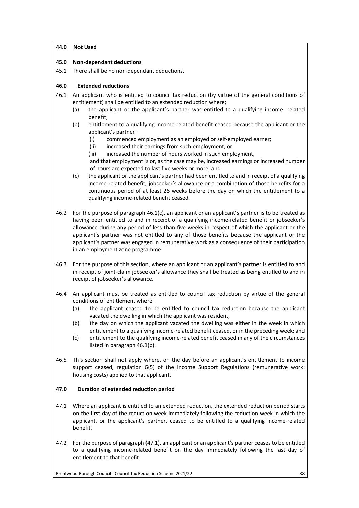#### **44.0 Not Used**

# **45.0 Non-dependant deductions**

45.1 There shall be no non-dependant deductions.

# **46.0 Extended reductions**

- 46.1 An applicant who is entitled to council tax reduction (by virtue of the general conditions of entitlement) shall be entitled to an extended reduction where;
	- (a) the applicant or the applicant's partner was entitled to a qualifying income- related benefit;
	- (b) entitlement to a qualifying income-related benefit ceased because the applicant or the applicant's partner–
		- (i) commenced employment as an employed or self-employed earner;
		- (ii) increased their earnings from such employment; or
		- (iii) increased the number of hours worked in such employment,

 and that employment is or, as the case may be, increased earnings or increased number of hours are expected to last five weeks or more; and

- (c) the applicant or the applicant's partner had been entitled to and in receipt of a qualifying income-related benefit, jobseeker's allowance or a combination of those benefits for a continuous period of at least 26 weeks before the day on which the entitlement to a qualifying income-related benefit ceased.
- 46.2 For the purpose of paragraph 46.1(c), an applicant or an applicant's partner is to be treated as having been entitled to and in receipt of a qualifying income-related benefit or jobseeker's allowance during any period of less than five weeks in respect of which the applicant or the applicant's partner was not entitled to any of those benefits because the applicant or the applicant's partner was engaged in remunerative work as a consequence of their participation in an employment zone programme.
- 46.3 For the purpose of this section, where an applicant or an applicant's partner is entitled to and in receipt of joint-claim jobseeker's allowance they shall be treated as being entitled to and in receipt of jobseeker's allowance.
- 46.4 An applicant must be treated as entitled to council tax reduction by virtue of the general conditions of entitlement where–
	- vacated the dwelling in which the applicant was resident; (a) the applicant ceased to be entitled to council tax reduction because the applicant
	- entitlement to a qualifying income-related benefit ceased, or in the preceding week; and (b) the day on which the applicant vacated the dwelling was either in the week in which
	- (c) entitlement to the qualifying income-related benefit ceased in any of the circumstances listed in paragraph 46.1(b).
- 46.5 This section shall not apply where, on the day before an applicant's entitlement to income support ceased, regulation 6(5) of the Income Support Regulations (remunerative work: housing costs) applied to that applicant.

# **47.0 Duration of extended reduction period**

- 47.1 Where an applicant is entitled to an extended reduction, the extended reduction period starts on the first day of the reduction week immediately following the reduction week in which the applicant, or the applicant's partner, ceased to be entitled to a qualifying income-related benefit.
- 47.2 For the purpose of paragraph (47.1), an applicant or an applicant's partner ceases to be entitled to a qualifying income-related benefit on the day immediately following the last day of entitlement to that benefit.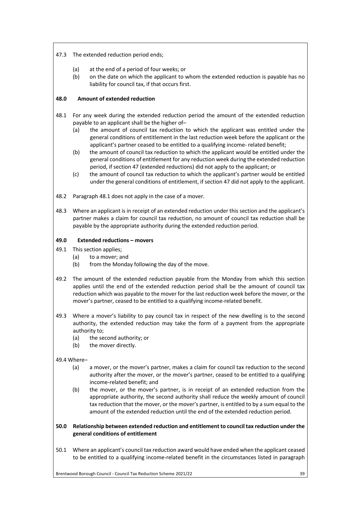## 47.3 The extended reduction period ends;

- (a) at the end of a period of four weeks; or
- (b) on the date on which the applicant to whom the extended reduction is payable has no liability for council tax, if that occurs first.

# **48.0 Amount of extended reduction**

- 48.1 For any week during the extended reduction period the amount of the extended reduction payable to an applicant shall be the higher of–
	- general conditions of entitlement in the last reduction week before the applicant or the applicant's partner ceased to be entitled to a qualifying income- related benefit; (a) the amount of council tax reduction to which the applicant was entitled under the
	- (b) the amount of council tax reduction to which the applicant would be entitled under the general conditions of entitlement for any reduction week during the extended reduction period, if section 47 (extended reductions) did not apply to the applicant; or
	- under the general conditions of entitlement, if section 47 did not apply to the applicant. (c) the amount of council tax reduction to which the applicant's partner would be entitled
- 48.2 Paragraph 48.1 does not apply in the case of a mover.
- 48.3 Where an applicant is in receipt of an extended reduction under this section and the applicant's partner makes a claim for council tax reduction, no amount of council tax reduction shall be payable by the appropriate authority during the extended reduction period.

## **49.0 Extended reductions – movers**

- 49.1 This section applies;
	- (a) to a mover; and
	- (b) from the Monday following the day of the move.
- 49.2 The amount of the extended reduction payable from the Monday from which this section applies until the end of the extended reduction period shall be the amount of council tax reduction which was payable to the mover for the last reduction week before the mover, or the mover's partner, ceased to be entitled to a qualifying income-related benefit.
- 49.3 Where a mover's liability to pay council tax in respect of the new dwelling is to the second authority, the extended reduction may take the form of a payment from the appropriate authority to;
	- (a) the second authority; or
	- (b) the mover directly.

#### 49.4 Where–

- (a) a mover, or the mover's partner, makes a claim for council tax reduction to the second authority after the mover, or the mover's partner, ceased to be entitled to a qualifying income-related benefit; and
- (b) the mover, or the mover's partner, is in receipt of an extended reduction from the appropriate authority, the second authority shall reduce the weekly amount of council tax reduction that the mover, or the mover's partner, is entitled to by a sum equal to the amount of the extended reduction until the end of the extended reduction period.

## **50.0 Relationship between extended reduction and entitlement to council tax reduction under the general conditions of entitlement**

 50.1 Where an applicant's council tax reduction award would have ended when the applicant ceased to be entitled to a qualifying income-related benefit in the circumstances listed in paragraph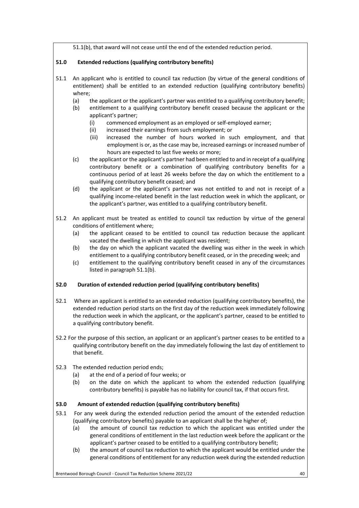51.1(b), that award will not cease until the end of the extended reduction period.

# **51.0 Extended reductions (qualifying contributory benefits)**

- 51.1 An applicant who is entitled to council tax reduction (by virtue of the general conditions of entitlement) shall be entitled to an extended reduction (qualifying contributory benefits) where;
	- (a) the applicant or the applicant's partner was entitled to a qualifying contributory benefit;
	- (b) entitlement to a qualifying contributory benefit ceased because the applicant or the applicant's partner;
		- (i) commenced employment as an employed or self-employed earner;
		- (ii) increased their earnings from such employment; or
		- (iii) increased the number of hours worked in such employment, and that employment is or, as the case may be, increased earnings or increased number of hours are expected to last five weeks or more;
	- contributory benefit or a combination of qualifying contributory benefits for a continuous period of at least 26 weeks before the day on which the entitlement to a qualifying contributory benefit ceased; and (c) the applicant or the applicant's partner had been entitled to and in receipt of a qualifying
	- qualifying income-related benefit in the last reduction week in which the applicant, or the applicant's partner, was entitled to a qualifying contributory benefit. (d) the applicant or the applicant's partner was not entitled to and not in receipt of a
- 51.2 An applicant must be treated as entitled to council tax reduction by virtue of the general conditions of entitlement where;
	- (a) the applicant ceased to be entitled to council tax reduction because the applicant vacated the dwelling in which the applicant was resident;
	- (b) the day on which the applicant vacated the dwelling was either in the week in which entitlement to a qualifying contributory benefit ceased, or in the preceding week; and
	- (c) entitlement to the qualifying contributory benefit ceased in any of the circumstances listed in paragraph 51.1(b).

# **52.0 Duration of extended reduction period (qualifying contributory benefits)**

- 52.1 Where an applicant is entitled to an extended reduction (qualifying contributory benefits), the extended reduction period starts on the first day of the reduction week immediately following the reduction week in which the applicant, or the applicant's partner, ceased to be entitled to a qualifying contributory benefit.
- 52.2 For the purpose of this section, an applicant or an applicant's partner ceases to be entitled to a qualifying contributory benefit on the day immediately following the last day of entitlement to that benefit.
- 52.3 The extended reduction period ends;
	- (a) at the end of a period of four weeks; or
	- (b) on the date on which the applicant to whom the extended reduction (qualifying contributory benefits) is payable has no liability for council tax, if that occurs first.

# **53.0 Amount of extended reduction (qualifying contributory benefits)**

- $53.1$  (qualifying contributory benefits) payable to an applicant shall be the higher of; 53.1 For any week during the extended reduction period the amount of the extended reduction
	- (a) the amount of council tax reduction to which the applicant was entitled under the general conditions of entitlement in the last reduction week before the applicant or the applicant's partner ceased to be entitled to a qualifying contributory benefit;
	- (b) the amount of council tax reduction to which the applicant would be entitled under the general conditions of entitlement for any reduction week during the extended reduction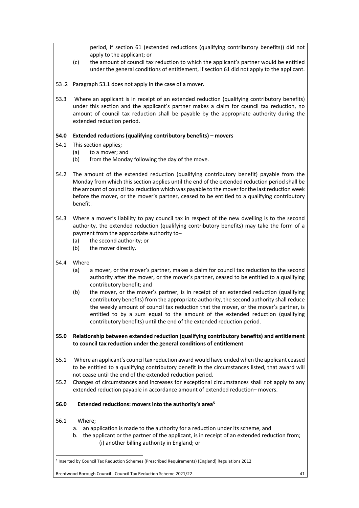period, if section 61 (extended reductions (qualifying contributory benefits)) did not apply to the applicant; or

- (c) the amount of council tax reduction to which the applicant's partner would be entitled under the general conditions of entitlement, if section 61 did not apply to the applicant.
- 53 .2 Paragraph 53.1 does not apply in the case of a mover.
- 53.3 Where an applicant is in receipt of an extended reduction (qualifying contributory benefits) under this section and the applicant's partner makes a claim for council tax reduction, no amount of council tax reduction shall be payable by the appropriate authority during the extended reduction period.

## **54.0 Extended reductions (qualifying contributory benefits) – movers**

- 54.1 This section applies;
	- (a) to a mover; and
	- (b) from the Monday following the day of the move.
- 54.2 The amount of the extended reduction (qualifying contributory benefit) payable from the Monday from which this section applies until the end of the extended reduction period shall be the amount of council tax reduction which was payable to the mover for the last reduction week before the mover, or the mover's partner, ceased to be entitled to a qualifying contributory benefit.
- 54.3 Where a mover's liability to pay council tax in respect of the new dwelling is to the second authority, the extended reduction (qualifying contributory benefits) may take the form of a payment from the appropriate authority to–
	- (a) the second authority; or
	- (b) the mover directly.
- 54.4 Where
	- (a) a mover, or the mover's partner, makes a claim for council tax reduction to the second authority after the mover, or the mover's partner, ceased to be entitled to a qualifying contributory benefit; and
	- (b) the mover, or the mover's partner, is in receipt of an extended reduction (qualifying contributory benefits) from the appropriate authority, the second authority shall reduce the weekly amount of council tax reduction that the mover, or the mover's partner, is entitled to by a sum equal to the amount of the extended reduction (qualifying contributory benefits) until the end of the extended reduction period.

## **to council tax reduction under the general conditions of entitlement 55.0 Relationship between extended reduction (qualifying contributory benefits) and entitlement**

- $55.1$  to be entitled to a qualifying contributory benefit in the circumstances listed, that award will not cease until the end of the extended reduction period. 55.1 Where an applicant's council tax reduction award would have ended when the applicant ceased
- 55.2 Changes of circumstances and increases for exceptional circumstances shall not apply to any extended reduction payable in accordance amount of extended reduction– movers.

#### 56.0 Extended reductions: movers into the authority's area<sup>5</sup>

#### 56.1 Where:

- a. an application is made to the authority for a reduction under its scheme, and
- b. the applicant or the partner of the applicant, is in receipt of an extended reduction from; (i) another billing authority in England; or

 <sup>5</sup> Inserted by Council Tax Reduction Schemes (Prescribed Requirements) (England) Regulations 2012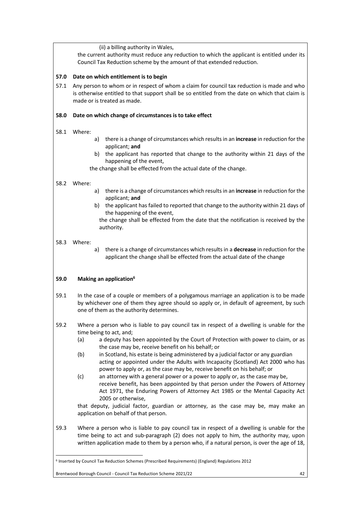#### (ii) a billing authority in Wales,

 the current authority must reduce any reduction to which the applicant is entitled under its Council Tax Reduction scheme by the amount of that extended reduction.

## **57.0 Date on which entitlement is to begin**

 57.1 Any person to whom or in respect of whom a claim for council tax reduction is made and who is otherwise entitled to that support shall be so entitled from the date on which that claim is made or is treated as made.

# **58.0 Date on which change of circumstances is to take effect**

## 58.1 Where:

- a) there is a change of circumstances which results in an **increase** in reduction for the applicant; **and**
- b) the applicant has reported that change to the authority within 21 days of the happening of the event,

the change shall be effected from the actual date of the change.

#### 58.2 Where:

- a) there is a change of circumstances which results in an **increase** in reduction for the applicant; **and**
- b) the applicant has failed to reported that change to the authority within 21 days of the happening of the event,
- the change shall be effected from the date that the notification is received by the authority.

# 58.3 Where:

 a) there is a change of circumstances which results in a **decrease** in reduction for the applicant the change shall be effected from the actual date of the change

#### **59.0 Making an application6**

- 59.1 In the case of a couple or members of a polygamous marriage an application is to be made by whichever one of them they agree should so apply or, in default of agreement, by such one of them as the authority determines.
- 59.2 Where a person who is liable to pay council tax in respect of a dwelling is unable for the time being to act, and;
	- (a) a deputy has been appointed by the Court of Protection with power to claim, or as the case may be, receive benefit on his behalf; or
	- (b) in Scotland, his estate is being administered by a judicial factor or any guardian acting or appointed under the Adults with Incapacity (Scotland) Act 2000 who has power to apply or, as the case may be, receive benefit on his behalf; or
	- (c) an attorney with a general power or a power to apply or, as the case may be, receive benefit, has been appointed by that person under the Powers of Attorney Act 1971, the Enduring Powers of Attorney Act 1985 or the Mental Capacity Act 2005 or otherwise,

 that deputy, judicial factor, guardian or attorney, as the case may be, may make an application on behalf of that person.

 59.3 Where a person who is liable to pay council tax in respect of a dwelling is unable for the time being to act and sub-paragraph (2) does not apply to him, the authority may, upon written application made to them by a person who, if a natural person, is over the age of 18,

 <sup>6</sup> Inserted by Council Tax Reduction Schemes (Prescribed Requirements) (England) Regulations 2012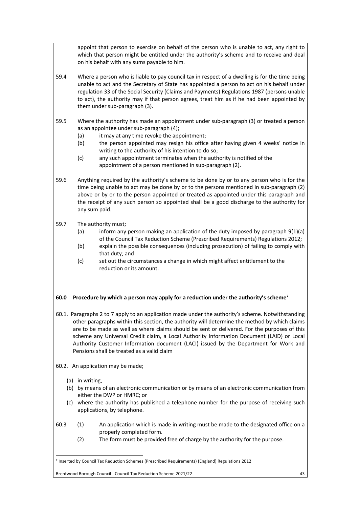appoint that person to exercise on behalf of the person who is unable to act, any right to which that person might be entitled under the authority's scheme and to receive and deal on his behalf with any sums payable to him.

- 59.4 Where a person who is liable to pay council tax in respect of a dwelling is for the time being unable to act and the Secretary of State has appointed a person to act on his behalf under regulation 33 of the Social Security (Claims and Payments) Regulations 1987 (persons unable to act), the authority may if that person agrees, treat him as if he had been appointed by them under sub-paragraph (3).
- 59.5 Where the authority has made an appointment under sub-paragraph (3) or treated a person as an appointee under sub-paragraph (4);
	- (a) it may at any time revoke the appointment;
	- (b) the person appointed may resign his office after having given 4 weeks' notice in writing to the authority of his intention to do so;
	- (c) any such appointment terminates when the authority is notified of the appointment of a person mentioned in sub-paragraph (2).
- 59.6 Anything required by the authority's scheme to be done by or to any person who is for the time being unable to act may be done by or to the persons mentioned in sub-paragraph (2) above or by or to the person appointed or treated as appointed under this paragraph and the receipt of any such person so appointed shall be a good discharge to the authority for any sum paid.
- 59.7 The authority must;
	- (a) inform any person making an application of the duty imposed by paragraph  $9(1)(a)$ of the Council Tax Reduction Scheme (Prescribed Requirements) Regulations 2012;
	- (b) explain the possible consequences (including prosecution) of failing to comply with that duty; and
	- (c) set out the circumstances a change in which might affect entitlement to the reduction or its amount.

# 60.0 Procedure by which a person may apply for a reduction under the authority's scheme<sup>7</sup>

- 60.1. Paragraphs 2 to 7 apply to an application made under the authority's scheme. Notwithstanding other paragraphs within this section, the authority will determine the method by which claims are to be made as well as where claims should be sent or delivered. For the purposes of this scheme any Universal Credit claim, a Local Authority Information Document (LAID) or Local Authority Customer Information document (LACI) issued by the Department for Work and Pensions shall be treated as a valid claim
- 60.2. An application may be made;
	- (a) in writing,
	- (b) by means of an electronic communication or by means of an electronic communication from either the DWP or HMRC; or
	- (c) where the authority has published a telephone number for the purpose of receiving such applications, by telephone.
- 60.3 60.3 (1) An application which is made in writing must be made to the designated office on a properly completed form.
	- (2) The form must be provided free of charge by the authority for the purpose.

 <sup>7</sup> Inserted by Council Tax Reduction Schemes (Prescribed Requirements) (England) Regulations 2012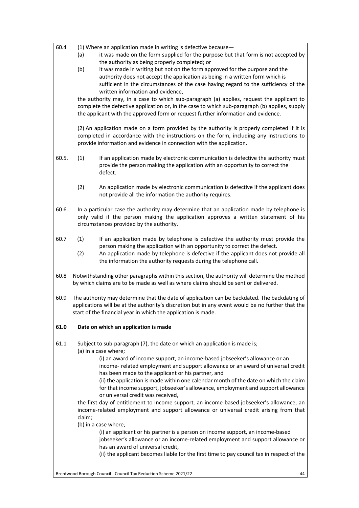| 60.4  | (1) Where an application made in writing is defective because-<br>it was made on the form supplied for the purpose but that form is not accepted by                                                                                                                             |  |
|-------|---------------------------------------------------------------------------------------------------------------------------------------------------------------------------------------------------------------------------------------------------------------------------------|--|
|       | (a)<br>the authority as being properly completed; or                                                                                                                                                                                                                            |  |
|       | it was made in writing but not on the form approved for the purpose and the<br>(b)                                                                                                                                                                                              |  |
|       | authority does not accept the application as being in a written form which is<br>sufficient in the circumstances of the case having regard to the sufficiency of the                                                                                                            |  |
|       | written information and evidence,                                                                                                                                                                                                                                               |  |
|       | the authority may, in a case to which sub-paragraph (a) applies, request the applicant to<br>complete the defective application or, in the case to which sub-paragraph (b) applies, supply<br>the applicant with the approved form or request further information and evidence. |  |
|       | (2) An application made on a form provided by the authority is properly completed if it is<br>completed in accordance with the instructions on the form, including any instructions to<br>provide information and evidence in connection with the application.                  |  |
| 60.5. | (1)<br>If an application made by electronic communication is defective the authority must<br>provide the person making the application with an opportunity to correct the<br>defect.                                                                                            |  |
|       | (2)<br>An application made by electronic communication is defective if the applicant does<br>not provide all the information the authority requires.                                                                                                                            |  |
| 60.6. | In a particular case the authority may determine that an application made by telephone is<br>only valid if the person making the application approves a written statement of his<br>circumstances provided by the authority.                                                    |  |
| 60.7  | (1)<br>If an application made by telephone is defective the authority must provide the                                                                                                                                                                                          |  |
|       | person making the application with an opportunity to correct the defect.                                                                                                                                                                                                        |  |
|       | (2)<br>An application made by telephone is defective if the applicant does not provide all<br>the information the authority requests during the telephone call.                                                                                                                 |  |
| 60.8  | Notwithstanding other paragraphs within this section, the authority will determine the method<br>by which claims are to be made as well as where claims should be sent or delivered.                                                                                            |  |
| 60.9  | The authority may determine that the date of application can be backdated. The backdating of<br>applications will be at the authority's discretion but in any event would be no further that the<br>start of the financial year in which the application is made.               |  |
| 61.0  | Date on which an application is made                                                                                                                                                                                                                                            |  |
| 61.1  | Subject to sub-paragraph (7), the date on which an application is made is;                                                                                                                                                                                                      |  |
|       | (a) in a case where;                                                                                                                                                                                                                                                            |  |
|       | (i) an award of income support, an income-based jobseeker's allowance or an<br>income- related employment and support allowance or an award of universal credit                                                                                                                 |  |
|       | has been made to the applicant or his partner, and                                                                                                                                                                                                                              |  |
|       | (ii) the application is made within one calendar month of the date on which the claim<br>for that income support, jobseeker's allowance, employment and support allowance<br>or universal credit was received,                                                                  |  |
|       | the first day of entitlement to income support, an income-based jobseeker's allowance, an                                                                                                                                                                                       |  |
|       | income-related employment and support allowance or universal credit arising from that                                                                                                                                                                                           |  |
|       | claim;<br>(b) in a case where;                                                                                                                                                                                                                                                  |  |
|       | (i) an applicant or his partner is a person on income support, an income-based                                                                                                                                                                                                  |  |
|       | jobseeker's allowance or an income-related employment and support allowance or<br>has an award of universal credit,                                                                                                                                                             |  |
|       | (ii) the applicant becomes liable for the first time to pay council tax in respect of the                                                                                                                                                                                       |  |
|       |                                                                                                                                                                                                                                                                                 |  |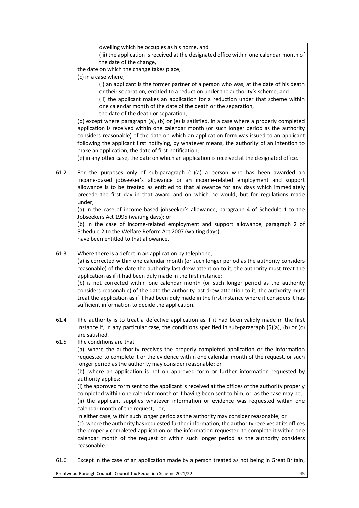dwelling which he occupies as his home, and

 (iii) the application is received at the designated office within one calendar month of the date of the change,

the date on which the change takes place;

(c) in a case where;

(i) an applicant is the former partner of a person who was, at the date of his death or their separation, entitled to a reduction under the authority's scheme, and

(ii) the applicant makes an application for a reduction under that scheme within one calendar month of the date of the death or the separation,

the date of the death or separation;

 (d) except where paragraph (a), (b) or (e) is satisfied, in a case where a properly completed application is received within one calendar month (or such longer period as the authority considers reasonable) of the date on which an application form was issued to an applicant following the applicant first notifying, by whatever means, the authority of an intention to make an application, the date of first notification;

(e) in any other case, the date on which an application is received at the designated office.

 61.2 For the purposes only of sub-paragraph (1)(a) a person who has been awarded an income-based jobseeker's allowance or an income-related employment and support allowance is to be treated as entitled to that allowance for any days which immediately precede the first day in that award and on which he would, but for regulations made under;

 (a) in the case of income-based jobseeker's allowance, paragraph 4 of Schedule 1 to the Jobseekers Act 1995 (waiting days); or

 (b) in the case of income-related employment and support allowance, paragraph 2 of Schedule 2 to the Welfare Reform Act 2007 (waiting days), have been entitled to that allowance.

61.3 Where there is a defect in an application by telephone;

 (a) is corrected within one calendar month (or such longer period as the authority considers reasonable) of the date the authority last drew attention to it, the authority must treat the application as if it had been duly made in the first instance;

 (b) is not corrected within one calendar month (or such longer period as the authority considers reasonable) of the date the authority last drew attention to it, the authority must treat the application as if it had been duly made in the first instance where it considers it has sufficient information to decide the application.

- 61.4 The authority is to treat a defective application as if it had been validly made in the first instance if, in any particular case, the conditions specified in sub-paragraph (5)(a), (b) or (c) are satisfied.
- 61.5 The conditions are that—

 (a) where the authority receives the properly completed application or the information requested to complete it or the evidence within one calendar month of the request, or such longer period as the authority may consider reasonable; or

 (b) where an application is not on approved form or further information requested by authority applies;

 (i) the approved form sent to the applicant is received at the offices of the authority properly completed within one calendar month of it having been sent to him; or, as the case may be; (ii) the applicant supplies whatever information or evidence was requested within one calendar month of the request; or,

 (c) where the authority has requested further information, the authority receives at its offices the properly completed application or the information requested to complete it within one calendar month of the request or within such longer period as the authority considers in either case, within such longer period as the authority may consider reasonable; or reasonable.

61.6 Except in the case of an application made by a person treated as not being in Great Britain,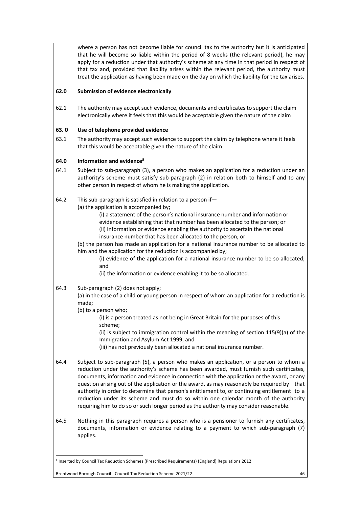where a person has not become liable for council tax to the authority but it is anticipated that he will become so liable within the period of 8 weeks (the relevant period), he may apply for a reduction under that authority's scheme at any time in that period in respect of that tax and, provided that liability arises within the relevant period, the authority must treat the application as having been made on the day on which the liability for the tax arises.

#### **62.0 Submission of evidence electronically**

 62.1 The authority may accept such evidence, documents and certificates to support the claim electronically where it feels that this would be acceptable given the nature of the claim

## **63. 0 Use of telephone provided evidence**

 63.1 The authority may accept such evidence to support the claim by telephone where it feels that this would be acceptable given the nature of the claim

# **64.0 Information and evidence8**

- 64.1 Subject to sub-paragraph (3), a person who makes an application for a reduction under an authority's scheme must satisfy sub-paragraph (2) in relation both to himself and to any other person in respect of whom he is making the application.
- (a) the application is accompanied by; 64.2 This sub-paragraph is satisfied in relation to a person if—

(i) a statement of the person's national insurance number and information or evidence establishing that that number has been allocated to the person; or (ii) information or evidence enabling the authority to ascertain the national insurance number that has been allocated to the person; or

 (b) the person has made an application for a national insurance number to be allocated to him and the application for the reduction is accompanied by;

(i) evidence of the application for a national insurance number to be so allocated; and

(ii) the information or evidence enabling it to be so allocated.

# 64.3 Sub-paragraph (2) does not apply;

 (a) in the case of a child or young person in respect of whom an application for a reduction is made;

(b) to a person who;

(i) is a person treated as not being in Great Britain for the purposes of this scheme;

(ii) is subject to immigration control within the meaning of section 115(9)(a) of the Immigration and Asylum Act 1999; and

(iii) has not previously been allocated a national insurance number.

- 64.4 Subject to sub-paragraph (5), a person who makes an application, or a person to whom a reduction under the authority's scheme has been awarded, must furnish such certificates, documents, information and evidence in connection with the application or the award, or any question arising out of the application or the award, as may reasonably be required by that authority in order to determine that person's entitlement to, or continuing entitlement to a reduction under its scheme and must do so within one calendar month of the authority requiring him to do so or such longer period as the authority may consider reasonable.
- 64.5 Nothing in this paragraph requires a person who is a pensioner to furnish any certificates, documents, information or evidence relating to a payment to which sub-paragraph (7) applies.

 <sup>8</sup> Inserted by Council Tax Reduction Schemes (Prescribed Requirements) (England) Regulations 2012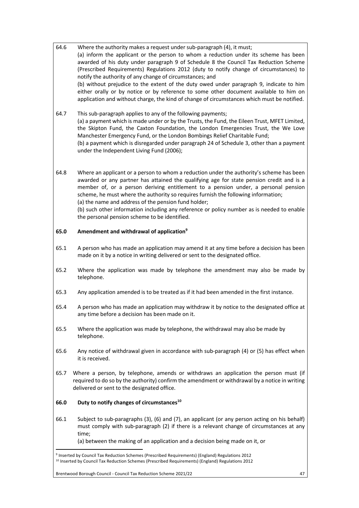- 64.6 Where the authority makes a request under sub-paragraph (4), it must; (a) inform the applicant or the person to whom a reduction under its scheme has been awarded of his duty under paragraph 9 of Schedule 8 the Council Tax Reduction Scheme (Prescribed Requirements) Regulations 2012 (duty to notify change of circumstances) to notify the authority of any change of circumstances; and (b) without prejudice to the extent of the duty owed under paragraph 9, indicate to him either orally or by notice or by reference to some other document available to him on application and without charge, the kind of change of circumstances which must be notified.
- 64.7 This sub-paragraph applies to any of the following payments; (a) a payment which is made under or by the Trusts, the Fund, the Eileen Trust, MFET Limited, the Skipton Fund, the Caxton Foundation, the London Emergencies Trust, the We Love Manchester Emergency Fund, or the London Bombings Relief Charitable Fund; (b) a payment which is disregarded under paragraph 24 of Schedule 3, other than a payment under the Independent Living Fund (2006);
- 64.8 Where an applicant or a person to whom a reduction under the authority's scheme has been awarded or any partner has attained the qualifying age for state pension credit and is a member of, or a person deriving entitlement to a pension under, a personal pension scheme, he must where the authority so requires furnish the following information; (a) the name and address of the pension fund holder;
	- (b) such other information including any reference or policy number as is needed to enable the personal pension scheme to be identified.

# **65.0 Amendment and withdrawal of application9**

- 65.1 A person who has made an application may amend it at any time before a decision has been made on it by a notice in writing delivered or sent to the designated office.
- 65.2 Where the application was made by telephone the amendment may also be made by telephone.
- 65.3 Any application amended is to be treated as if it had been amended in the first instance.
- 65.4 A person who has made an application may withdraw it by notice to the designated office at any time before a decision has been made on it.
- 65.5 Where the application was made by telephone, the withdrawal may also be made by telephone.
- 65.6 Any notice of withdrawal given in accordance with sub-paragraph (4) or (5) has effect when it is received.
- 65.7 required to do so by the authority) confirm the amendment or withdrawal by a notice in writing delivered or sent to the designated office. Where a person, by telephone, amends or withdraws an application the person must (if

# **66.0 Duty to notify changes of circumstances10**

 66.1 Subject to sub-paragraphs (3), (6) and (7), an applicant (or any person acting on his behalf) must comply with sub-paragraph (2) if there is a relevant change of circumstances at any time;

(a) between the making of an application and a decision being made on it, or

<sup>&</sup>lt;sup>9</sup> Inserted by Council Tax Reduction Schemes (Prescribed Requirements) (England) Regulations 2012 <sup>9</sup> Inserted by Council Tax Reduction Schemes (Prescribed Requirements) (England) Regulations 2012<br><sup>10</sup> Inserted by Council Tax Reduction Schemes (Prescribed Requirements) (England) Regulations 2012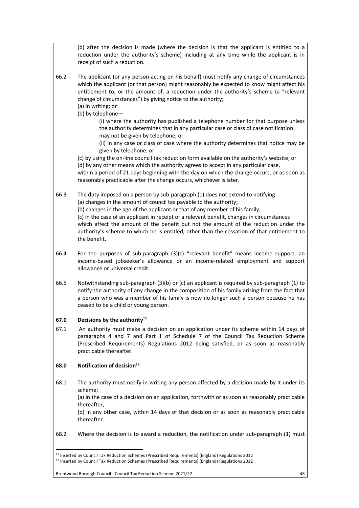|      | (b) after the decision is made (where the decision is that the applicant is entitled to a<br>reduction under the authority's scheme) including at any time while the applicant is in<br>receipt of such a reduction.                                                                                                                                                                                                                                                                                                                      |
|------|-------------------------------------------------------------------------------------------------------------------------------------------------------------------------------------------------------------------------------------------------------------------------------------------------------------------------------------------------------------------------------------------------------------------------------------------------------------------------------------------------------------------------------------------|
| 66.2 | The applicant (or any person acting on his behalf) must notify any change of circumstances<br>which the applicant (or that person) might reasonably be expected to know might affect his<br>entitlement to, or the amount of, a reduction under the authority's scheme (a "relevant<br>change of circumstances") by giving notice to the authority;<br>(a) in writing; or<br>(b) by telephone-                                                                                                                                            |
|      | (i) where the authority has published a telephone number for that purpose unless<br>the authority determines that in any particular case or class of case notification<br>may not be given by telephone; or                                                                                                                                                                                                                                                                                                                               |
|      | (ii) in any case or class of case where the authority determines that notice may be<br>given by telephone; or                                                                                                                                                                                                                                                                                                                                                                                                                             |
|      | (c) by using the on-line council tax reduction form available on the authority's website; or<br>(d) by any other means which the authority agrees to accept in any particular case,<br>within a period of 21 days beginning with the day on which the change occurs, or as soon as<br>reasonably practicable after the change occurs, whichever is later.                                                                                                                                                                                 |
| 66.3 | The duty imposed on a person by sub-paragraph (1) does not extend to notifying<br>(a) changes in the amount of council tax payable to the authority;<br>(b) changes in the age of the applicant or that of any member of his family;<br>(c) in the case of an applicant in receipt of a relevant benefit, changes in circumstances<br>which affect the amount of the benefit but not the amount of the reduction under the<br>authority's scheme to which he is entitled, other than the cessation of that entitlement to<br>the benefit. |
| 66.4 | For the purposes of sub-paragraph (3)(c) "relevant benefit" means income support, an<br>income-based jobseeker's allowance or an income-related employment and support<br>allowance or universal credit.                                                                                                                                                                                                                                                                                                                                  |
| 66.5 | Notwithstanding sub-paragraph (3)(b) or (c) an applicant is required by sub-paragraph (1) to<br>notify the authority of any change in the composition of his family arising from the fact that<br>a person who was a member of his family is now no longer such a person because he has<br>ceased to be a child or young person.                                                                                                                                                                                                          |
| 67.0 | Decisions by the authority <sup>11</sup>                                                                                                                                                                                                                                                                                                                                                                                                                                                                                                  |
| 67.1 | An authority must make a decision on an application under its scheme within 14 days of<br>paragraphs 4 and 7 and Part 1 of Schedule 7 of the Council Tax Reduction Scheme<br>(Prescribed Requirements) Regulations 2012 being satisfied, or as soon as reasonably<br>practicable thereafter.                                                                                                                                                                                                                                              |
| 68.0 | Notification of decision <sup>12</sup>                                                                                                                                                                                                                                                                                                                                                                                                                                                                                                    |
| 68.1 | The authority must notify in writing any person affected by a decision made by it under its<br>scheme;<br>(a) in the case of a decision on an application, forthwith or as soon as reasonably practicable                                                                                                                                                                                                                                                                                                                                 |
|      | thereafter;<br>(b) in any other case, within 14 days of that decision or as soon as reasonably practicable<br>thereafter.                                                                                                                                                                                                                                                                                                                                                                                                                 |

68.2 Where the decision is to award a reduction, the notification under sub-paragraph (1) must

<sup>&</sup>lt;sup>11</sup> Inserted by Council Tax Reduction Schemes (Prescribed Requirements) (England) Regulations 2012<br><sup>12</sup> Inserted by Council Tax Reduction Schemes (Prescribed Requirements) (England) Regulations 2012

Brentwood Borough Council - Council Tax Reduction Scheme 2021/22 48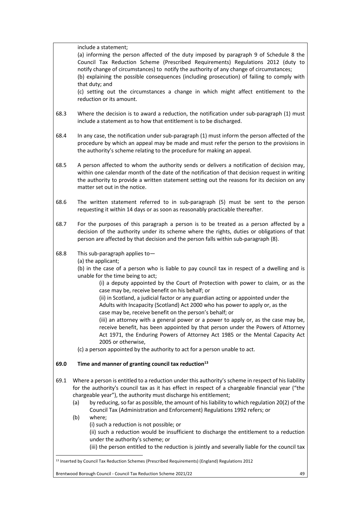include a statement;

 (a) informing the person affected of the duty imposed by paragraph 9 of Schedule 8 the Council Tax Reduction Scheme (Prescribed Requirements) Regulations 2012 (duty to notify change of circumstances) to notify the authority of any change of circumstances; (b) explaining the possible consequences (including prosecution) of failing to comply with that duty; and

 (c) setting out the circumstances a change in which might affect entitlement to the reduction or its amount.

- 68.3 Where the decision is to award a reduction, the notification under sub-paragraph (1) must include a statement as to how that entitlement is to be discharged.
- 68.4 In any case, the notification under sub-paragraph (1) must inform the person affected of the procedure by which an appeal may be made and must refer the person to the provisions in the authority's scheme relating to the procedure for making an appeal.
- 68.5 A person affected to whom the authority sends or delivers a notification of decision may, within one calendar month of the date of the notification of that decision request in writing the authority to provide a written statement setting out the reasons for its decision on any matter set out in the notice.
- 68.6 The written statement referred to in sub-paragraph (5) must be sent to the person requesting it within 14 days or as soon as reasonably practicable thereafter.
- 68.7 For the purposes of this paragraph a person is to be treated as a person affected by a decision of the authority under its scheme where the rights, duties or obligations of that person are affected by that decision and the person falls within sub-paragraph (8).
- 68.8 This sub-paragraph applies to—

(a) the applicant;

 unable for the time being to act; (b) in the case of a person who is liable to pay council tax in respect of a dwelling and is

(i) a deputy appointed by the Court of Protection with power to claim, or as the case may be, receive benefit on his behalf; or

(ii) in Scotland, a judicial factor or any guardian acting or appointed under the Adults with Incapacity (Scotland) Act 2000 who has power to apply or, as the case may be, receive benefit on the person's behalf; or

(iii) an attorney with a general power or a power to apply or, as the case may be, receive benefit, has been appointed by that person under the Powers of Attorney Act 1971, the Enduring Powers of Attorney Act 1985 or the Mental Capacity Act 2005 or otherwise,

(c) a person appointed by the authority to act for a person unable to act.

# 69.0 Time and manner of granting council tax reduction<sup>13</sup>

- 69.1 Where a person is entitled to a reduction under this authority's scheme in respect of his liability for the authority's council tax as it has effect in respect of a chargeable financial year ("the chargeable year"), the authority must discharge his entitlement;
	- Council Tax (Administration and Enforcement) Regulations 1992 refers; or (a) by reducing, so far as possible, the amount of his liability to which regulation 20(2) of the
	- (b) where;

(i) such a reduction is not possible; or

 (ii) such a reduction would be insufficient to discharge the entitlement to a reduction under the authority's scheme; or

(iii) the person entitled to the reduction is jointly and severally liable for the council tax

 <sup>13</sup> Inserted by Council Tax Reduction Schemes (Prescribed Requirements) (England) Regulations 2012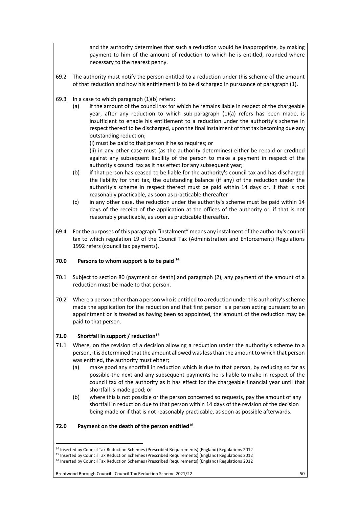and the authority determines that such a reduction would be inappropriate, by making payment to him of the amount of reduction to which he is entitled, rounded where necessary to the nearest penny.

- 69.2 The authority must notify the person entitled to a reduction under this scheme of the amount of that reduction and how his entitlement is to be discharged in pursuance of paragraph (1).
- 69.3 In a case to which paragraph (1)(b) refers;
	- year, after any reduction to which sub-paragraph (1)(a) refers has been made, is insufficient to enable his entitlement to a reduction under the authority's scheme in respect thereof to be discharged, upon the final instalment of that tax becoming due any (a) if the amount of the council tax for which he remains liable in respect of the chargeable outstanding reduction;

(i) must be paid to that person if he so requires; or

 (ii) in any other case must (as the authority determines) either be repaid or credited against any subsequent liability of the person to make a payment in respect of the authority's council tax as it has effect for any subsequent year;

- the liability for that tax, the outstanding balance (if any) of the reduction under the authority's scheme in respect thereof must be paid within 14 days or, if that is not reasonably practicable, as soon as practicable thereafter (b) if that person has ceased to be liable for the authority's council tax and has discharged
- days of the receipt of the application at the offices of the authority or, if that is not reasonably practicable, as soon as practicable thereafter. (c) in any other case, the reduction under the authority's scheme must be paid within 14
- 69.4 For the purposes of this paragraph "instalment" means any instalment of the authority's council tax to which regulation 19 of the Council Tax (Administration and Enforcement) Regulations 1992 refers (council tax payments).

# **70.0 Persons to whom support is to be paid 14**

- 70.1 Subject to section 80 (payment on death) and paragraph (2), any payment of the amount of a reduction must be made to that person.
- 70.2 Where a person other than a person who is entitled to a reduction under this authority's scheme made the application for the reduction and that first person is a person acting pursuant to an appointment or is treated as having been so appointed, the amount of the reduction may be paid to that person.

# **71.0** Shortfall in support / reduction<sup>15</sup>

- 71.1 Where, on the revision of a decision allowing a reduction under the authority's scheme to a person, it is determined that the amount allowed was less than the amount to which that person was entitled, the authority must either;
	- possible the next and any subsequent payments he is liable to make in respect of the council tax of the authority as it has effect for the chargeable financial year until that shortfall is made good; or (a) make good any shortfall in reduction which is due to that person, by reducing so far as
	- (b) where this is not possible or the person concerned so requests, pay the amount of any shortfall in reduction due to that person within 14 days of the revision of the decision being made or if that is not reasonably practicable, as soon as possible afterwards.

# **72.0 Payment on the death of the person entitled16**

<sup>&</sup>lt;sup>14</sup> Inserted by Council Tax Reduction Schemes (Prescribed Requirements) (England) Regulations 2012

<sup>&</sup>lt;sup>15</sup> Inserted by Council Tax Reduction Schemes (Prescribed Requirements) (England) Regulations 2012

<sup>16</sup> Inserted by Council Tax Reduction Schemes (Prescribed Requirements) (England) Regulations 2012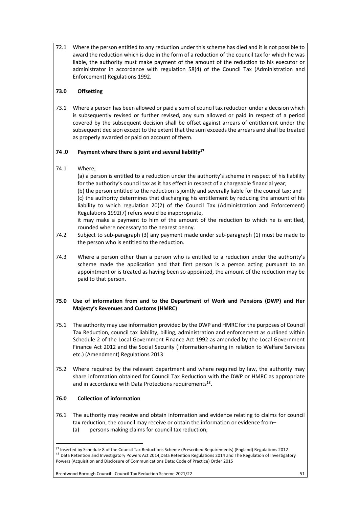72.1 Where the person entitled to any reduction under this scheme has died and it is not possible to award the reduction which is due in the form of a reduction of the council tax for which he was liable, the authority must make payment of the amount of the reduction to his executor or administrator in accordance with regulation 58(4) of the Council Tax (Administration and Enforcement) Regulations 1992.

# **73.0 Offsetting**

 73.1 Where a person has been allowed or paid a sum of council tax reduction under a decision which is subsequently revised or further revised, any sum allowed or paid in respect of a period covered by the subsequent decision shall be offset against arrears of entitlement under the subsequent decision except to the extent that the sum exceeds the arrears and shall be treated as properly awarded or paid on account of them.

#### Payment where there is joint and several liability<sup>17</sup>

 $74.1$ Where;

 (a) a person is entitled to a reduction under the authority's scheme in respect of his liability for the authority's council tax as it has effect in respect of a chargeable financial year; (b) the person entitled to the reduction is jointly and severally liable for the council tax; and (c) the authority determines that discharging his entitlement by reducing the amount of his liability to which regulation 20(2) of the Council Tax (Administration and Enforcement) Regulations 1992(7) refers would be inappropriate,

 it may make a payment to him of the amount of the reduction to which he is entitled, rounded where necessary to the nearest penny.

- 74.2 Subject to sub-paragraph (3) any payment made under sub-paragraph (1) must be made to the person who is entitled to the reduction.
- 74.3 Where a person other than a person who is entitled to a reduction under the authority's scheme made the application and that first person is a person acting pursuant to an appointment or is treated as having been so appointed, the amount of the reduction may be paid to that person.

# **75.0 Use of information from and to the Department of Work and Pensions (DWP) and Her Majesty's Revenues and Customs (HMRC)**

- 75.1 The authority may use information provided by the DWP and HMRC for the purposes of Council Tax Reduction, council tax liability, billing, administration and enforcement as outlined within Schedule 2 of the Local Government Finance Act 1992 as amended by the Local Government Finance Act 2012 and the Social Security (Information-sharing in relation to Welfare Services etc.) (Amendment) Regulations 2013
- 75.2 Where required by the relevant department and where required by law, the authority may share information obtained for Council Tax Reduction with the DWP or HMRC as appropriate and in accordance with Data Protections requirements<sup>18</sup>.

# **76.0 Collection of information**

- 76.1 The authority may receive and obtain information and evidence relating to claims for council tax reduction, the council may receive or obtain the information or evidence from–
	- (a) persons making claims for council tax reduction;

 <sup>17</sup> Inserted by Schedule 8 of the Council Tax Reductions Scheme (Prescribed Requirements) (England) Regulations 2012  $18$  Data Retention and Investigatory Powers Act 2014, Data Retention Regulations 2014 and The Regulation of Investigatory Powers (Acquisition and Disclosure of Communications Data: Code of Practice) Order 2015

Brentwood Borough Council - Council Tax Reduction Scheme 2021/22 51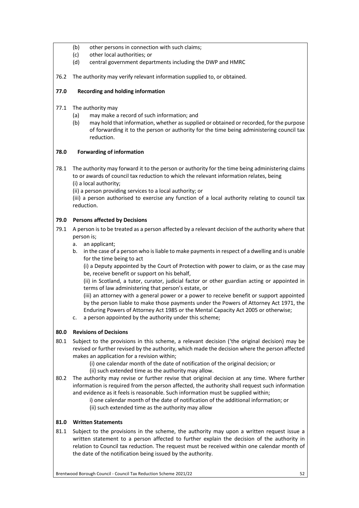- other persons in connection with such claims; (b)
- other local authorities; or (c)
- central government departments including the DWP and HMRC (d)
- 76.2 The authority may verify relevant information supplied to, or obtained.

# **77.0 Recording and holding information**

- 77.1 The authority may
	- (a) may make a record of such information; and
	- (b) may hold that information, whether as supplied or obtained or recorded, for the purpose of forwarding it to the person or authority for the time being administering council tax reduction.

# **78.0 Forwarding of information**

 78.1 The authority may forward it to the person or authority for the time being administering claims to or awards of council tax reduction to which the relevant information relates, being (i) a local authority;

(ii) a person providing services to a local authority; or

 (iii) a person authorised to exercise any function of a local authority relating to council tax reduction.

# **79.0 Persons affected by Decisions**

- 79.1 A person is to be treated as a person affected by a relevant decision of the authority where that person is;
	- a. an applicant;
	- b. in the case of a person who is liable to make payments in respect of a dwelling and is unable for the time being to act

 (i) a Deputy appointed by the Court of Protection with power to claim, or as the case may be, receive benefit or support on his behalf,

 (ii) in Scotland, a tutor, curator, judicial factor or other guardian acting or appointed in terms of law administering that person's estate, or

 (iii) an attorney with a general power or a power to receive benefit or support appointed by the person liable to make those payments under the Powers of Attorney Act 1971, the Enduring Powers of Attorney Act 1985 or the Mental Capacity Act 2005 or otherwise;

c. a person appointed by the authority under this scheme;

# **80.0 Revisions of Decisions**

 80.1 Subject to the provisions in this scheme, a relevant decision ('the original decision) may be revised or further revised by the authority, which made the decision where the person affected makes an application for a revision within;

 (i) one calendar month of the date of notification of the original decision; or (ii) such extended time as the authority may allow.

- 80.2 The authority may revise or further revise that original decision at any time. Where further information is required from the person affected, the authority shall request such information and evidence as it feels is reasonable. Such information must be supplied within;
	- i) one calendar month of the date of notification of the additional information; or
		- (ii) such extended time as the authority may allow

# **81.0 Written Statements**

 81.1 Subject to the provisions in the scheme, the authority may upon a written request issue a written statement to a person affected to further explain the decision of the authority in relation to Council tax reduction. The request must be received within one calendar month of the date of the notification being issued by the authority.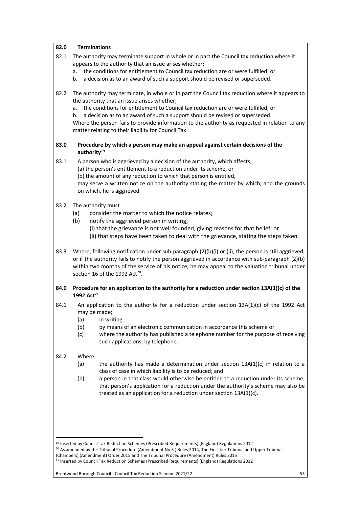#### **82.0 Terminations**

- 82.1 The authority may terminate support in whole or in part the Council tax reduction where it appears to the authority that an issue arises whether;
	- a. the conditions for entitlement to Council tax reduction are or were fulfilled; or
	- b. a decision as to an award of such a support should be revised or superseded.
- 82.2 The authority may terminate, in whole or in part the Council tax reduction where it appears to the authority that an issue arises whether;
	- a. the conditions for entitlement to Council tax reduction are or were fulfilled; or
	- b. a decision as to an award of such a support should be revised or superseded.

 Where the person fails to provide information to the authority as requested in relation to any matter relating to their liability for Council Tax

#### **83.0 Procedure by which a person may make an appeal against certain decisions of the authority19**

83.1 A person who is aggrieved by a decision of the authority, which affects;

(a) the person's entitlement to a reduction under its scheme, or

(b) the amount of any reduction to which that person is entitled,

 may serve a written notice on the authority stating the matter by which, and the grounds on which, he is aggrieved.

## 83.2 The authority must

- (a) consider the matter to which the notice relates;
- (b) notify the aggrieved person in writing;
	- (i) that the grievance is not well founded, giving reasons for that belief; or (ii) that steps have been taken to deal with the grievance, stating the steps taken.
- 83.3 Where, following notification under sub-paragraph (2)(b)(i) or (ii), the person is still aggrieved, or if the authority fails to notify the person aggrieved in accordance with sub-paragraph (2)(b) within two months of the service of his notice, he may appeal to the valuation tribunal under section 16 of the 1992 Act<sup>20</sup>.

## **84.0 Procedure for an application to the authority for a reduction under section 13A(1)(c) of the 1992 Act21**

- 84.1 An application to the authority for a reduction under section  $13A(1)(c)$  of the 1992 Act may be made;
	- (a) in writing,
	- (b) by means of an electronic communication in accordance this scheme or
	- (c) where the authority has published a telephone number for the purpose of receiving such applications, by telephone.

#### $842$ Where:

- (a) the authority has made a determination under section  $13A(1)(c)$  in relation to a class of case in which liability is to be reduced; and
- (b) a person in that class would otherwise be entitled to a reduction under its scheme, that person's application for a reduction under the authority's scheme may also be treated as an application for a reduction under section 13A(1)(c).

<sup>19</sup> Inserted by Council Tax Reduction Schemes (Prescribed Requirements) (England) Regulations 2012

<sup>&</sup>lt;sup>20</sup> As amended by the Tribunal Procedure (Amendment No 3) Rules 2014, The First-tier Tribunal and Upper Tribunal

<sup>(</sup>Chambers) (Amendment) Order 2015 and The Tribunal Procedure (Amendment) Rules 2015 (Chambers) (Amendment) Order 2015 and The Tribunal Procedure (Amendment) Rules 2015<br><sup>21</sup> Inserted by Council Tax Reduction Schemes (Prescribed Requirements) (England) Regulations 2012

Brentwood Borough Council - Council Tax Reduction Scheme 2021/22 53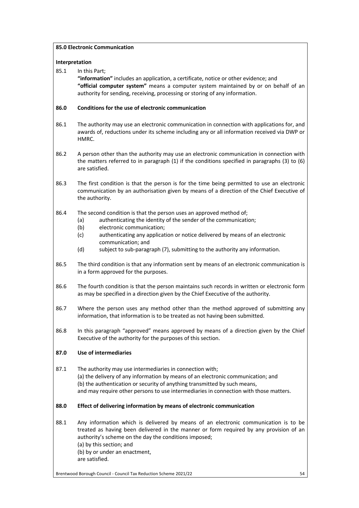## **85.0 Electronic Communication**

## **Interpretation**

85.1 In this Part;

 **"official computer system"** means a computer system maintained by or on behalf of an authority for sending, receiving, processing or storing of any information. **"information"** includes an application, a certificate, notice or other evidence; and

## **86.0 Conditions for the use of electronic communication**

- 86.1 The authority may use an electronic communication in connection with applications for, and awards of, reductions under its scheme including any or all information received via DWP or HMRC.
- 86.2 A person other than the authority may use an electronic communication in connection with the matters referred to in paragraph (1) if the conditions specified in paragraphs (3) to (6) are satisfied.
- 86.3 The first condition is that the person is for the time being permitted to use an electronic communication by an authorisation given by means of a direction of the Chief Executive of the authority.
- 86.4 The second condition is that the person uses an approved method of;
	- (a) authenticating the identity of the sender of the communication;
	- (b) electronic communication;
	- (c) authenticating any application or notice delivered by means of an electronic communication; and
	- (d) subject to sub-paragraph (7), submitting to the authority any information.
- 86.5 The third condition is that any information sent by means of an electronic communication is in a form approved for the purposes.
- 86.6 The fourth condition is that the person maintains such records in written or electronic form as may be specified in a direction given by the Chief Executive of the authority.
- 86.7 Where the person uses any method other than the method approved of submitting any information, that information is to be treated as not having been submitted.
- 86.8 In this paragraph "approved" means approved by means of a direction given by the Chief Executive of the authority for the purposes of this section.

#### **87.0 Use of intermediaries**

 (a) the delivery of any information by means of an electronic communication; and (b) the authentication or security of anything transmitted by such means, and may require other persons to use intermediaries in connection with those matters. 87.1 The authority may use intermediaries in connection with;

#### **88.0 Effect of delivering information by means of electronic communication**

 88.1 Any information which is delivered by means of an electronic communication is to be treated as having been delivered in the manner or form required by any provision of an authority's scheme on the day the conditions imposed; (a) by this section; and (b) by or under an enactment, are satisfied.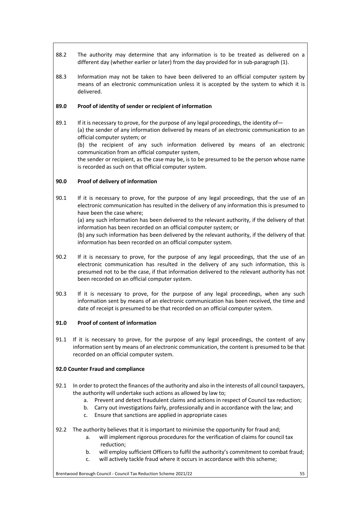- 88.2 The authority may determine that any information is to be treated as delivered on a different day (whether earlier or later) from the day provided for in sub-paragraph (1).
- 88.3 Information may not be taken to have been delivered to an official computer system by means of an electronic communication unless it is accepted by the system to which it is delivered.

# **89.0 Proof of identity of sender or recipient of information**

89.1 (a) the sender of any information delivered by means of an electronic communication to an official computer system; or If it is necessary to prove, for the purpose of any legal proceedings, the identity of—

 (b) the recipient of any such information delivered by means of an electronic communication from an official computer system,

 the sender or recipient, as the case may be, is to be presumed to be the person whose name is recorded as such on that official computer system.

## **90.0 Proof of delivery of information**

90.1 If it is necessary to prove, for the purpose of any legal proceedings, that the use of an electronic communication has resulted in the delivery of any information this is presumed to have been the case where;

 (a) any such information has been delivered to the relevant authority, if the delivery of that information has been recorded on an official computer system; or

 (b) any such information has been delivered by the relevant authority, if the delivery of that information has been recorded on an official computer system.

- 90.2 If it is necessary to prove, for the purpose of any legal proceedings, that the use of an electronic communication has resulted in the delivery of any such information, this is presumed not to be the case, if that information delivered to the relevant authority has not been recorded on an official computer system.
- 90.3 If it is necessary to prove, for the purpose of any legal proceedings, when any such information sent by means of an electronic communication has been received, the time and date of receipt is presumed to be that recorded on an official computer system.

#### **91.0 Proof of content of information**

91.1 If it is necessary to prove, for the purpose of any legal proceedings, the content of any information sent by means of an electronic communication, the content is presumed to be that recorded on an official computer system.

#### **92.0 Counter Fraud and compliance**

- 92.1 In order to protect the finances of the authority and also in the interests of all council taxpayers, the authority will undertake such actions as allowed by law to;
	- a. Prevent and detect fraudulent claims and actions in respect of Council tax reduction;
	- b. Carry out investigations fairly, professionally and in accordance with the law; and
	- c. Ensure that sanctions are applied in appropriate cases

#### 92.2 The authority believes that it is important to minimise the opportunity for fraud and;

- a. will implement rigorous procedures for the verification of claims for council tax reduction;
- b. will employ sufficient Officers to fulfil the authority's commitment to combat fraud;
- c. will actively tackle fraud where it occurs in accordance with this scheme;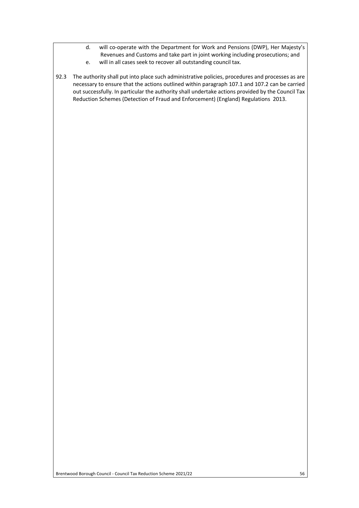- d. will co-operate with the Department for Work and Pensions (DWP), Her Majesty's Revenues and Customs and take part in joint working including prosecutions; and
- e. will in all cases seek to recover all outstanding council tax.
- 92.3 The authority shall put into place such administrative policies, procedures and processes as are necessary to ensure that the actions outlined within paragraph 107.1 and 107.2 can be carried out successfully. In particular the authority shall undertake actions provided by the Council Tax Reduction Schemes (Detection of Fraud and Enforcement) (England) Regulations 2013.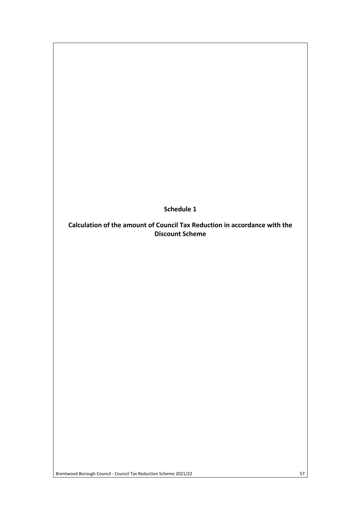**Schedule 1** 

 **Calculation of the amount of Council Tax Reduction in accordance with the Discount Scheme**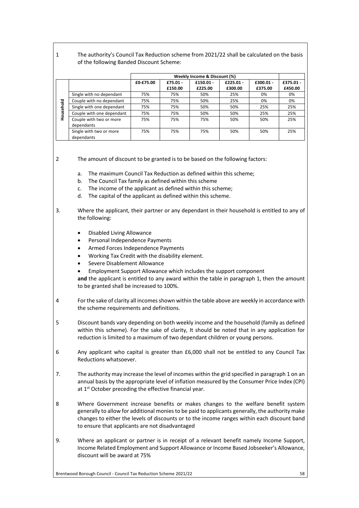1 The authority's Council Tax Reduction scheme from 2021/22 shall be calculated on the basis of the following Banded Discount Scheme:

|           |                           | Weekly Income & Discount (%) |          |             |             |           |           |
|-----------|---------------------------|------------------------------|----------|-------------|-------------|-----------|-----------|
|           |                           | £0-£75.00                    | £75.01 - | $£150.01 -$ | $£225.01 -$ | £300.01 - | £375.01 - |
|           |                           |                              | £150.00  | £225.00     | £300.00     | £375.00   | £450.00   |
|           | Single with no dependant  | 75%                          | 75%      | 50%         | 25%         | 0%        | 0%        |
|           | Couple with no dependant  | 75%                          | 75%      | 50%         | 25%         | 0%        | 0%        |
|           | Single with one dependant | 75%                          | 75%      | 50%         | 50%         | 25%       | 25%       |
| Household | Couple with one dependant | 75%                          | 75%      | 50%         | 50%         | 25%       | 25%       |
|           | Couple with two or more   | 75%                          | 75%      | 75%         | 50%         | 50%       | 25%       |
|           | dependants                |                              |          |             |             |           |           |
|           | Single with two or more   | 75%                          | 75%      | 75%         | 50%         | 50%       | 25%       |
|           | dependants                |                              |          |             |             |           |           |

2 The amount of discount to be granted is to be based on the following factors:

- a. The maximum Council Tax Reduction as defined within this scheme;
- b. The Council Tax family as defined within this scheme
- c. The income of the applicant as defined within this scheme;
- d. The capital of the applicant as defined within this scheme.

 3. Where the applicant, their partner or any dependant in their household is entitled to any of the following:

- Disabled Living Allowance
- Personal Independence Payments
- Armed Forces Independence Payments
- Working Tax Credit with the disability element.
- Severe Disablement Allowance
- Employment Support Allowance which includes the support component

 **and** the applicant is entitled to any award within the table in paragraph 1, then the amount to be granted shall be increased to 100%.

- 4 For the sake of clarity all incomes shown within the table above are weekly in accordance with the scheme requirements and definitions.
- 5 Discount bands vary depending on both weekly income and the household (family as defined within this scheme). For the sake of clarity, It should be noted that in any application for reduction is limited to a maximum of two dependant children or young persons.
- 6 Any applicant who capital is greater than £6,000 shall not be entitled to any Council Tax Reductions whatsoever.
- 7. The authority may increase the level of incomes within the grid specified in paragraph 1 on an annual basis by the appropriate level of inflation measured by the Consumer Price Index (CPI) at 1<sup>st</sup> October preceding the effective financial year.
- 8 Where Government increase benefits or makes changes to the welfare benefit system generally to allow for additional monies to be paid to applicants generally, the authority make changes to either the levels of discounts or to the income ranges within each discount band to ensure that applicants are not disadvantaged
- 9. Where an applicant or partner is in receipt of a relevant benefit namely Income Support, Income Related Employment and Support Allowance or Income Based Jobseeker's Allowance, discount will be award at 75%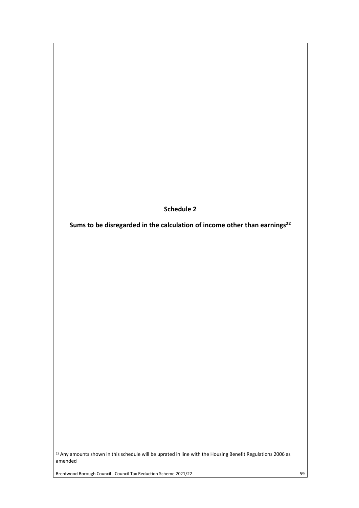**Schedule 2** 

Sums to be disregarded in the calculation of income other than earnings<sup>22</sup>

 $22$  Any amounts shown in this schedule will be uprated in line with the Housing Benefit Regulations 2006 as amended

Brentwood Borough Council - Council Tax Reduction Scheme 2021/22 59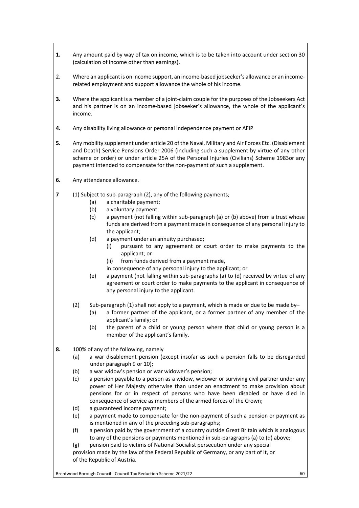- **1.** Any amount paid by way of tax on income, which is to be taken into account under section 30 (calculation of income other than earnings).
- 2. Where an applicant is on income support, an income-based jobseeker's allowance or an income-related employment and support allowance the whole of his income.
- **3.** Where the applicant is a member of a joint-claim couple for the purposes of the Jobseekers Act and his partner is on an income-based jobseeker's allowance, the whole of the applicant's income.
- **4.** Any disability living allowance or personal independence payment or AFIP
- **5.** Any mobility supplement under article 20 of the Naval, Military and Air Forces Etc. (Disablement and Death) Service Pensions Order 2006 (including such a supplement by virtue of any other scheme or order) or under article 25A of the Personal Injuries (Civilians) Scheme 1983or any payment intended to compensate for the non-payment of such a supplement.
- **6.** Any attendance allowance.
- (1) Subject to sub-paragraph (2), any of the following payments; **7** 
	- (a) a charitable payment;
	- (b) a voluntary payment;
	- funds are derived from a payment made in consequence of any personal injury to (c) a payment (not falling within sub-paragraph (a) or (b) above) from a trust whose the applicant;
	- (d) a payment under an annuity purchased;
		- (i) pursuant to any agreement or court order to make payments to the applicant; or
		- (ii) from funds derived from a payment made,
		- in consequence of any personal injury to the applicant; or
	- agreement or court order to make payments to the applicant in consequence of any personal injury to the applicant. (e) a payment (not falling within sub-paragraphs (a) to (d) received by virtue of any
	- (2) Sub-paragraph (1) shall not apply to a payment, which is made or due to be made by-
		- applicant's family; or (a) a former partner of the applicant, or a former partner of any member of the
		- member of the applicant's family. (b) the parent of a child or young person where that child or young person is a
- **8.** 100% of any of the following, namely
	- (a) a war disablement pension (except insofar as such a pension falls to be disregarded under paragraph 9 or 10);
	- (b) a war widow's pension or war widower's pension;
	- power of Her Majesty otherwise than under an enactment to make provision about pensions for or in respect of persons who have been disabled or have died in consequence of service as members of the armed forces of the Crown; (c) a pension payable to a person as a widow, widower or surviving civil partner under any
	- (d) a guaranteed income payment;
	- (e) a payment made to compensate for the non-payment of such a pension or payment as is mentioned in any of the preceding sub-paragraphs;
	- to any of the pensions or payments mentioned in sub-paragraphs (a) to (d) above; (f) a pension paid by the government of a country outside Great Britain which is analogous

 provision made by the law of the Federal Republic of Germany, or any part of it, or of the Republic of Austria. (g) pension paid to victims of National Socialist persecution under any special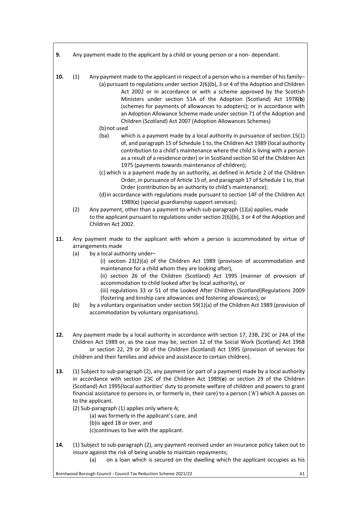| 9.  |                                                                                                                                                                                                                                                                                                                                                                                                                                                                                                                                                                                                     | Any payment made to the applicant by a child or young person or a non-dependant.                                                                                                                                                                                                                                                                                                                                                                                                                                                                                                                                                                                                                                                        |  |  |
|-----|-----------------------------------------------------------------------------------------------------------------------------------------------------------------------------------------------------------------------------------------------------------------------------------------------------------------------------------------------------------------------------------------------------------------------------------------------------------------------------------------------------------------------------------------------------------------------------------------------------|-----------------------------------------------------------------------------------------------------------------------------------------------------------------------------------------------------------------------------------------------------------------------------------------------------------------------------------------------------------------------------------------------------------------------------------------------------------------------------------------------------------------------------------------------------------------------------------------------------------------------------------------------------------------------------------------------------------------------------------------|--|--|
| 10. | (1)                                                                                                                                                                                                                                                                                                                                                                                                                                                                                                                                                                                                 | Any payment made to the applicant in respect of a person who is a member of his family-<br>(a) pursuant to regulations under section 2(6)(b), 3 or 4 of the Adoption and Children<br>Act 2002 or in accordance or with a scheme approved by the Scottish<br>Ministers under section 51A of the Adoption (Scotland) Act 1978(b)<br>(schemes for payments of allowances to adopters); or in accordance with<br>an Adoption Allowance Scheme made under section 71 of the Adoption and<br>Children (Scotland) Act 2007 (Adoption Allowances Schemes)                                                                                                                                                                                       |  |  |
|     |                                                                                                                                                                                                                                                                                                                                                                                                                                                                                                                                                                                                     | (b) not used<br>(ba)<br>which is a payment made by a local authority in pursuance of section 15(1)<br>of, and paragraph 15 of Schedule 1 to, the Children Act 1989 (local authority<br>contribution to a child's maintenance where the child is living with a person<br>as a result of a residence order) or in Scotland section 50 of the Children Act<br>1975 (payments towards maintenance of children);                                                                                                                                                                                                                                                                                                                             |  |  |
|     |                                                                                                                                                                                                                                                                                                                                                                                                                                                                                                                                                                                                     | (c) which is a payment made by an authority, as defined in Article 2 of the Children<br>Order, in pursuance of Article 15 of, and paragraph 17 of Schedule 1 to, that<br>Order (contribution by an authority to child's maintenance);<br>(d) in accordance with regulations made pursuant to section 14F of the Children Act                                                                                                                                                                                                                                                                                                                                                                                                            |  |  |
|     | (2)                                                                                                                                                                                                                                                                                                                                                                                                                                                                                                                                                                                                 | 1989(c) (special guardianship support services);<br>Any payment, other than a payment to which sub-paragraph (1)(a) applies, made<br>to the applicant pursuant to regulations under section 2(6)(b), 3 or 4 of the Adoption and<br>Children Act 2002.                                                                                                                                                                                                                                                                                                                                                                                                                                                                                   |  |  |
| 11. | (a)<br>(b)                                                                                                                                                                                                                                                                                                                                                                                                                                                                                                                                                                                          | Any payment made to the applicant with whom a person is accommodated by virtue of<br>arrangements made<br>by a local authority under-<br>(i) section 23(2)(a) of the Children Act 1989 (provision of accommodation and<br>maintenance for a child whom they are looking after),<br>(ii) section 26 of the Children (Scotland) Act 1995 (manner of provision of<br>accommodation to child looked after by local authority), or<br>(iii) regulations 33 or 51 of the Looked After Children (Scotland) Regulations 2009<br>(fostering and kinship care allowances and fostering allowances); or<br>by a voluntary organisation under section 59(1)(a) of the Children Act 1989 (provision of<br>accommodation by voluntary organisations). |  |  |
| 12. |                                                                                                                                                                                                                                                                                                                                                                                                                                                                                                                                                                                                     | Any payment made by a local authority in accordance with section 17, 23B, 23C or 24A of the<br>Children Act 1989 or, as the case may be, section 12 of the Social Work (Scotland) Act 1968<br>or section 22, 29 or 30 of the Children (Scotland) Act 1995 (provision of services for<br>children and their families and advice and assistance to certain children).                                                                                                                                                                                                                                                                                                                                                                     |  |  |
| 13. | (1) Subject to sub-paragraph (2), any payment (or part of a payment) made by a local authority<br>in accordance with section 23C of the Children Act 1989(e) or section 29 of the Children<br>(Scotland) Act 1995(local authorities' duty to promote welfare of children and powers to grant<br>financial assistance to persons in, or formerly in, their care) to a person ('A') which A passes on<br>to the applicant.<br>(2) Sub-paragraph (1) applies only where A;<br>(a) was formerly in the applicant's care, and<br>(b) is aged 18 or over, and<br>(c)continues to live with the applicant. |                                                                                                                                                                                                                                                                                                                                                                                                                                                                                                                                                                                                                                                                                                                                         |  |  |
| 14. |                                                                                                                                                                                                                                                                                                                                                                                                                                                                                                                                                                                                     | (1) Subject to sub-paragraph (2), any payment received under an insurance policy taken out to<br>insure against the risk of being unable to maintain repayments;<br>on a loan which is secured on the dwelling which the applicant occupies as his<br>(a)                                                                                                                                                                                                                                                                                                                                                                                                                                                                               |  |  |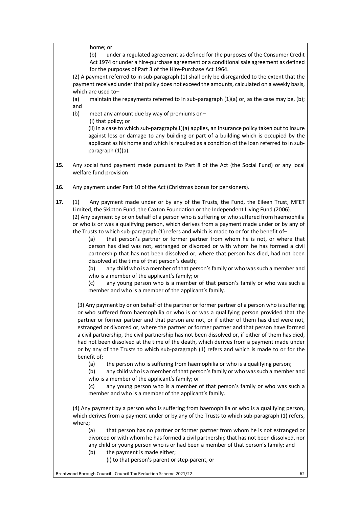home; or

 (b) under a regulated agreement as defined for the purposes of the Consumer Credit Act 1974 or under a hire-purchase agreement or a conditional sale agreement as defined for the purposes of Part 3 of the Hire-Purchase Act 1964.

 (2) A payment referred to in sub-paragraph (1) shall only be disregarded to the extent that the payment received under that policy does not exceed the amounts, calculated on a weekly basis, which are used to–

(a) maintain the repayments referred to in sub-paragraph  $(1)(a)$  or, as the case may be,  $(b)$ ; and

(b) meet any amount due by way of premiums on–

(i) that policy; or

 (ii) in a case to which sub-paragraph(1)(a) applies, an insurance policy taken out to insure against loss or damage to any building or part of a building which is occupied by the applicant as his home and which is required as a condition of the loan referred to in subparagraph (1)(a).

- **15.** Any social fund payment made pursuant to Part 8 of the Act (the Social Fund) or any local welfare fund provision
- **16.** Any payment under Part 10 of the Act (Christmas bonus for pensioners).
- $17.$  Limited, the Skipton Fund, the Caxton Foundation or the Independent Living Fund (2006). (2) Any payment by or on behalf of a person who is suffering or who suffered from haemophilia or who is or was a qualifying person, which derives from a payment made under or by any of the Trusts to which sub-paragraph (1) refers and which is made to or for the benefit of– **17.** (1) Any payment made under or by any of the Trusts, the Fund, the Eileen Trust, MFET

 (a) that person's partner or former partner from whom he is not, or where that person has died was not, estranged or divorced or with whom he has formed a civil partnership that has not been dissolved or, where that person has died, had not been dissolved at the time of that person's death;

 (b) any child who is a member of that person's family or who was such a member and who is a member of the applicant's family; or

 (c) any young person who is a member of that person's family or who was such a member and who is a member of the applicant's family.

 (3) Any payment by or on behalf of the partner or former partner of a person who is suffering or who suffered from haemophilia or who is or was a qualifying person provided that the partner or former partner and that person are not, or if either of them has died were not, estranged or divorced or, where the partner or former partner and that person have formed a civil partnership, the civil partnership has not been dissolved or, if either of them has died, had not been dissolved at the time of the death, which derives from a payment made under or by any of the Trusts to which sub-paragraph (1) refers and which is made to or for the benefit of;

(a) the person who is suffering from haemophilia or who is a qualifying person;

 (b) any child who is a member of that person's family or who was such a member and who is a member of the applicant's family; or

 (c) any young person who is a member of that person's family or who was such a member and who is a member of the applicant's family.

 (4) Any payment by a person who is suffering from haemophilia or who is a qualifying person, which derives from a payment under or by any of the Trusts to which sub-paragraph (1) refers, where;

 (a) that person has no partner or former partner from whom he is not estranged or divorced or with whom he has formed a civil partnership that has not been dissolved, nor any child or young person who is or had been a member of that person's family; and

(b) the payment is made either;

(i) to that person's parent or step-parent, or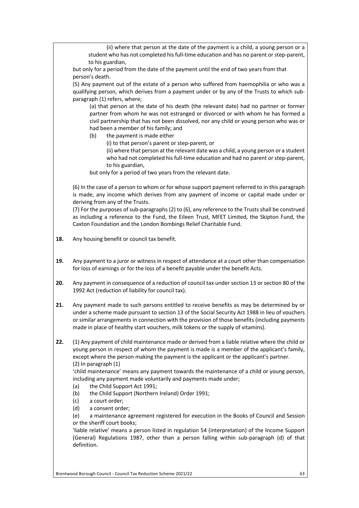student who has not completed his full-time education and has no parent or step-parent, (ii) where that person at the date of the payment is a child, a young person or a to his guardian,

 but only for a period from the date of the payment until the end of two years from that person's death.

 (5) Any payment out of the estate of a person who suffered from haemophilia or who was a qualifying person, which derives from a payment under or by any of the Trusts to which sub-paragraph (1) refers, where;

 (a) that person at the date of his death (the relevant date) had no partner or former partner from whom he was not estranged or divorced or with whom he has formed a civil partnership that has not been dissolved, nor any child or young person who was or had been a member of his family; and

(b) the payment is made either

(i) to that person's parent or step-parent, or

 (ii) where that person at the relevant date was a child, a young person or a student who had not completed his full-time education and had no parent or step-parent, to his guardian,

but only for a period of two years from the relevant date.

 (6) In the case of a person to whom or for whose support payment referred to in this paragraph is made, any income which derives from any payment of income or capital made under or deriving from any of the Trusts.

 (7) For the purposes of sub-paragraphs (2) to (6), any reference to the Trusts shall be construed as including a reference to the Fund, the Eileen Trust, MFET Limited, the Skipton Fund, the Caxton Foundation and the London Bombings Relief Charitable Fund.

- **18.** Any housing benefit or council tax benefit.
- **19.** Any payment to a juror or witness in respect of attendance at a court other than compensation for loss of earnings or for the loss of a benefit payable under the benefit Acts.
- **20.** Any payment in consequence of a reduction of council tax under section 13 or section 80 of the 1992 Act (reduction of liability for council tax).
- **21.** Any payment made to such persons entitled to receive benefits as may be determined by or under a scheme made pursuant to section 13 of the Social Security Act 1988 in lieu of vouchers or similar arrangements in connection with the provision of those benefits (including payments made in place of healthy start vouchers, milk tokens or the supply of vitamins).

 **22.** (1) Any payment of child maintenance made or derived from a liable relative where the child or young person in respect of whom the payment is made is a member of the applicant's family, except where the person making the payment is the applicant or the applicant's partner. (2) In paragraph (1)

 'child maintenance' means any payment towards the maintenance of a child or young person, including any payment made voluntarily and payments made under;

- (a) the Child Support Act 1991;
- (b) the Child Support (Northern Ireland) Order 1991;
- (c) a court order;
- (d) a consent order;

 (e) a maintenance agreement registered for execution in the Books of Council and Session or the sheriff court books;

 'liable relative' means a person listed in regulation 54 (interpretation) of the Income Support (General) Regulations 1987, other than a person falling within sub-paragraph (d) of that definition.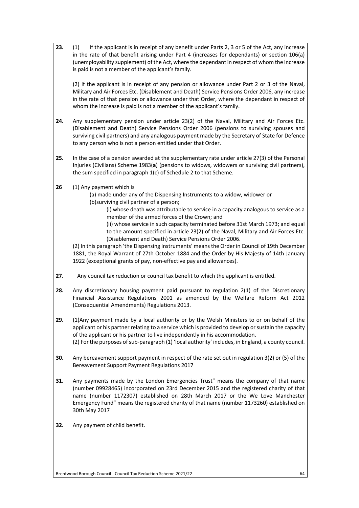23. in the rate of that benefit arising under Part 4 (increases for dependants) or section 106(a) (unemployability supplement) of the Act, where the dependant in respect of whom the increase **23.** (1) If the applicant is in receipt of any benefit under Parts 2, 3 or 5 of the Act, any increase is paid is not a member of the applicant's family.

 (2) If the applicant is in receipt of any pension or allowance under Part 2 or 3 of the Naval, Military and Air Forces Etc. (Disablement and Death) Service Pensions Order 2006, any increase in the rate of that pension or allowance under that Order, where the dependant in respect of whom the increase is paid is not a member of the applicant's family.

- **24.** Any supplementary pension under article 23(2) of the Naval, Military and Air Forces Etc. (Disablement and Death) Service Pensions Order 2006 (pensions to surviving spouses and surviving civil partners) and any analogous payment made by the Secretary of State for Defence to any person who is not a person entitled under that Order.
- **25.** In the case of a pension awarded at the supplementary rate under article 27(3) of the Personal Injuries (Civilians) Scheme 1983(**a**) (pensions to widows, widowers or surviving civil partners), the sum specified in paragraph 1(c) of Schedule 2 to that Scheme.
- **26** (1) Any payment which is

 (a) made under any of the Dispensing Instruments to a widow, widower or (b)surviving civil partner of a person;

 (i) whose death was attributable to service in a capacity analogous to service as a member of the armed forces of the Crown; and

 (ii) whose service in such capacity terminated before 31st March 1973; and equal to the amount specified in article 23(2) of the Naval, Military and Air Forces Etc. (Disablement and Death) Service Pensions Order 2006.

 (2) In this paragraph 'the Dispensing Instruments' means the Order in Council of 19th December 1881, the Royal Warrant of 27th October 1884 and the Order by His Majesty of 14th January 1922 (exceptional grants of pay, non-effective pay and allowances).

- **27.** Any council tax reduction or council tax benefit to which the applicant is entitled.
- **28.** Any discretionary housing payment paid pursuant to regulation 2(1) of the Discretionary Financial Assistance Regulations 2001 as amended by the Welfare Reform Act 2012 (Consequential Amendments) Regulations 2013.
- **29.** (1)Any payment made by a local authority or by the Welsh Ministers to or on behalf of the applicant or his partner relating to a service which is provided to develop or sustain the capacity of the applicant or his partner to live independently in his accommodation. (2) For the purposes of sub-paragraph (1) 'local authority' includes, in England, a county council.
- **30.** Any bereavement support payment in respect of the rate set out in regulation 3(2) or (5) of the Bereavement Support Payment Regulations 2017
- **31.** Any payments made by the London Emergencies Trust" means the company of that name (number 09928465) incorporated on 23rd December 2015 and the registered charity of that name (number 1172307) established on 28th March 2017 or the We Love Manchester Emergency Fund" means the registered charity of that name (number 1173260) established on 30th May 2017
- **32.** Any payment of child benefit.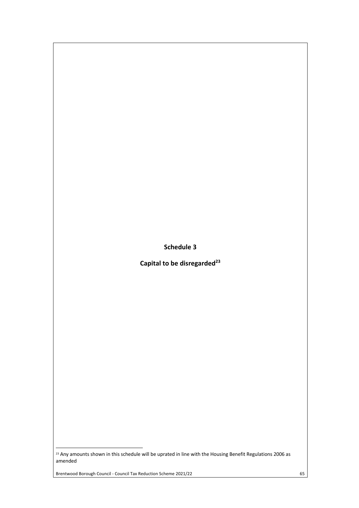**Schedule 3** 

**Capital to be disregarded23** 

<sup>&</sup>lt;sup>23</sup> Any amounts shown in this schedule will be uprated in line with the Housing Benefit Regulations 2006 as amended

Brentwood Borough Council - Council Tax Reduction Scheme 2021/22 65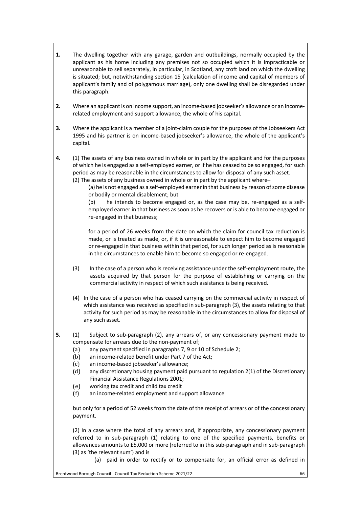- applicant as his home including any premises not so occupied which it is impracticable or unreasonable to sell separately, in particular, in Scotland, any croft land on which the dwelling is situated; but, notwithstanding section 15 (calculation of income and capital of members of applicant's family and of polygamous marriage), only one dwelling shall be disregarded under **1.** The dwelling together with any garage, garden and outbuildings, normally occupied by the this paragraph.
- **2.** Where an applicant is on income support, an income-based jobseeker's allowance or an income-related employment and support allowance, the whole of his capital.
- **3.** Where the applicant is a member of a joint-claim couple for the purposes of the Jobseekers Act 1995 and his partner is on income-based jobseeker's allowance, the whole of the applicant's capital.
- **4.** (1) The assets of any business owned in whole or in part by the applicant and for the purposes of which he is engaged as a self-employed earner, or if he has ceased to be so engaged, for such period as may be reasonable in the circumstances to allow for disposal of any such asset. (2) The assets of any business owned in whole or in part by the applicant where–
	- (a) he is not engaged as a self-employed earner in that business by reason of some disease or bodily or mental disablement; but

 (b) he intends to become engaged or, as the case may be, re-engaged as a self- employed earner in that business as soon as he recovers or is able to become engaged or re-engaged in that business;

 for a period of 26 weeks from the date on which the claim for council tax reduction is made, or is treated as made, or, if it is unreasonable to expect him to become engaged or re-engaged in that business within that period, for such longer period as is reasonable in the circumstances to enable him to become so engaged or re-engaged.

- (3) In the case of a person who is receiving assistance under the self-employment route, the assets acquired by that person for the purpose of establishing or carrying on the commercial activity in respect of which such assistance is being received.
- (4) In the case of a person who has ceased carrying on the commercial activity in respect of which assistance was received as specified in sub-paragraph (3), the assets relating to that activity for such period as may be reasonable in the circumstances to allow for disposal of any such asset.
- $5.$  compensate for arrears due to the non-payment of; **5.** (1) Subject to sub-paragraph (2), any arrears of, or any concessionary payment made to
	- (a) any payment specified in paragraphs 7, 9 or 10 of Schedule 2;
	- (b) an income-related benefit under Part 7 of the Act;
	- (c) an income-based jobseeker's allowance;
	- (d) any discretionary housing payment paid pursuant to regulation 2(1) of the Discretionary Financial Assistance Regulations 2001;
	- (e) working tax credit and child tax credit
	- (f) an income-related employment and support allowance

 but only for a period of 52 weeks from the date of the receipt of arrears or of the concessionary payment.

 (2) In a case where the total of any arrears and, if appropriate, any concessionary payment referred to in sub-paragraph (1) relating to one of the specified payments, benefits or allowances amounts to £5,000 or more (referred to in this sub-paragraph and in sub-paragraph (3) as 'the relevant sum') and is

(a) paid in order to rectify or to compensate for, an official error as defined in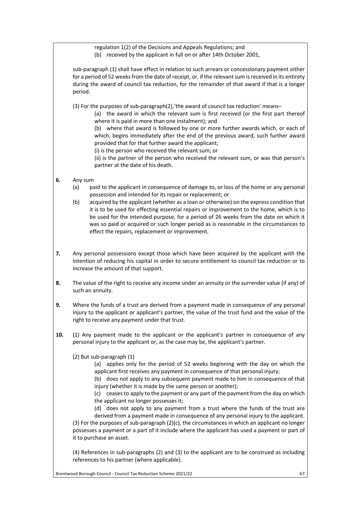regulation 1(2) of the Decisions and Appeals Regulations; and

(b) received by the applicant in full on or after 14th October 2001,

 sub-paragraph (1) shall have effect in relation to such arrears or concessionary payment either for a period of 52 weeks from the date of receipt, or, if the relevant sum is received in its entirety during the award of council tax reduction, for the remainder of that award if that is a longer period.

(3) For the purposes of sub-paragraph(2),'the award of council tax reduction' means–

 (a) the award in which the relevant sum is first received (or the first part thereof where it is paid in more than one instalment); and

 (b) where that award is followed by one or more further awards which, or each of which, begins immediately after the end of the previous award, such further award provided that for that further award the applicant;

(i) is the person who received the relevant sum; or

 (ii) is the partner of the person who received the relevant sum, or was that person's partner at the date of his death.

- **6.** Any sum
	- possession and intended for its repair or replacement; or (a) paid to the applicant in consequence of damage to, or loss of the home or any personal
	- it is to be used for effecting essential repairs or improvement to the home, which is to be used for the intended purpose, for a period of 26 weeks from the date on which it was so paid or acquired or such longer period as is reasonable in the circumstances to effect the repairs, replacement or improvement. (b) acquired by the applicant (whether as a loan or otherwise) on the express condition that
- **7.** Any personal possessions except those which have been acquired by the applicant with the intention of reducing his capital in order to secure entitlement to council tax reduction or to increase the amount of that support.
- **8.** The value of the right to receive any income under an annuity or the surrender value (if any) of such an annuity.
- **9.** Where the funds of a trust are derived from a payment made in consequence of any personal injury to the applicant or applicant's partner, the value of the trust fund and the value of the right to receive any payment under that trust.
- **10.** (1) Any payment made to the applicant or the applicant's partner in consequence of any personal injury to the applicant or, as the case may be, the applicant's partner.

(2) But sub-paragraph (1)

 (a) applies only for the period of 52 weeks beginning with the day on which the applicant first receives any payment in consequence of that personal injury;

 (b) does not apply to any subsequent payment made to him in consequence of that injury (whether it is made by the same person or another);

 (c) ceases to apply to the payment or any part of the payment from the day on which the applicant no longer possesses it;

 (d) does not apply to any payment from a trust where the funds of the trust are derived from a payment made in consequence of any personal injury to the applicant. (3) For the purposes of sub-paragraph (2)(c), the circumstances in which an applicant no longer possesses a payment or a part of it include where the applicant has used a payment or part of it to purchase an asset.

 (4) References in sub-paragraphs (2) and (3) to the applicant are to be construed as including references to his partner (where applicable).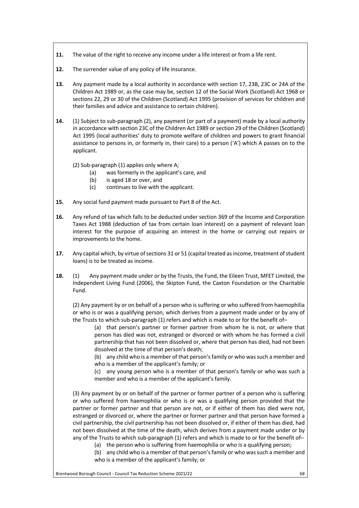- **11.** The value of the right to receive any income under a life interest or from a life rent.
- **12.** The surrender value of any policy of life insurance.
- **13.** Any payment made by a local authority in accordance with section 17, 23B, 23C or 24A of the Children Act 1989 or, as the case may be, section 12 of the Social Work (Scotland) Act 1968 or sections 22, 29 or 30 of the Children (Scotland) Act 1995 (provision of services for children and their families and advice and assistance to certain children).
- **14.** (1) Subject to sub-paragraph (2), any payment (or part of a payment) made by a local authority in accordance with section 23C of the Children Act 1989 or section 29 of the Children (Scotland) Act 1995 (local authorities' duty to promote welfare of children and powers to grant financial assistance to persons in, or formerly in, their care) to a person ('A') which A passes on to the applicant.

(2) Sub-paragraph (1) applies only where A;

- (a) was formerly in the applicant's care, and
- (b) is aged 18 or over, and
- (c) continues to live with the applicant.
- **15.** Any social fund payment made pursuant to Part 8 of the Act.
- **16.** Any refund of tax which falls to be deducted under section 369 of the Income and Corporation Taxes Act 1988 (deduction of tax from certain loan interest) on a payment of relevant loan interest for the purpose of acquiring an interest in the home or carrying out repairs or improvements to the home.
- **17.** Any capital which, by virtue of sections 31 or 51 (capital treated as income, treatment of student loans) is to be treated as income.
- 18. Independent Living Fund (2006), the Skipton Fund, the Caxton Foundation or the Charitable **18.** (1) Any payment made under or by the Trusts, the Fund, the Eileen Trust, MFET Limited, the Fund.

 (2) Any payment by or on behalf of a person who is suffering or who suffered from haemophilia or who is or was a qualifying person, which derives from a payment made under or by any of the Trusts to which sub-paragraph (1) refers and which is made to or for the benefit of–

 (a) that person's partner or former partner from whom he is not, or where that person has died was not, estranged or divorced or with whom he has formed a civil partnership that has not been dissolved or, where that person has died, had not been dissolved at the time of that person's death;

 (b) any child who is a member of that person's family or who was such a member and who is a member of the applicant's family; or

 (c) any young person who is a member of that person's family or who was such a member and who is a member of the applicant's family.

 (3) Any payment by or on behalf of the partner or former partner of a person who is suffering or who suffered from haemophilia or who is or was a qualifying person provided that the partner or former partner and that person are not, or if either of them has died were not, estranged or divorced or, where the partner or former partner and that person have formed a civil partnership, the civil partnership has not been dissolved or, if either of them has died, had not been dissolved at the time of the death, which derives from a payment made under or by any of the Trusts to which sub-paragraph (1) refers and which is made to or for the benefit of–

(a) the person who is suffering from haemophilia or who is a qualifying person;

 (b) any child who is a member of that person's family or who was such a member and who is a member of the applicant's family; or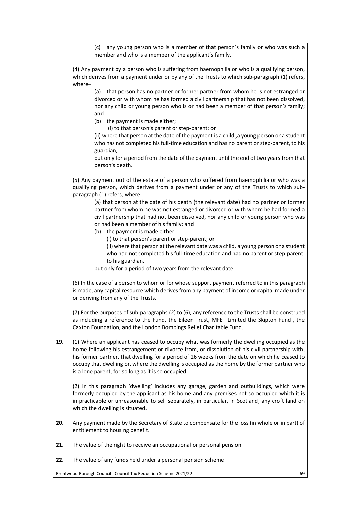(c) any young person who is a member of that person's family or who was such a member and who is a member of the applicant's family.

 (4) Any payment by a person who is suffering from haemophilia or who is a qualifying person, which derives from a payment under or by any of the Trusts to which sub-paragraph (1) refers, where–

 (a) that person has no partner or former partner from whom he is not estranged or divorced or with whom he has formed a civil partnership that has not been dissolved, nor any child or young person who is or had been a member of that person's family; and

(b) the payment is made either;

(i) to that person's parent or step-parent; or

 (ii) where that person at the date of the payment is a child ,a young person or a student who has not completed his full-time education and has no parent or step-parent, to his guardian,

 but only for a period from the date of the payment until the end of two years from that person's death.

 (5) Any payment out of the estate of a person who suffered from haemophilia or who was a qualifying person, which derives from a payment under or any of the Trusts to which sub-paragraph (1) refers, where

 (a) that person at the date of his death (the relevant date) had no partner or former partner from whom he was not estranged or divorced or with whom he had formed a civil partnership that had not been dissolved, nor any child or young person who was or had been a member of his family; and

- (b) the payment is made either;
	- (i) to that person's parent or step-parent; or
	- (ii) where that person at the relevant date was a child, a young person or a student who had not completed his full-time education and had no parent or step-parent, to his guardian,

but only for a period of two years from the relevant date.

 (6) In the case of a person to whom or for whose support payment referred to in this paragraph is made, any capital resource which derives from any payment of income or capital made under or deriving from any of the Trusts.

 (7) For the purposes of sub-paragraphs (2) to (6), any reference to the Trusts shall be construed as including a reference to the Fund, the Eileen Trust, MFET Limited the Skipton Fund , the Caxton Foundation, and the London Bombings Relief Charitable Fund.

 **19.** (1) Where an applicant has ceased to occupy what was formerly the dwelling occupied as the home following his estrangement or divorce from, or dissolution of his civil partnership with, his former partner, that dwelling for a period of 26 weeks from the date on which he ceased to occupy that dwelling or, where the dwelling is occupied as the home by the former partner who is a lone parent, for so long as it is so occupied.

 (2) In this paragraph 'dwelling' includes any garage, garden and outbuildings, which were formerly occupied by the applicant as his home and any premises not so occupied which it is impracticable or unreasonable to sell separately, in particular, in Scotland, any croft land on which the dwelling is situated.

- **20.** Any payment made by the Secretary of State to compensate for the loss (in whole or in part) of entitlement to housing benefit.
- **21.** The value of the right to receive an occupational or personal pension.
- **22.** The value of any funds held under a personal pension scheme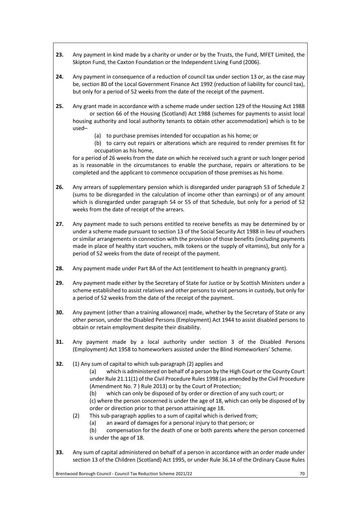- **23.** Any payment in kind made by a charity or under or by the Trusts, the Fund, MFET Limited, the Skipton Fund, the Caxton Foundation or the Independent Living Fund (2006).
- **24.** Any payment in consequence of a reduction of council tax under section 13 or, as the case may be, section 80 of the Local Government Finance Act 1992 (reduction of liability for council tax), but only for a period of 52 weeks from the date of the receipt of the payment.
- **25.** Any grant made in accordance with a scheme made under section 129 of the Housing Act 1988 or section 66 of the Housing (Scotland) Act 1988 (schemes for payments to assist local housing authority and local authority tenants to obtain other accommodation) which is to be used–
	- (a) to purchase premises intended for occupation as his home; or
	- (b) to carry out repairs or alterations which are required to render premises fit for occupation as his home,

 for a period of 26 weeks from the date on which he received such a grant or such longer period as is reasonable in the circumstances to enable the purchase, repairs or alterations to be completed and the applicant to commence occupation of those premises as his home.

- **26.** Any arrears of supplementary pension which is disregarded under paragraph 53 of Schedule 2 (sums to be disregarded in the calculation of income other than earnings) or of any amount which is disregarded under paragraph 54 or 55 of that Schedule, but only for a period of 52 weeks from the date of receipt of the arrears.
- **27.** Any payment made to such persons entitled to receive benefits as may be determined by or under a scheme made pursuant to section 13 of the Social Security Act 1988 in lieu of vouchers or similar arrangements in connection with the provision of those benefits (including payments made in place of healthy start vouchers, milk tokens or the supply of vitamins), but only for a period of 52 weeks from the date of receipt of the payment.
- **28.** Any payment made under Part 8A of the Act (entitlement to health in pregnancy grant).
- **29.** Any payment made either by the Secretary of State for Justice or by Scottish Ministers under a scheme established to assist relatives and other persons to visit persons in custody, but only for a period of 52 weeks from the date of the receipt of the payment.
- **30.** Any payment (other than a training allowance) made, whether by the Secretary of State or any other person, under the Disabled Persons (Employment) Act 1944 to assist disabled persons to obtain or retain employment despite their disability.
- **31.** Any payment made by a local authority under section 3 of the Disabled Persons (Employment) Act 1958 to homeworkers assisted under the Blind Homeworkers' Scheme.
- **32.** (1) Any sum of capital to which sub-paragraph (2) applies and
	- under Rule 21.11(1) of the Civil Procedure Rules 1998 (as amended by the Civil Procedure (Amendment No. 7 ) Rule 2013) or by the Court of Protection; (a) which is administered on behalf of a person by the High Court or the County Court
	- (b) which can only be disposed of by order or direction of any such court; or
	- (c) where the person concerned is under the age of 18, which can only be disposed of by order or direction prior to that person attaining age 18.
	- (2) This sub-paragraph applies to a sum of capital which is derived from;
		- (a) an award of damages for a personal injury to that person; or
		- (b) compensation for the death of one or both parents where the person concerned is under the age of 18.
- **33.** Any sum of capital administered on behalf of a person in accordance with an order made under section 13 of the Children (Scotland) Act 1995, or under Rule 36.14 of the Ordinary Cause Rules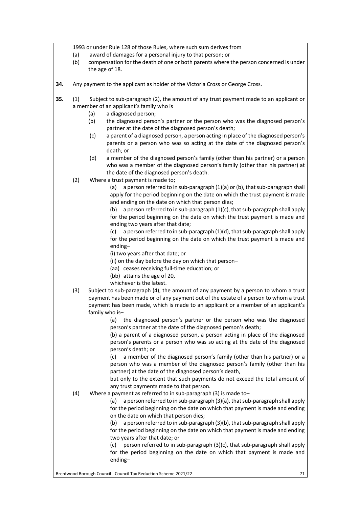1993 or under Rule 128 of those Rules, where such sum derives from

- (a) award of damages for a personal injury to that person; or
- the age of 18. (b) compensation for the death of one or both parents where the person concerned is under
- **34.** Any payment to the applicant as holder of the Victoria Cross or George Cross.
- 35. a member of an applicant's family who is **35.** (1) Subject to sub-paragraph (2), the amount of any trust payment made to an applicant or
	- (a) a diagnosed person;
	- (b) the diagnosed person's partner or the person who was the diagnosed person's partner at the date of the diagnosed person's death;
	- parents or a person who was so acting at the date of the diagnosed person's (c) a parent of a diagnosed person, a person acting in place of the diagnosed person's death; or
	- who was a member of the diagnosed person's family (other than his partner) at the date of the diagnosed person's death. (d) a member of the diagnosed person's family (other than his partner) or a person
	- (2) Where a trust payment is made to;
		- (a) a person referred to in sub-paragraph (1)(a) or (b), that sub-paragraph shall apply for the period beginning on the date on which the trust payment is made and ending on the date on which that person dies;
		- (b) a person referred to in sub-paragraph (1)(c), that sub-paragraph shall apply for the period beginning on the date on which the trust payment is made and ending two years after that date;
		- (c) a person referred to in sub-paragraph (1)(d), that sub-paragraph shall apply for the period beginning on the date on which the trust payment is made and ending–
		- (i) two years after that date; or
		- (ii) on the day before the day on which that person–
		- (aa) ceases receiving full-time education; or
		- (bb) attains the age of 20,
		- whichever is the latest.
	- payment has been made or of any payment out of the estate of a person to whom a trust payment has been made, which is made to an applicant or a member of an applicant's family who is– (3) Subject to sub-paragraph (4), the amount of any payment by a person to whom a trust

 (a) the diagnosed person's partner or the person who was the diagnosed person's partner at the date of the diagnosed person's death;

 (b) a parent of a diagnosed person, a person acting in place of the diagnosed person's parents or a person who was so acting at the date of the diagnosed person's death; or

 (c) a member of the diagnosed person's family (other than his partner) or a person who was a member of the diagnosed person's family (other than his partner) at the date of the diagnosed person's death,

 but only to the extent that such payments do not exceed the total amount of any trust payments made to that person.

(4) Where a payment as referred to in sub-paragraph (3) is made to–

 (a) a person referred to in sub-paragraph (3)(a), that sub-paragraph shall apply for the period beginning on the date on which that payment is made and ending on the date on which that person dies;

 (b) a person referred to in sub-paragraph (3)(b), that sub-paragraph shall apply for the period beginning on the date on which that payment is made and ending two years after that date; or

 for the period beginning on the date on which that payment is made and (c) person referred to in sub-paragraph (3)(c), that sub-paragraph shall apply ending–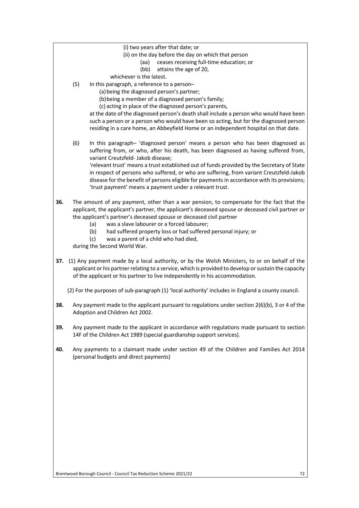|     | (i) two years after that date; or                                                                    |
|-----|------------------------------------------------------------------------------------------------------|
|     | (ii) on the day before the day on which that person                                                  |
|     | ceases receiving full-time education; or<br>(aa)                                                     |
|     | attains the age of 20,<br>(bb)<br>whichever is the latest.                                           |
|     | (5)<br>In this paragraph, a reference to a person-                                                   |
|     | (a) being the diagnosed person's partner;                                                            |
|     | (b) being a member of a diagnosed person's family;                                                   |
|     | (c) acting in place of the diagnosed person's parents,                                               |
|     | at the date of the diagnosed person's death shall include a person who would have been               |
|     | such a person or a person who would have been so acting, but for the diagnosed person                |
|     | residing in a care home, an Abbeyfield Home or an independent hospital on that date.                 |
|     |                                                                                                      |
|     | (6)<br>In this paragraph- 'diagnosed person' means a person who has been diagnosed as                |
|     | suffering from, or who, after his death, has been diagnosed as having suffered from,                 |
|     | variant Creutzfeld- Jakob disease;                                                                   |
|     | 'relevant trust' means a trust established out of funds provided by the Secretary of State           |
|     | in respect of persons who suffered, or who are suffering, from variant Creutzfeld-Jakob              |
|     | disease for the benefit of persons eligible for payments in accordance with its provisions;          |
|     | 'trust payment' means a payment under a relevant trust.                                              |
|     |                                                                                                      |
| 36. | The amount of any payment, other than a war pension, to compensate for the fact that the             |
|     | applicant, the applicant's partner, the applicant's deceased spouse or deceased civil partner or     |
|     | the applicant's partner's deceased spouse or deceased civil partner                                  |
|     | was a slave labourer or a forced labourer;<br>(a)                                                    |
|     | had suffered property loss or had suffered personal injury; or<br>(b)                                |
|     | was a parent of a child who had died,<br>(c)<br>during the Second World War.                         |
|     |                                                                                                      |
| 37. | (1) Any payment made by a local authority, or by the Welsh Ministers, to or on behalf of the         |
|     | applicant or his partner relating to a service, which is provided to develop or sustain the capacity |
|     | of the applicant or his partner to live independently in his accommodation.                          |
|     |                                                                                                      |
|     | (2) For the purposes of sub-paragraph (1) 'local authority' includes in England a county council.    |
| 38. | Any payment made to the applicant pursuant to regulations under section $2(6)(b)$ , 3 or 4 of the    |
|     | Adoption and Children Act 2002.                                                                      |
|     |                                                                                                      |
| 39. | Any payment made to the applicant in accordance with regulations made pursuant to section            |
|     | 14F of the Children Act 1989 (special guardianship support services).                                |
|     |                                                                                                      |
| 40. | Any payments to a claimant made under section 49 of the Children and Families Act 2014               |
|     | (personal budgets and direct payments)                                                               |
|     |                                                                                                      |
|     |                                                                                                      |
|     |                                                                                                      |
|     |                                                                                                      |
|     |                                                                                                      |
|     |                                                                                                      |
|     |                                                                                                      |
|     |                                                                                                      |
|     |                                                                                                      |
|     |                                                                                                      |
|     |                                                                                                      |
|     |                                                                                                      |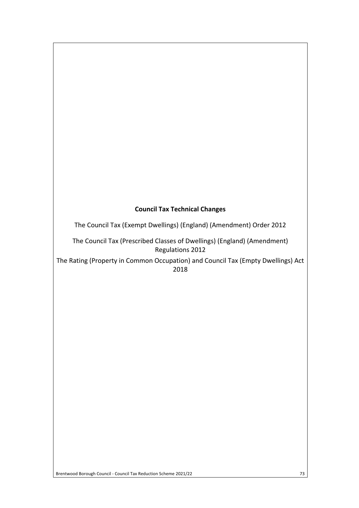## **Council Tax Technical Changes**

The Council Tax (Exempt Dwellings) (England) (Amendment) Order 2012

 The Council Tax (Prescribed Classes of Dwellings) (England) (Amendment) Regulations 2012

 The Rating (Property in Common Occupation) and Council Tax (Empty Dwellings) Act 2018

Brentwood Borough Council - Council Tax Reduction Scheme 2021/22 73